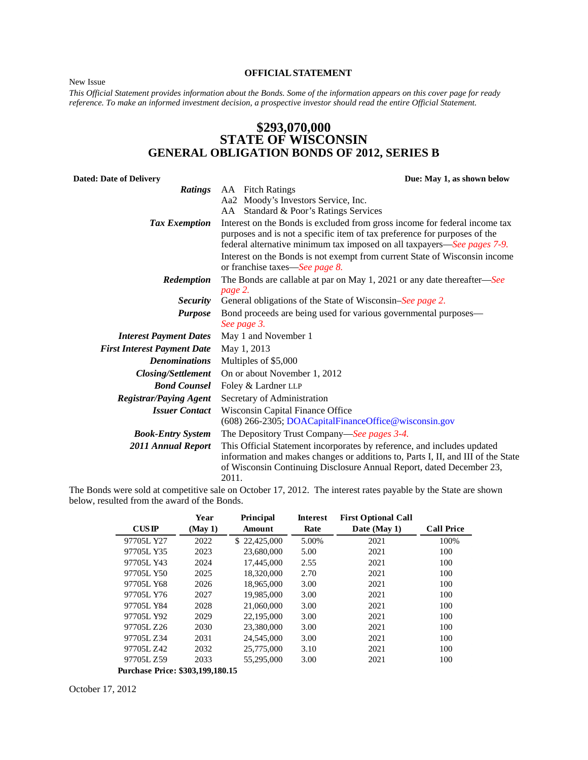<span id="page-0-0"></span>New Issue

#### **OFFICIALSTATEMENT**

*This Official Statement provides information about the Bonds. Some of the information appears on this cover page for ready reference. To make an informed investment decision, a prospective investor should read the entire Official Statement.* 

# **\$293,070,000 STATE OF WISCONSIN GENERAL OBLIGATION BONDS OF 2012, SERIES B**

| Due: May 1, as shown below                                                                                                                                                                                                                                                                              |
|---------------------------------------------------------------------------------------------------------------------------------------------------------------------------------------------------------------------------------------------------------------------------------------------------------|
| AA Fitch Ratings                                                                                                                                                                                                                                                                                        |
| Aa2 Moody's Investors Service, Inc.                                                                                                                                                                                                                                                                     |
| AA Standard & Poor's Ratings Services                                                                                                                                                                                                                                                                   |
| Interest on the Bonds is excluded from gross income for federal income tax<br>purposes and is not a specific item of tax preference for purposes of the<br>federal alternative minimum tax imposed on all taxpayers—See pages 7-9.                                                                      |
| Interest on the Bonds is not exempt from current State of Wisconsin income<br>or franchise taxes—See page 8.                                                                                                                                                                                            |
| The Bonds are callable at par on May 1, 2021 or any date thereafter—See<br>page 2.                                                                                                                                                                                                                      |
| General obligations of the State of Wisconsin–See page 2.                                                                                                                                                                                                                                               |
| Bond proceeds are being used for various governmental purposes—<br>See page 3.                                                                                                                                                                                                                          |
| May 1 and November 1                                                                                                                                                                                                                                                                                    |
| May 1, 2013                                                                                                                                                                                                                                                                                             |
| Multiples of \$5,000                                                                                                                                                                                                                                                                                    |
| On or about November 1, 2012                                                                                                                                                                                                                                                                            |
| Foley & Lardner LLP                                                                                                                                                                                                                                                                                     |
| Secretary of Administration                                                                                                                                                                                                                                                                             |
| Wisconsin Capital Finance Office<br>(608) 266-2305; DOACapitalFinanceOffice@wisconsin.gov                                                                                                                                                                                                               |
| The Depository Trust Company—See pages 3-4.                                                                                                                                                                                                                                                             |
| This Official Statement incorporates by reference, and includes updated<br>information and makes changes or additions to, Parts I, II, and III of the State<br>of Wisconsin Continuing Disclosure Annual Report, dated December 23,<br>2011.<br>$\sim$ $\sim$ $\sim$ $\sim$ $\sim$ $\sim$ $\sim$ $\sim$ |
|                                                                                                                                                                                                                                                                                                         |

The Bonds were sold at competitive sale on October 17, 2012. The interest rates payable by the State are shown below, resulted from the award of the Bonds.

|                                  | Year   | Principal    | <b>Interest</b> | <b>First Optional Call</b> |                   |
|----------------------------------|--------|--------------|-----------------|----------------------------|-------------------|
| $\overline{\text{CUSIP}}$        | (May1) | Amount       | Rate            | Date (May 1)               | <b>Call Price</b> |
| 97705L Y27                       | 2022   | \$22,425,000 | 5.00%           | 2021                       | 100%              |
| 97705L Y35                       | 2023   | 23,680,000   | 5.00            | 2021                       | 100               |
| 97705L Y43                       | 2024   | 17,445,000   | 2.55            | 2021                       | 100               |
| 97705L Y50                       | 2025   | 18,320,000   | 2.70            | 2021                       | 100               |
| 97705L Y68                       | 2026   | 18.965.000   | 3.00            | 2021                       | 100               |
| 97705L Y76                       | 2027   | 19,985,000   | 3.00            | 2021                       | 100               |
| 97705L Y84                       | 2028   | 21,060,000   | 3.00            | 2021                       | 100               |
| 97705L Y92                       | 2029   | 22,195,000   | 3.00            | 2021                       | 100               |
| 97705L Z26                       | 2030   | 23,380,000   | 3.00            | 2021                       | 100               |
| 97705L Z34                       | 2031   | 24,545,000   | 3.00            | 2021                       | 100               |
| 97705L Z42                       | 2032   | 25,775,000   | 3.10            | 2021                       | 100               |
| 97705L Z59                       | 2033   | 55,295,000   | 3.00            | 2021                       | 100               |
| Purchase Price: \$303,199,180.15 |        |              |                 |                            |                   |

October 17, 2012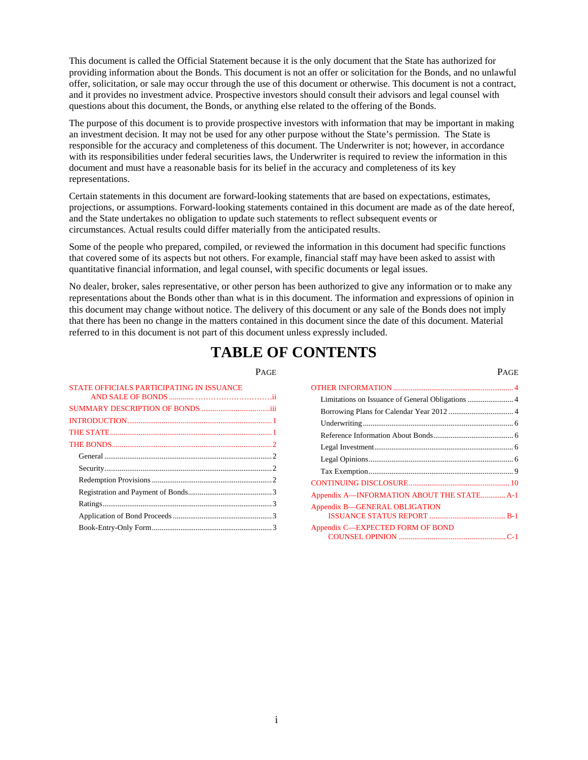This document is called the Official Statement because it is the only document that the State has authorized for providing information about the Bonds. This document is not an offer or solicitation for the Bonds, and no unlawful offer, solicitation, or sale may occur through the use of this document or otherwise. This document is not a contract, and it provides no investment advice. Prospective investors should consult their advisors and legal counsel with questions about this document, the Bonds, or anything else related to the offering of the Bonds.

The purpose of this document is to provide prospective investors with information that may be important in making an investment decision. It may not be used for any other purpose without the State's permission. The State is responsible for the accuracy and completeness of this document. The Underwriter is not; however, in accordance with its responsibilities under federal securities laws, the Underwriter is required to review the information in this document and must have a reasonable basis for its belief in the accuracy and completeness of its key representations.

Certain statements in this document are forward-looking statements that are based on expectations, estimates, projections, or assumptions. Forward-looking statements contained in this document are made as of the date hereof, and the State undertakes no obligation to update such statements to reflect subsequent events or circumstances. Actual results could differ materially from the anticipated results.

Some of the people who prepared, compiled, or reviewed the information in this document had specific functions that covered some of its aspects but not others. For example, financial staff may have been asked to assist with quantitative financial information, and legal counsel, with specific documents or legal issues.

No dealer, broker, sales representative, or other person has been authorized to give any information or to make any representations about the Bonds other than what is in this document. The information and expressions of opinion in this document may change without notice. The delivery of this document or any sale of the Bonds does not imply that there has been no change in the matters contained in this document since the date of this document. Material referred to in this document is not part of this document unless expressly included.

# **TABLE OF CONTENTS**

PAGE PAGE

| STATE OFFICIALS PARTICIPATING IN ISSUANCE |  |
|-------------------------------------------|--|
|                                           |  |
|                                           |  |
|                                           |  |
|                                           |  |
|                                           |  |
|                                           |  |
|                                           |  |
|                                           |  |
|                                           |  |
|                                           |  |
|                                           |  |
|                                           |  |
|                                           |  |

| Appendix A-INFORMATION ABOUT THE STATE A-1 |
|--------------------------------------------|
| Appendix B—GENERAL OBLIGATION              |
| Appendix C-EXPECTED FORM OF BOND           |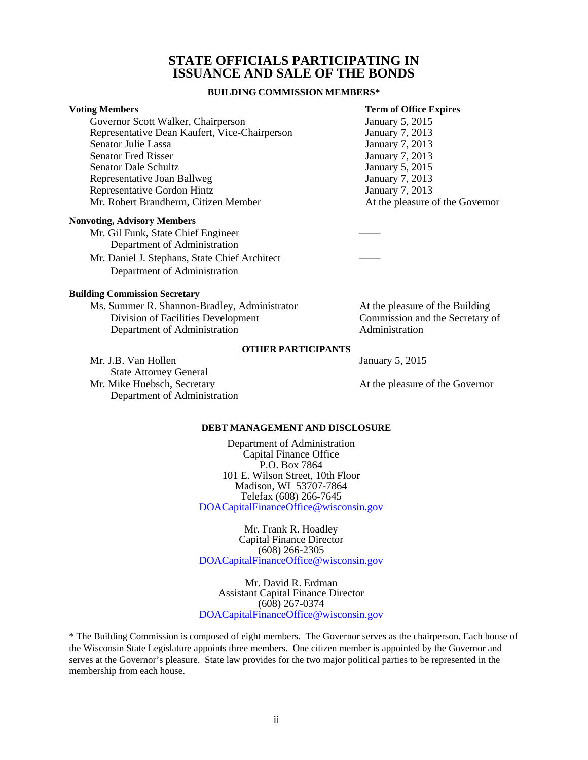# **STATE OFFICIALS PARTICIPATING IN ISSUANCE AND SALE OF THE BONDS**

## **BUILDING COMMISSION MEMBERS\***

<span id="page-2-0"></span>

| <b>Voting Members</b>                                                                                                                                                                                                                                                                                                              | <b>Term of Office Expires</b>   |
|------------------------------------------------------------------------------------------------------------------------------------------------------------------------------------------------------------------------------------------------------------------------------------------------------------------------------------|---------------------------------|
| Governor Scott Walker, Chairperson                                                                                                                                                                                                                                                                                                 | January 5, 2015                 |
| Representative Dean Kaufert, Vice-Chairperson                                                                                                                                                                                                                                                                                      | January 7, 2013                 |
| Senator Julie Lassa                                                                                                                                                                                                                                                                                                                | January 7, 2013                 |
| <b>Senator Fred Risser</b>                                                                                                                                                                                                                                                                                                         | January 7, 2013                 |
| <b>Senator Dale Schultz</b>                                                                                                                                                                                                                                                                                                        | January 5, 2015                 |
| Representative Joan Ballweg                                                                                                                                                                                                                                                                                                        | January 7, 2013                 |
| Representative Gordon Hintz                                                                                                                                                                                                                                                                                                        | January 7, 2013                 |
| Mr. Robert Brandherm, Citizen Member                                                                                                                                                                                                                                                                                               | At the pleasure of the Governor |
| <b>Nonvoting, Advisory Members</b>                                                                                                                                                                                                                                                                                                 |                                 |
| $\mathbf{1}$ $\mathbf{r}$ $\mathbf{r}$ $\mathbf{r}$ $\mathbf{r}$ $\mathbf{r}$ $\mathbf{r}$ $\mathbf{r}$ $\mathbf{r}$ $\mathbf{r}$ $\mathbf{r}$ $\mathbf{r}$ $\mathbf{r}$ $\mathbf{r}$ $\mathbf{r}$ $\mathbf{r}$ $\mathbf{r}$ $\mathbf{r}$ $\mathbf{r}$ $\mathbf{r}$ $\mathbf{r}$ $\mathbf{r}$ $\mathbf{r}$ $\mathbf{r}$ $\mathbf{$ |                                 |

| Mr. Gil Funk, State Chief Engineer            |  |
|-----------------------------------------------|--|
| Department of Administration                  |  |
| Mr. Daniel J. Stephans, State Chief Architect |  |
| Department of Administration                  |  |

#### **Building Commission Secretary**

| Ms. Summer R. Shannon-Bradley, Administrator | At the pleasure of the Building |
|----------------------------------------------|---------------------------------|
| Division of Facilities Development           | Commission and the Secretary of |
| Department of Administration                 | Administration                  |

#### **OTHER PARTICIPANTS**

| Mr. J.B. Van Hollen           |  |
|-------------------------------|--|
| <b>State Attorney General</b> |  |
| Mr. Mike Huebsch, Secretary   |  |
| Department of Administration  |  |

At the pleasure of the Governor

January 5, 2015

#### **DEBT MANAGEMENT AND DISCLOSURE**

Department of Administration Capital Finance Office P.O. Box 7864 101 E. Wilson Street, 10th Floor Madison, WI 53707-7864 Telefax (608) 266-7645 DOACapitalFinanceOffice@wisconsin.gov

Mr. Frank R. Hoadley Capital Finance Director (608) 266-2305 DOACapitalFinanceOffice@wisconsin.gov

Mr. David R. Erdman Assistant Capital Finance Director (608) 267-0374 [DOACapitalFinanceOffice@wisconsin.gov](mailto: DOACapitalFinanceOffice@Wisconsin.gov) 

\* The Building Commission is composed of eight members. The Governor serves as the chairperson. Each house of the Wisconsin State Legislature appoints three members. One citizen member is appointed by the Governor and serves at the Governor's pleasure. State law provides for the two major political parties to be represented in the membership from each house.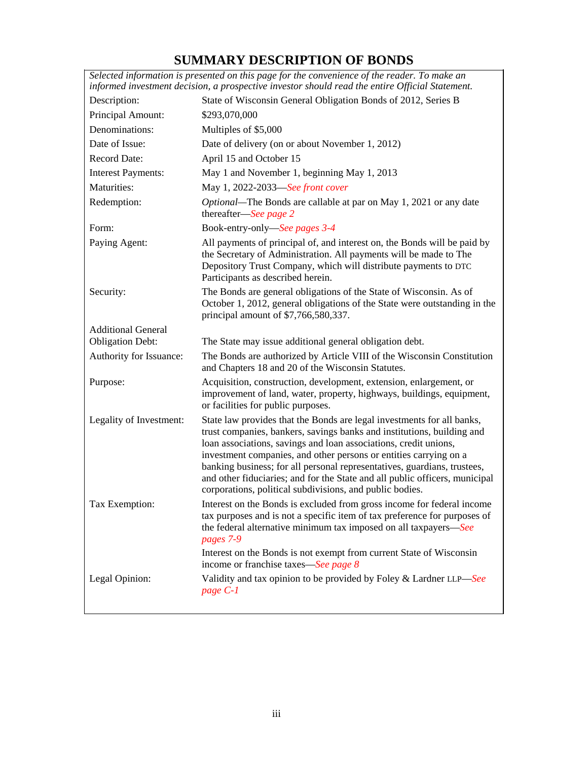# **SUMMARY DESCRIPTION OF BONDS**

<span id="page-3-0"></span>

|                           | Selected information is presented on this page for the convenience of the reader. To make an<br>informed investment decision, a prospective investor should read the entire Official Statement.                                                                                                                                                                                                                                                                                                                  |
|---------------------------|------------------------------------------------------------------------------------------------------------------------------------------------------------------------------------------------------------------------------------------------------------------------------------------------------------------------------------------------------------------------------------------------------------------------------------------------------------------------------------------------------------------|
| Description:              | State of Wisconsin General Obligation Bonds of 2012, Series B                                                                                                                                                                                                                                                                                                                                                                                                                                                    |
| Principal Amount:         | \$293,070,000                                                                                                                                                                                                                                                                                                                                                                                                                                                                                                    |
| Denominations:            | Multiples of \$5,000                                                                                                                                                                                                                                                                                                                                                                                                                                                                                             |
| Date of Issue:            | Date of delivery (on or about November 1, 2012)                                                                                                                                                                                                                                                                                                                                                                                                                                                                  |
| <b>Record Date:</b>       | April 15 and October 15                                                                                                                                                                                                                                                                                                                                                                                                                                                                                          |
| <b>Interest Payments:</b> | May 1 and November 1, beginning May 1, 2013                                                                                                                                                                                                                                                                                                                                                                                                                                                                      |
| Maturities:               | May 1, 2022-2033-See front cover                                                                                                                                                                                                                                                                                                                                                                                                                                                                                 |
| Redemption:               | Optional—The Bonds are callable at par on May 1, 2021 or any date<br>thereafter—See page 2                                                                                                                                                                                                                                                                                                                                                                                                                       |
| Form:                     | Book-entry-only-See pages 3-4                                                                                                                                                                                                                                                                                                                                                                                                                                                                                    |
| Paying Agent:             | All payments of principal of, and interest on, the Bonds will be paid by<br>the Secretary of Administration. All payments will be made to The<br>Depository Trust Company, which will distribute payments to DTC<br>Participants as described herein.                                                                                                                                                                                                                                                            |
| Security:                 | The Bonds are general obligations of the State of Wisconsin. As of<br>October 1, 2012, general obligations of the State were outstanding in the<br>principal amount of \$7,766,580,337.                                                                                                                                                                                                                                                                                                                          |
| <b>Additional General</b> |                                                                                                                                                                                                                                                                                                                                                                                                                                                                                                                  |
| <b>Obligation Debt:</b>   | The State may issue additional general obligation debt.                                                                                                                                                                                                                                                                                                                                                                                                                                                          |
| Authority for Issuance:   | The Bonds are authorized by Article VIII of the Wisconsin Constitution<br>and Chapters 18 and 20 of the Wisconsin Statutes.                                                                                                                                                                                                                                                                                                                                                                                      |
| Purpose:                  | Acquisition, construction, development, extension, enlargement, or<br>improvement of land, water, property, highways, buildings, equipment,<br>or facilities for public purposes.                                                                                                                                                                                                                                                                                                                                |
| Legality of Investment:   | State law provides that the Bonds are legal investments for all banks,<br>trust companies, bankers, savings banks and institutions, building and<br>loan associations, savings and loan associations, credit unions,<br>investment companies, and other persons or entities carrying on a<br>banking business; for all personal representatives, guardians, trustees,<br>and other fiduciaries; and for the State and all public officers, municipal<br>corporations, political subdivisions, and public bodies. |
| Tax Exemption:            | Interest on the Bonds is excluded from gross income for federal income<br>tax purposes and is not a specific item of tax preference for purposes of<br>the federal alternative minimum tax imposed on all taxpayers-See<br>pages 7-9                                                                                                                                                                                                                                                                             |
|                           | Interest on the Bonds is not exempt from current State of Wisconsin<br>income or franchise taxes—See page 8                                                                                                                                                                                                                                                                                                                                                                                                      |
| Legal Opinion:            | Validity and tax opinion to be provided by Foley & Lardner LLP-See<br>page C-1                                                                                                                                                                                                                                                                                                                                                                                                                                   |
|                           |                                                                                                                                                                                                                                                                                                                                                                                                                                                                                                                  |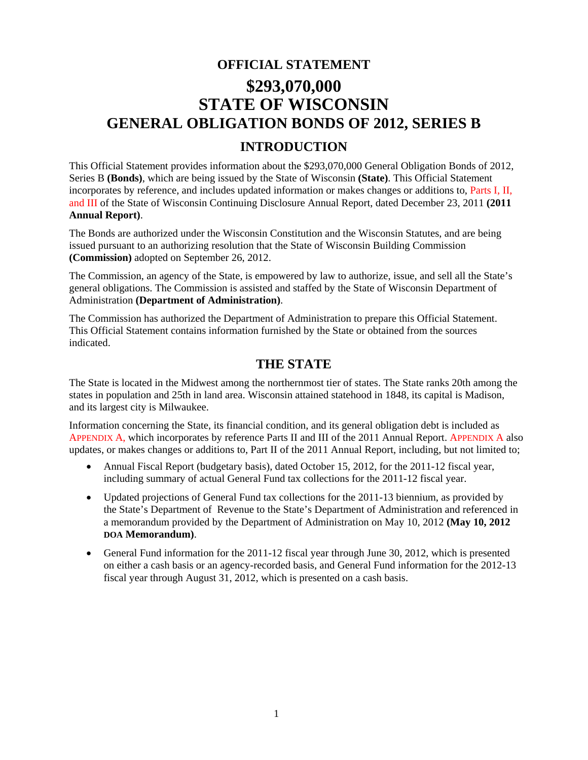# <span id="page-4-0"></span>**OFFICIAL STATEMENT \$293,070,000 STATE OF WISCONSIN GENERAL OBLIGATION BONDS OF 2012, SERIES B**

# **INTRODUCTION**

This Official Statement provides information about the \$293,070,000 General Obligation Bonds of 2012, Series B **(Bonds)**, which are being issued by the State of Wisconsin **(State)**. This Official Statement incorporates by reference, and includes updated information or makes changes or additions to, Part[s I,](#page-12-0) [II,](#page-14-0)  and [III](#page-14-0) of the State of Wisconsin Continuing Disclosure Annual Report, dated December 23, 2011 **(2011 Annual Report)**.

The Bonds are authorized under the Wisconsin Constitution and the Wisconsin Statutes, and are being issued pursuant to an authorizing resolution that the State of Wisconsin Building Commission **(Commission)** adopted on September 26, 2012.

The Commission, an agency of the State, is empowered by law to authorize, issue, and sell all the State's general obligations. The Commission is assisted and staffed by the State of Wisconsin Department of Administration **(Department of Administration)**.

The Commission has authorized the Department of Administration to prepare this Official Statement. This Official Statement contains information furnished by the State or obtained from the sources indicated.

# **THE STATE**

The State is located in the Midwest among the northernmost tier of states. The State ranks 20th among the states in population and 25th in land area. Wisconsin attained statehood in 1848, its capital is Madison, and its largest city is Milwaukee.

Information concerning the State, its financial condition, and its general obligation debt is included as [APPENDIX A, w](#page-14-0)hich incorporates by reference Parts II and III of the 2011 Annual Report. [APPENDIX A a](#page-14-0)lso updates, or makes changes or additions to, Part II of the 2011 Annual Report, including, but not limited to;

- Annual Fiscal Report (budgetary basis), dated October 15, 2012, for the 2011-12 fiscal year, including summary of actual General Fund tax collections for the 2011-12 fiscal year.
- Updated projections of General Fund tax collections for the 2011-13 biennium, as provided by the State's Department of Revenue to the State's Department of Administration and referenced in a memorandum provided by the Department of Administration on May 10, 2012 **(May 10, 2012 DOA Memorandum)**.
- General Fund information for the 2011-12 fiscal year through June 30, 2012, which is presented on either a cash basis or an agency-recorded basis, and General Fund information for the 2012-13 fiscal year through August 31, 2012, which is presented on a cash basis.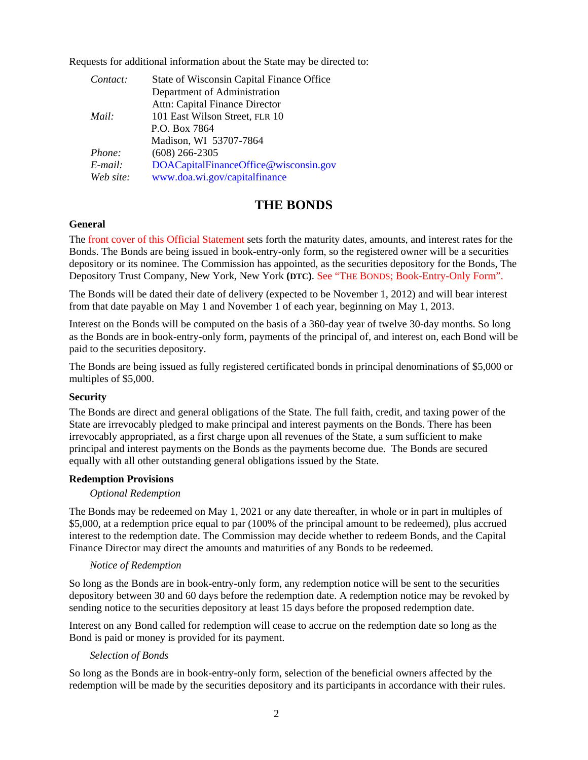<span id="page-5-0"></span>Requests for additional information about the State may be directed to:

| Contact:  | State of Wisconsin Capital Finance Office |
|-----------|-------------------------------------------|
|           | Department of Administration              |
|           | Attn: Capital Finance Director            |
| Mail:     | 101 East Wilson Street, FLR 10            |
|           | P.O. Box 7864                             |
|           | Madison, WI 53707-7864                    |
| Phone:    | $(608)$ 266-2305                          |
| E-mail:   | DOACapitalFinanceOffice@wisconsin.gov     |
| Web site: | www.doa.wi.gov/capitalfinance             |

# **THE BONDS**

# **General**

Th[e front cover of this Official Statement s](#page-0-0)ets forth the maturity dates, amounts, and interest rates for the Bonds. The Bonds are being issued in book-entry-only form, so the registered owner will be a securities depository or its nominee. The Commission has appointed, as the securities depository for the Bonds, The Depository Trust Company, New York, New York **(DTC)**[. See "THE BONDS; Book-Entry-Only Form".](#page-6-0)

The Bonds will be dated their date of delivery (expected to be November 1, 2012) and will bear interest from that date payable on May 1 and November 1 of each year, beginning on May 1, 2013.

Interest on the Bonds will be computed on the basis of a 360-day year of twelve 30-day months. So long as the Bonds are in book-entry-only form, payments of the principal of, and interest on, each Bond will be paid to the securities depository.

The Bonds are being issued as fully registered certificated bonds in principal denominations of \$5,000 or multiples of \$5,000.

# **Security**

The Bonds are direct and general obligations of the State. The full faith, credit, and taxing power of the State are irrevocably pledged to make principal and interest payments on the Bonds. There has been irrevocably appropriated, as a first charge upon all revenues of the State, a sum sufficient to make principal and interest payments on the Bonds as the payments become due. The Bonds are secured equally with all other outstanding general obligations issued by the State.

# **Redemption Provisions**

# *Optional Redemption*

The Bonds may be redeemed on May 1, 2021 or any date thereafter, in whole or in part in multiples of \$5,000, at a redemption price equal to par (100% of the principal amount to be redeemed), plus accrued interest to the redemption date. The Commission may decide whether to redeem Bonds, and the Capital Finance Director may direct the amounts and maturities of any Bonds to be redeemed.

# *Notice of Redemption*

So long as the Bonds are in book-entry-only form, any redemption notice will be sent to the securities depository between 30 and 60 days before the redemption date. A redemption notice may be revoked by sending notice to the securities depository at least 15 days before the proposed redemption date.

Interest on any Bond called for redemption will cease to accrue on the redemption date so long as the Bond is paid or money is provided for its payment.

# *Selection of Bonds*

So long as the Bonds are in book-entry-only form, selection of the beneficial owners affected by the redemption will be made by the securities depository and its participants in accordance with their rules.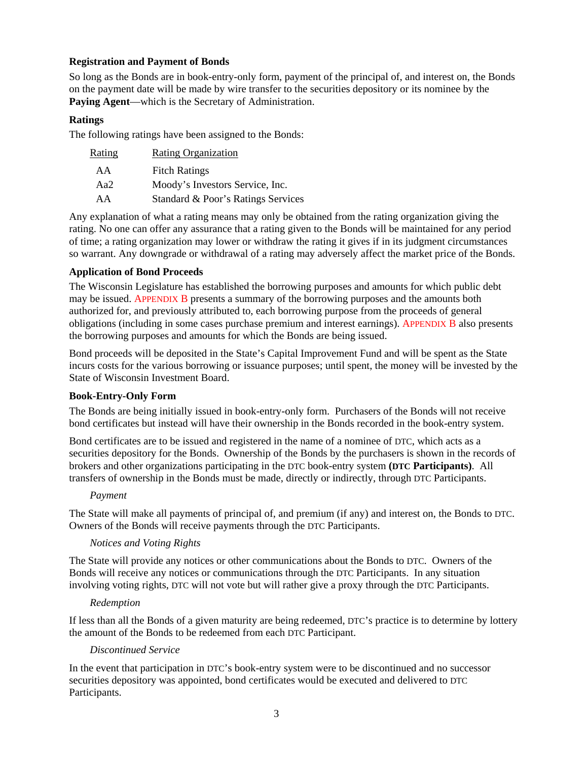# <span id="page-6-0"></span>**Registration and Payment of Bonds**

So long as the Bonds are in book-entry-only form, payment of the principal of, and interest on, the Bonds on the payment date will be made by wire transfer to the securities depository or its nominee by the **Paying Agent**—which is the Secretary of Administration.

# **Ratings**

The following ratings have been assigned to the Bonds:

| Rating | <b>Rating Organization</b>         |
|--------|------------------------------------|
| AA     | <b>Fitch Ratings</b>               |
| Aa2    | Moody's Investors Service, Inc.    |
| AA     | Standard & Poor's Ratings Services |

Any explanation of what a rating means may only be obtained from the rating organization giving the rating. No one can offer any assurance that a rating given to the Bonds will be maintained for any period of time; a rating organization may lower or withdraw the rating it gives if in its judgment circumstances so warrant. Any downgrade or withdrawal of a rating may adversely affect the market price of the Bonds.

# **Application of Bond Proceeds**

The Wisconsin Legislature has established the borrowing purposes and amounts for which public debt may be issued. [APPENDIX B p](#page-31-0)resents a summary of the borrowing purposes and the amounts both authorized for, and previously attributed to, each borrowing purpose from the proceeds of general obligations (including in some cases purchase premium and interest earnings)[. APPENDIX B a](#page-31-0)lso presents the borrowing purposes and amounts for which the Bonds are being issued.

Bond proceeds will be deposited in the State's Capital Improvement Fund and will be spent as the State incurs costs for the various borrowing or issuance purposes; until spent, the money will be invested by the State of Wisconsin Investment Board.

# **Book-Entry-Only Form**

The Bonds are being initially issued in book-entry-only form. Purchasers of the Bonds will not receive bond certificates but instead will have their ownership in the Bonds recorded in the book-entry system.

Bond certificates are to be issued and registered in the name of a nominee of DTC, which acts as a securities depository for the Bonds. Ownership of the Bonds by the purchasers is shown in the records of brokers and other organizations participating in the DTC book-entry system **(DTC Participants)**. All transfers of ownership in the Bonds must be made, directly or indirectly, through DTC Participants.

# *Payment*

The State will make all payments of principal of, and premium (if any) and interest on, the Bonds to DTC. Owners of the Bonds will receive payments through the DTC Participants.

# *Notices and Voting Rights*

The State will provide any notices or other communications about the Bonds to DTC. Owners of the Bonds will receive any notices or communications through the DTC Participants. In any situation involving voting rights, DTC will not vote but will rather give a proxy through the DTC Participants.

# *Redemption*

If less than all the Bonds of a given maturity are being redeemed, DTC's practice is to determine by lottery the amount of the Bonds to be redeemed from each DTC Participant.

# *Discontinued Service*

In the event that participation in DTC's book-entry system were to be discontinued and no successor securities depository was appointed, bond certificates would be executed and delivered to DTC Participants.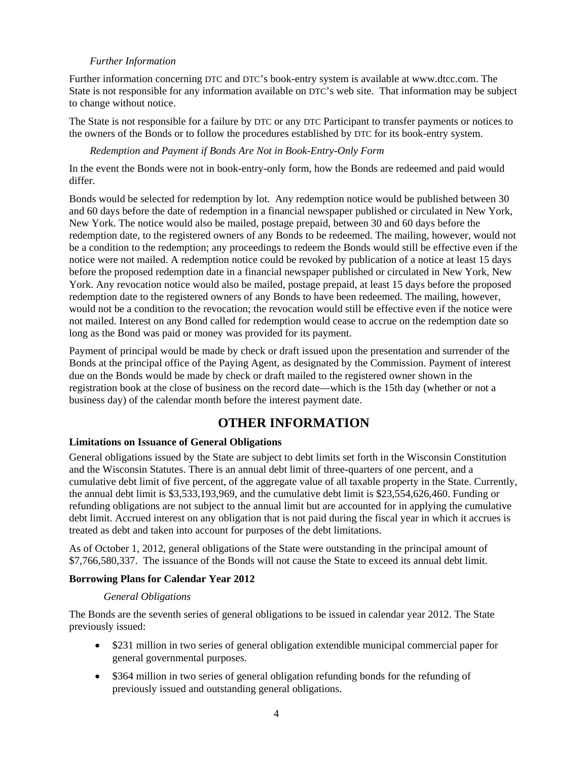# *Further Information*

<span id="page-7-0"></span>Further information concerning DTC and DTC's book-entry system is available at www.dtcc.com. The State is not responsible for any information available on DTC's web site. That information may be subject to change without notice.

The State is not responsible for a failure by DTC or any DTC Participant to transfer payments or notices to the owners of the Bonds or to follow the procedures established by DTC for its book-entry system.

# *Redemption and Payment if Bonds Are Not in Book-Entry-Only Form*

In the event the Bonds were not in book-entry-only form, how the Bonds are redeemed and paid would differ.

Bonds would be selected for redemption by lot. Any redemption notice would be published between 30 and 60 days before the date of redemption in a financial newspaper published or circulated in New York, New York. The notice would also be mailed, postage prepaid, between 30 and 60 days before the redemption date, to the registered owners of any Bonds to be redeemed. The mailing, however, would not be a condition to the redemption; any proceedings to redeem the Bonds would still be effective even if the notice were not mailed. A redemption notice could be revoked by publication of a notice at least 15 days before the proposed redemption date in a financial newspaper published or circulated in New York, New York. Any revocation notice would also be mailed, postage prepaid, at least 15 days before the proposed redemption date to the registered owners of any Bonds to have been redeemed. The mailing, however, would not be a condition to the revocation; the revocation would still be effective even if the notice were not mailed. Interest on any Bond called for redemption would cease to accrue on the redemption date so long as the Bond was paid or money was provided for its payment.

Payment of principal would be made by check or draft issued upon the presentation and surrender of the Bonds at the principal office of the Paying Agent, as designated by the Commission. Payment of interest due on the Bonds would be made by check or draft mailed to the registered owner shown in the registration book at the close of business on the record date—which is the 15th day (whether or not a business day) of the calendar month before the interest payment date.

# **OTHER INFORMATION**

# **Limitations on Issuance of General Obligations**

General obligations issued by the State are subject to debt limits set forth in the Wisconsin Constitution and the Wisconsin Statutes. There is an annual debt limit of three-quarters of one percent, and a cumulative debt limit of five percent, of the aggregate value of all taxable property in the State. Currently, the annual debt limit is \$3,533,193,969, and the cumulative debt limit is \$23,554,626,460. Funding or refunding obligations are not subject to the annual limit but are accounted for in applying the cumulative debt limit. Accrued interest on any obligation that is not paid during the fiscal year in which it accrues is treated as debt and taken into account for purposes of the debt limitations.

As of October 1, 2012, general obligations of the State were outstanding in the principal amount of \$7,766,580,337. The issuance of the Bonds will not cause the State to exceed its annual debt limit.

### **Borrowing Plans for Calendar Year 2012**

### *General Obligations*

The Bonds are the seventh series of general obligations to be issued in calendar year 2012. The State previously issued:

- \$231 million in two series of general obligation extendible municipal commercial paper for general governmental purposes.
- \$364 million in two series of general obligation refunding bonds for the refunding of previously issued and outstanding general obligations.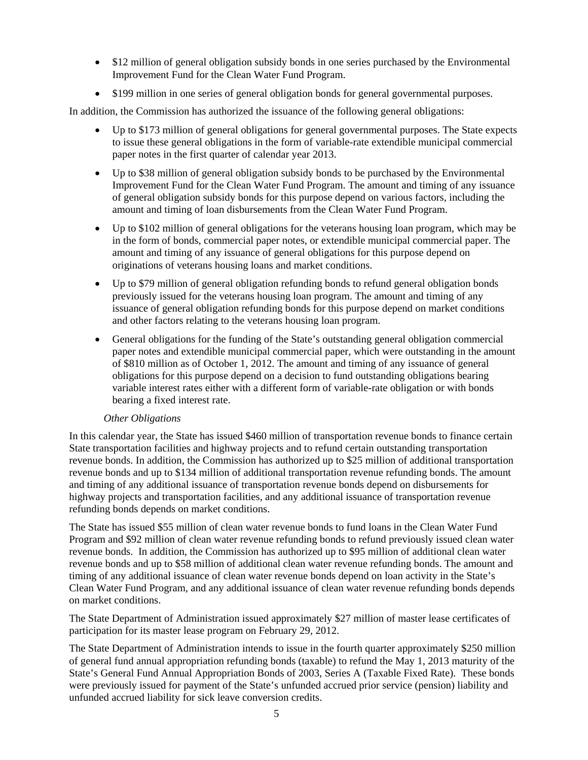- \$12 million of general obligation subsidy bonds in one series purchased by the Environmental Improvement Fund for the Clean Water Fund Program.
- \$199 million in one series of general obligation bonds for general governmental purposes.

In addition, the Commission has authorized the issuance of the following general obligations:

- Up to \$173 million of general obligations for general governmental purposes. The State expects to issue these general obligations in the form of variable-rate extendible municipal commercial paper notes in the first quarter of calendar year 2013.
- Up to \$38 million of general obligation subsidy bonds to be purchased by the Environmental Improvement Fund for the Clean Water Fund Program. The amount and timing of any issuance of general obligation subsidy bonds for this purpose depend on various factors, including the amount and timing of loan disbursements from the Clean Water Fund Program.
- Up to \$102 million of general obligations for the veterans housing loan program, which may be in the form of bonds, commercial paper notes, or extendible municipal commercial paper. The amount and timing of any issuance of general obligations for this purpose depend on originations of veterans housing loans and market conditions.
- Up to \$79 million of general obligation refunding bonds to refund general obligation bonds previously issued for the veterans housing loan program. The amount and timing of any issuance of general obligation refunding bonds for this purpose depend on market conditions and other factors relating to the veterans housing loan program.
- General obligations for the funding of the State's outstanding general obligation commercial paper notes and extendible municipal commercial paper, which were outstanding in the amount of \$810 million as of October 1, 2012. The amount and timing of any issuance of general obligations for this purpose depend on a decision to fund outstanding obligations bearing variable interest rates either with a different form of variable-rate obligation or with bonds bearing a fixed interest rate.

# *Other Obligations*

In this calendar year, the State has issued \$460 million of transportation revenue bonds to finance certain State transportation facilities and highway projects and to refund certain outstanding transportation revenue bonds. In addition, the Commission has authorized up to \$25 million of additional transportation revenue bonds and up to \$134 million of additional transportation revenue refunding bonds. The amount and timing of any additional issuance of transportation revenue bonds depend on disbursements for highway projects and transportation facilities, and any additional issuance of transportation revenue refunding bonds depends on market conditions.

The State has issued \$55 million of clean water revenue bonds to fund loans in the Clean Water Fund Program and \$92 million of clean water revenue refunding bonds to refund previously issued clean water revenue bonds. In addition, the Commission has authorized up to \$95 million of additional clean water revenue bonds and up to \$58 million of additional clean water revenue refunding bonds. The amount and timing of any additional issuance of clean water revenue bonds depend on loan activity in the State's Clean Water Fund Program, and any additional issuance of clean water revenue refunding bonds depends on market conditions.

The State Department of Administration issued approximately \$27 million of master lease certificates of participation for its master lease program on February 29, 2012.

The State Department of Administration intends to issue in the fourth quarter approximately \$250 million of general fund annual appropriation refunding bonds (taxable) to refund the May 1, 2013 maturity of the State's General Fund Annual Appropriation Bonds of 2003, Series A (Taxable Fixed Rate). These bonds were previously issued for payment of the State's unfunded accrued prior service (pension) liability and unfunded accrued liability for sick leave conversion credits.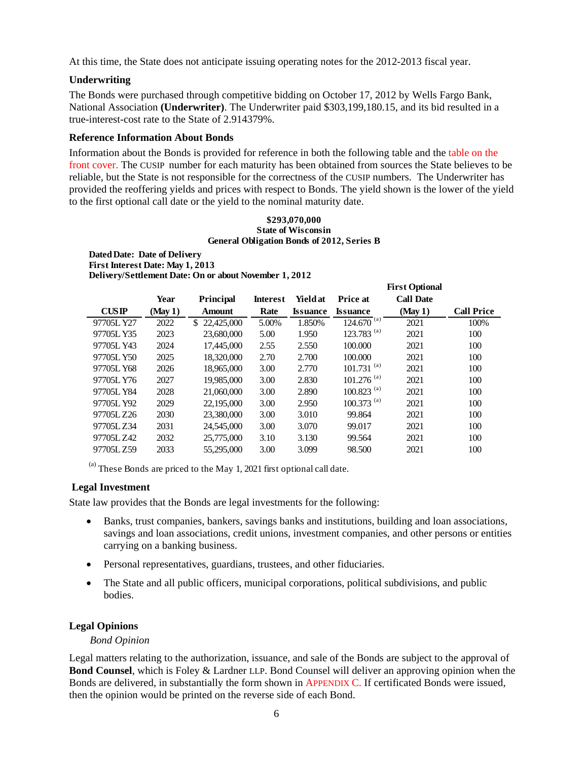At this time, the State does not anticipate issuing operating notes for the 2012-2013 fiscal year.

# **Underwriting**

The Bonds were purchased through competitive bidding on October 17, 2012 by Wells Fargo Bank, National Association **(Underwriter)**. The Underwriter paid \$303,199,180.15, and its bid resulted in a true-interest-cost rate to the State of 2.914379%.

# **Reference Information About Bonds**

Information about the Bonds is provided for reference in both the following table and the [table on the](#page-0-0)  [front cover.](#page-0-0) The CUSIP number for each maturity has been obtained from sources the State believes to be reliable, but the State is not responsible for the correctness of the CUSIP numbers. The Underwriter has provided the reoffering yields and prices with respect to Bonds. The yield shown is the lower of the yield to the first optional call date or the yield to the nominal maturity date.

#### **\$293,070,000 State of Wisconsin General Obligation Bonds of 2012, Series B**

**First Optional** 

#### **Dated Date: Date of Delivery First Interest Date: May 1, 2013 Delivery/Settlement Date: On or about November 1, 2012**

|            |        |                   |                 |                 |                          | <b>FIFST OPHOTH</b> |                   |
|------------|--------|-------------------|-----------------|-----------------|--------------------------|---------------------|-------------------|
|            | Year   | <b>Principal</b>  | <b>Interest</b> | Yield at        | <b>Price at</b>          | <b>Call Date</b>    |                   |
| CUSIP      | (May1) | <b>Amount</b>     | Rate            | <b>Issuance</b> | <b>Issuance</b>          | (May1)              | <b>Call Price</b> |
| 97705L Y27 | 2022   | 22,425,000<br>\$. | 5.00%           | 1.850%          | $124.670^{(a)}$          | 2021                | 100%              |
| 97705L Y35 | 2023   | 23,680,000        | 5.00            | 1.950           | 123.783 $^{(a)}$         | 2021                | 100               |
| 97705L Y43 | 2024   | 17,445,000        | 2.55            | 2.550           | 100,000                  | 2021                | 100               |
| 97705L Y50 | 2025   | 18,320,000        | 2.70            | 2.700           | 100.000                  | 2021                | 100               |
| 97705L Y68 | 2026   | 18,965,000        | 3.00            | 2.770           | $101.731^{(a)}$          | 2021                | 100               |
| 97705L Y76 | 2027   | 19,985,000        | 3.00            | 2.830           | $101.276$ <sup>(a)</sup> | 2021                | 100               |
| 97705L Y84 | 2028   | 21,060,000        | 3.00            | 2.890           | $100.823$ <sup>(a)</sup> | 2021                | 100               |
| 97705L Y92 | 2029   | 22,195,000        | 3.00            | 2.950           | $100.373$ <sup>(a)</sup> | 2021                | 100               |
| 97705L Z26 | 2030   | 23,380,000        | 3.00            | 3.010           | 99.864                   | 2021                | 100               |
| 97705LZ34  | 2031   | 24,545,000        | 3.00            | 3.070           | 99.017                   | 2021                | 100               |
| 97705L Z42 | 2032   | 25,775,000        | 3.10            | 3.130           | 99.564                   | 2021                | 100               |
| 97705LZ59  | 2033   | 55,295,000        | 3.00            | 3.099           | 98.500                   | 2021                | 100               |

 $<sup>(a)</sup>$  These Bonds are priced to the May 1, 2021 first optional call date.</sup>

# **Legal Investment**

State law provides that the Bonds are legal investments for the following:

- Banks, trust companies, bankers, savings banks and institutions, building and loan associations, savings and loan associations, credit unions, investment companies, and other persons or entities carrying on a banking business.
- Personal representatives, guardians, trustees, and other fiduciaries.
- The State and all public officers, municipal corporations, political subdivisions, and public bodies.

# **Legal Opinions**

### *Bond Opinion*

Legal matters relating to the authorization, issuance, and sale of the Bonds are subject to the approval of **Bond Counsel**, which is Foley & Lardner LLP. Bond Counsel will deliver an approving opinion when the Bonds are delivered, in substantially the form shown i[n APPENDIX C.](#page-36-0) If certificated Bonds were issued, then the opinion would be printed on the reverse side of each Bond.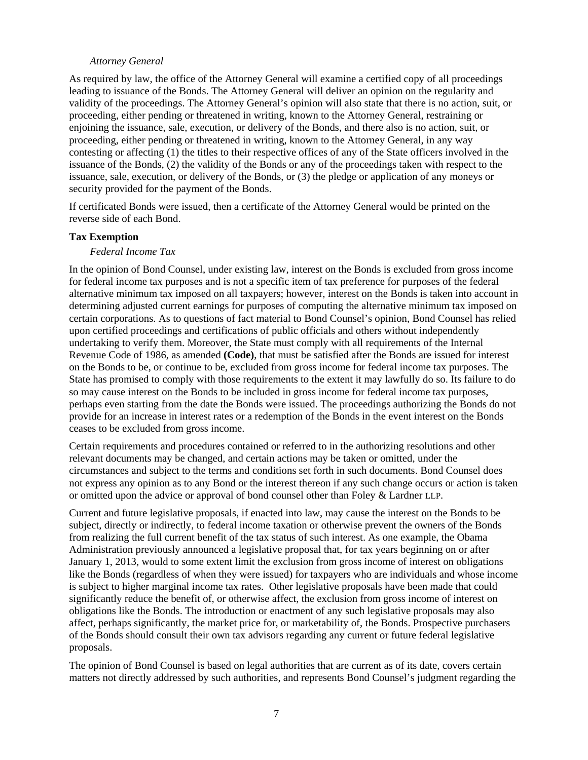# *Attorney General*

<span id="page-10-0"></span>As required by law, the office of the Attorney General will examine a certified copy of all proceedings leading to issuance of the Bonds. The Attorney General will deliver an opinion on the regularity and validity of the proceedings. The Attorney General's opinion will also state that there is no action, suit, or proceeding, either pending or threatened in writing, known to the Attorney General, restraining or enjoining the issuance, sale, execution, or delivery of the Bonds, and there also is no action, suit, or proceeding, either pending or threatened in writing, known to the Attorney General, in any way contesting or affecting (1) the titles to their respective offices of any of the State officers involved in the issuance of the Bonds, (2) the validity of the Bonds or any of the proceedings taken with respect to the issuance, sale, execution, or delivery of the Bonds, or (3) the pledge or application of any moneys or security provided for the payment of the Bonds.

If certificated Bonds were issued, then a certificate of the Attorney General would be printed on the reverse side of each Bond.

## **Tax Exemption**

## *Federal Income Tax*

In the opinion of Bond Counsel, under existing law, interest on the Bonds is excluded from gross income for federal income tax purposes and is not a specific item of tax preference for purposes of the federal alternative minimum tax imposed on all taxpayers; however, interest on the Bonds is taken into account in determining adjusted current earnings for purposes of computing the alternative minimum tax imposed on certain corporations. As to questions of fact material to Bond Counsel's opinion, Bond Counsel has relied upon certified proceedings and certifications of public officials and others without independently undertaking to verify them. Moreover, the State must comply with all requirements of the Internal Revenue Code of 1986, as amended **(Code)**, that must be satisfied after the Bonds are issued for interest on the Bonds to be, or continue to be, excluded from gross income for federal income tax purposes. The State has promised to comply with those requirements to the extent it may lawfully do so. Its failure to do so may cause interest on the Bonds to be included in gross income for federal income tax purposes, perhaps even starting from the date the Bonds were issued. The proceedings authorizing the Bonds do not provide for an increase in interest rates or a redemption of the Bonds in the event interest on the Bonds ceases to be excluded from gross income.

Certain requirements and procedures contained or referred to in the authorizing resolutions and other relevant documents may be changed, and certain actions may be taken or omitted, under the circumstances and subject to the terms and conditions set forth in such documents. Bond Counsel does not express any opinion as to any Bond or the interest thereon if any such change occurs or action is taken or omitted upon the advice or approval of bond counsel other than Foley & Lardner LLP.

Current and future legislative proposals, if enacted into law, may cause the interest on the Bonds to be subject, directly or indirectly, to federal income taxation or otherwise prevent the owners of the Bonds from realizing the full current benefit of the tax status of such interest. As one example, the Obama Administration previously announced a legislative proposal that, for tax years beginning on or after January 1, 2013, would to some extent limit the exclusion from gross income of interest on obligations like the Bonds (regardless of when they were issued) for taxpayers who are individuals and whose income is subject to higher marginal income tax rates. Other legislative proposals have been made that could significantly reduce the benefit of, or otherwise affect, the exclusion from gross income of interest on obligations like the Bonds. The introduction or enactment of any such legislative proposals may also affect, perhaps significantly, the market price for, or marketability of, the Bonds. Prospective purchasers of the Bonds should consult their own tax advisors regarding any current or future federal legislative proposals.

The opinion of Bond Counsel is based on legal authorities that are current as of its date, covers certain matters not directly addressed by such authorities, and represents Bond Counsel's judgment regarding the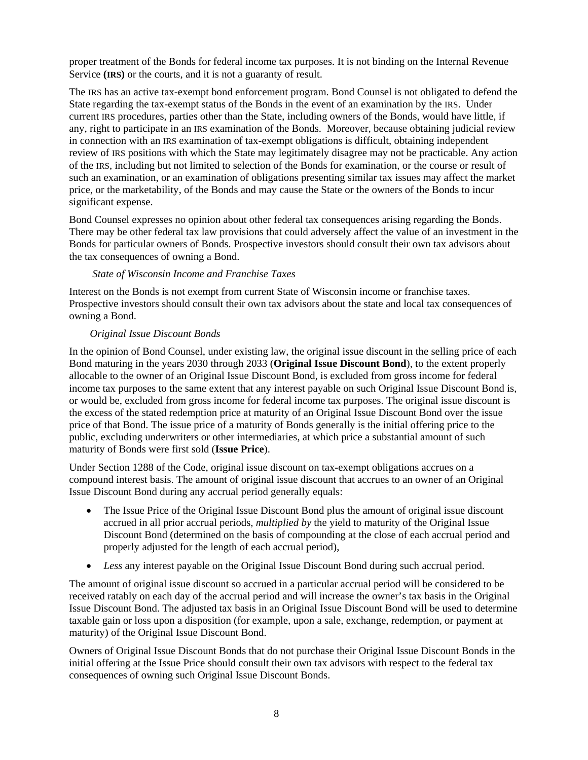<span id="page-11-0"></span>proper treatment of the Bonds for federal income tax purposes. It is not binding on the Internal Revenue Service **(IRS)** or the courts, and it is not a guaranty of result.

The IRS has an active tax-exempt bond enforcement program. Bond Counsel is not obligated to defend the State regarding the tax-exempt status of the Bonds in the event of an examination by the IRS. Under current IRS procedures, parties other than the State, including owners of the Bonds, would have little, if any, right to participate in an IRS examination of the Bonds. Moreover, because obtaining judicial review in connection with an IRS examination of tax-exempt obligations is difficult, obtaining independent review of IRS positions with which the State may legitimately disagree may not be practicable. Any action of the IRS, including but not limited to selection of the Bonds for examination, or the course or result of such an examination, or an examination of obligations presenting similar tax issues may affect the market price, or the marketability, of the Bonds and may cause the State or the owners of the Bonds to incur significant expense.

Bond Counsel expresses no opinion about other federal tax consequences arising regarding the Bonds. There may be other federal tax law provisions that could adversely affect the value of an investment in the Bonds for particular owners of Bonds. Prospective investors should consult their own tax advisors about the tax consequences of owning a Bond.

# *State of Wisconsin Income and Franchise Taxes*

Interest on the Bonds is not exempt from current State of Wisconsin income or franchise taxes. Prospective investors should consult their own tax advisors about the state and local tax consequences of owning a Bond.

# *Original Issue Discount Bonds*

In the opinion of Bond Counsel, under existing law, the original issue discount in the selling price of each Bond maturing in the years 2030 through 2033 (**Original Issue Discount Bond**), to the extent properly allocable to the owner of an Original Issue Discount Bond, is excluded from gross income for federal income tax purposes to the same extent that any interest payable on such Original Issue Discount Bond is, or would be, excluded from gross income for federal income tax purposes. The original issue discount is the excess of the stated redemption price at maturity of an Original Issue Discount Bond over the issue price of that Bond. The issue price of a maturity of Bonds generally is the initial offering price to the public, excluding underwriters or other intermediaries, at which price a substantial amount of such maturity of Bonds were first sold (**Issue Price**).

Under Section 1288 of the Code, original issue discount on tax-exempt obligations accrues on a compound interest basis. The amount of original issue discount that accrues to an owner of an Original Issue Discount Bond during any accrual period generally equals:

- The Issue Price of the Original Issue Discount Bond plus the amount of original issue discount accrued in all prior accrual periods, *multiplied by* the yield to maturity of the Original Issue Discount Bond (determined on the basis of compounding at the close of each accrual period and properly adjusted for the length of each accrual period),
- *Less* any interest payable on the Original Issue Discount Bond during such accrual period.

The amount of original issue discount so accrued in a particular accrual period will be considered to be received ratably on each day of the accrual period and will increase the owner's tax basis in the Original Issue Discount Bond. The adjusted tax basis in an Original Issue Discount Bond will be used to determine taxable gain or loss upon a disposition (for example, upon a sale, exchange, redemption, or payment at maturity) of the Original Issue Discount Bond.

Owners of Original Issue Discount Bonds that do not purchase their Original Issue Discount Bonds in the initial offering at the Issue Price should consult their own tax advisors with respect to the federal tax consequences of owning such Original Issue Discount Bonds.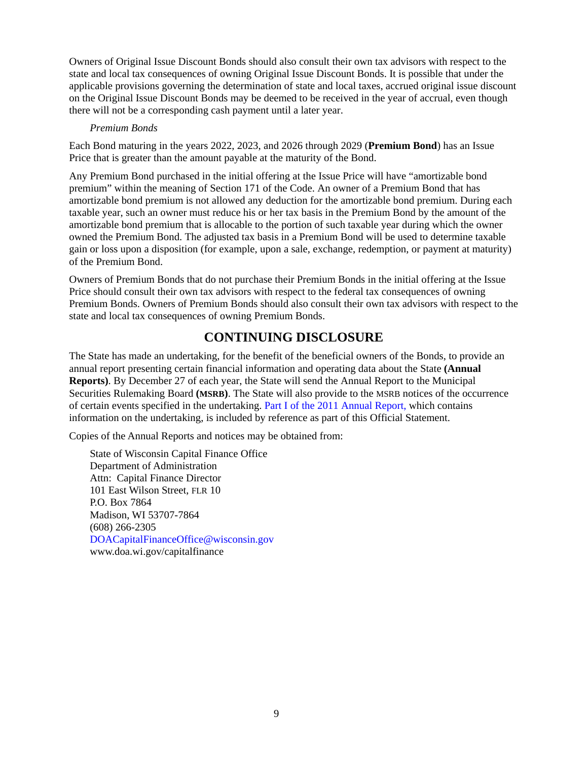<span id="page-12-0"></span>Owners of Original Issue Discount Bonds should also consult their own tax advisors with respect to the state and local tax consequences of owning Original Issue Discount Bonds. It is possible that under the applicable provisions governing the determination of state and local taxes, accrued original issue discount on the Original Issue Discount Bonds may be deemed to be received in the year of accrual, even though there will not be a corresponding cash payment until a later year.

### *Premium Bonds*

Each Bond maturing in the years 2022, 2023, and 2026 through 2029 (**Premium Bond**) has an Issue Price that is greater than the amount payable at the maturity of the Bond.

Any Premium Bond purchased in the initial offering at the Issue Price will have "amortizable bond premium" within the meaning of Section 171 of the Code. An owner of a Premium Bond that has amortizable bond premium is not allowed any deduction for the amortizable bond premium. During each taxable year, such an owner must reduce his or her tax basis in the Premium Bond by the amount of the amortizable bond premium that is allocable to the portion of such taxable year during which the owner owned the Premium Bond. The adjusted tax basis in a Premium Bond will be used to determine taxable gain or loss upon a disposition (for example, upon a sale, exchange, redemption, or payment at maturity) of the Premium Bond.

Owners of Premium Bonds that do not purchase their Premium Bonds in the initial offering at the Issue Price should consult their own tax advisors with respect to the federal tax consequences of owning Premium Bonds. Owners of Premium Bonds should also consult their own tax advisors with respect to the state and local tax consequences of owning Premium Bonds.

# **CONTINUING DISCLOSURE**

The State has made an undertaking, for the benefit of the beneficial owners of the Bonds, to provide an annual report presenting certain financial information and operating data about the State **(Annual Reports)**. By December 27 of each year, the State will send the Annual Report to the Municipal Securities Rulemaking Board **(MSRB)**. The State will also provide to the MSRB notices of the occurrence of certain events specified in the undertaking[. Part I of the 2011 Annual Report,](https://doa.wi.gov/DEBFCapitalFinance/2011/11dis1.pdf) which contains information on the undertaking, is included by reference as part of this Official Statement.

Copies of the Annual Reports and notices may be obtained from:

State of Wisconsin Capital Finance Office Department of Administration Attn: Capital Finance Director 101 East Wilson Street, FLR 10 [P.O. Box 7864](https://doa.wi.gov/capitalfinance)  Madison, WI 53707-7864 (608) 266-2305 [DOACapitalFinanceOffice@wisconsin.gov](mailto: DOACapitalFinanceOffice@Wisconsin.gov)  www.doa.wi.gov/capitalfinance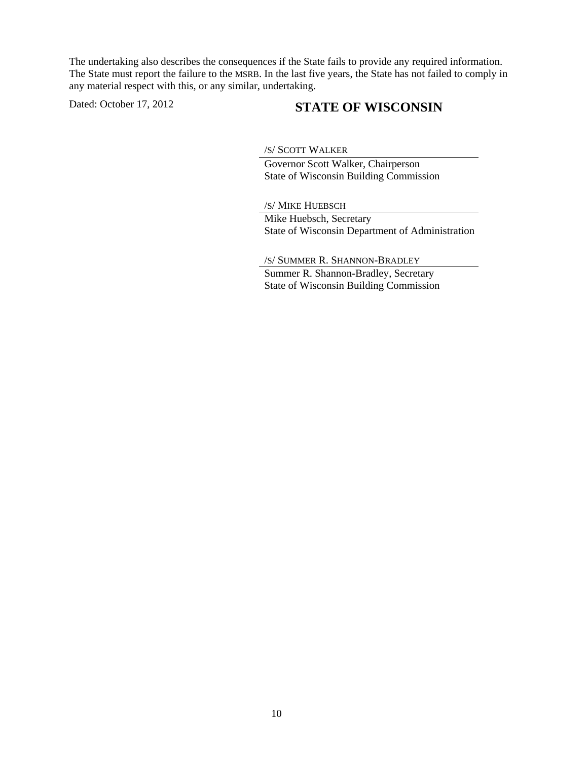The undertaking also describes the consequences if the State fails to provide any required information. The State must report the failure to the MSRB. In the last five years, the State has not failed to comply in any material respect with this, or any similar, undertaking.

# Dated: October 17, 2012 **STATE OF WISCONSIN**

/S/ SCOTT WALKER

 Governor Scott Walker, Chairperson State of Wisconsin Building Commission

 /S/ MIKE HUEBSCH Mike Huebsch, Secretary State of Wisconsin Department of Administration

 /S/ SUMMER R. SHANNON-BRADLEY Summer R. Shannon-Bradley, Secretary State of Wisconsin Building Commission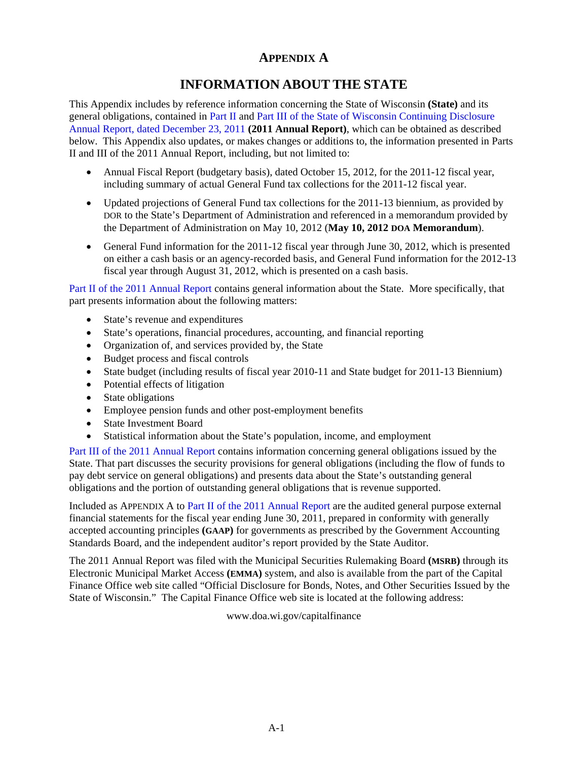# **APPENDIX A**

# **INFORMATION ABOUT THE STATE**

<span id="page-14-0"></span>This Appendix includes by reference information concerning the State of Wisconsin **(State)** and its general obligations, contained in Part [II a](https://doa.wi.gov/DEBFCapitalFinance/2011/11dis2.pdf)nd Part [III o](https://doa.wi.gov/DEBFCapitalFinance/2011/11dis3.pdf)f the State of Wisconsin Continuing Disclosure Annual Report, dated December 23, 2011 **(2011 Annual Report)**, which can be obtained as described below. This Appendix also updates, or makes changes or additions to, the information presented in Parts II and III of the 2011 Annual Report, including, but not limited to:

- Annual Fiscal Report (budgetary basis), dated October 15, 2012, for the 2011-12 fiscal year, including summary of actual General Fund tax collections for the 2011-12 fiscal year.
- Updated projections of General Fund tax collections for the 2011-13 biennium, as provided by DOR to the State's Department of Administration and referenced in a memorandum provided by the Department of Administration on May 10, 2012 (**May 10, 2012 DOA Memorandum**).
- General Fund information for the 2011-12 fiscal year through June 30, 2012, which is presented on either a cash basis or an agency-recorded basis, and General Fund information for the 2012-13 fiscal year through August 31, 2012, which is presented on a cash basis.

[Part II of the 2011 Annual Report](https://doa.wi.gov/DEBFCapitalFinance/2011/11dis2.pdf) contains general information about the State. More specifically, that part presents information about the following matters:

- State's revenue and expenditures
- State's operations, financial procedures, accounting, and financial reporting
- Organization of, and services provided by, the State
- Budget process and fiscal controls
- State budget (including results of fiscal year 2010-11 and State budget for 2011-13 Biennium)
- Potential effects of litigation
- State obligations
- Employee pension funds and other post-employment benefits
- State Investment Board
- Statistical information about the State's population, income, and employment

[Part III of the 2011 Annual Report c](https://doa.wi.gov/DEBFCapitalFinance/2011/11dis3.pdf)ontains information concerning general obligations issued by the State. That part discusses the security provisions for general obligations (including the flow of funds to pay debt service on general obligations) and presents data about the State's outstanding general obligations and the portion of outstanding general obligations that is revenue supported.

Included as APPENDIX A t[o Part II of the 2011 Annual Report a](https://doa.wi.gov/DEBFCapitalFinance/2011/11dis2.pdf)re the audited general purpose external financial statements for the fiscal year ending June 30, 2011, prepared in conformity with generally accepted accounting principles **(GAAP)** for governments as prescribed by the Government Accounting Standards Board, and the independent auditor's report provided by the State Auditor.

The 2011 Annual Report was filed with the Municipal Securities Rulemaking Board **(MSRB)** through its Electronic Municipal Market Access **(EMMA)** system, and also is available from the part of the Capital Finance Office web site called "Official Disclosure for Bonds, Notes, and Other Securities Issued by the State of Wisconsin." The Capital Finance Office web site is located at the following address:

[www.doa.wi.gov/capitalfinance](https://doa.wi.gov/capitalfinance)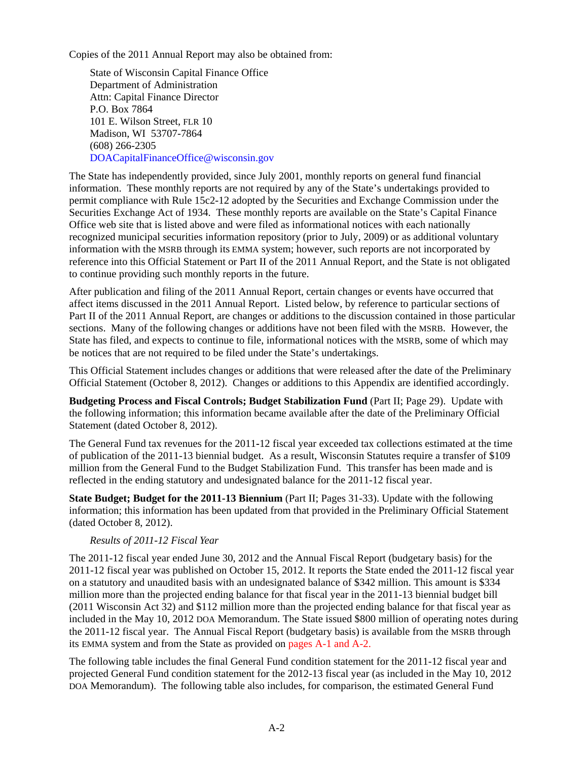<span id="page-15-0"></span>Copies of the 2011 Annual Report may also be obtained from:

State of Wisconsin Capital Finance Office Department of Administration Attn: Capital Finance Director P.O. Box 7864 101 E. Wilson Street, FLR 10 Madison, WI 53707-7864 (608) 266-2305 [DOACapitalFinanceOffice@wisconsin.gov](mailto: DOACapitalFinanceOffice@Wisconsin.gov) 

The State has independently provided, since July 2001, monthly reports on general fund financial information. These monthly reports are not required by any of the State's undertakings provided to permit compliance with Rule 15c2-12 adopted by the Securities and Exchange Commission under the Securities Exchange Act of 1934. These monthly reports are available on the State's Capital Finance Office web site that is listed above and were filed as informational notices with each nationally recognized municipal securities information repository (prior to July, 2009) or as additional voluntary information with the MSRB through its EMMA system; however, such reports are not incorporated by reference into this Official Statement or Part II of the 2011 Annual Report, and the State is not obligated to continue providing such monthly reports in the future.

After publication and filing of the 2011 Annual Report, certain changes or events have occurred that affect items discussed in the 2011 Annual Report. Listed below, by reference to particular sections of Part II of the 2011 Annual Report, are changes or additions to the discussion contained in those particular sections. Many of the following changes or additions have not been filed with the MSRB. However, the State has filed, and expects to continue to file, informational notices with the MSRB, some of which may be notices that are not required to be filed under the State's undertakings.

This Official Statement includes changes or additions that were released after the date of the Preliminary Official Statement (October 8, 2012). Changes or additions to this Appendix are identified accordingly.

**Budgeting Process and Fiscal Controls; Budget Stabilization Fund** (Part II; Page 29). Update with the following information; this information became available after the date of the Preliminary Official Statement (dated October 8, 2012).

The General Fund tax revenues for the 2011**-**12 fiscal year exceeded tax collections estimated at the time of publication of the 2011-13 biennial budget. As a result, Wisconsin Statutes require a transfer of \$109 million from the General Fund to the Budget Stabilization Fund. This transfer has been made and is reflected in the ending statutory and undesignated balance for the 2011-12 fiscal year.

**State Budget; Budget for the 2011-13 Biennium** (Part II; Pages 31-33). Update with the following information; this information has been updated from that provided in the Preliminary Official Statement (dated October 8, 2012).

# *Results of 2011-12 Fiscal Year*

The 2011-12 fiscal year ended June 30, 2012 and the Annual Fiscal Report (budgetary basis) for the 2011-12 fiscal year was published on October 15, 2012. It reports the State ended the 2011-12 fiscal year on a statutory and unaudited basis with an undesignated balance of \$342 million. This amount is \$334 million more than the projected ending balance for that fiscal year in the 2011-13 biennial budget bill (2011 Wisconsin Act 32) and \$112 million more than the projected ending balance for that fiscal year as included in the May 10, 2012 DOA Memorandum. The State issued \$800 million of operating notes during the 2011-12 fiscal year. The Annual Fiscal Report (budgetary basis) is available from the MSRB through its EMMA system and from the State as provided on [pages A-1 and A-2.](#page-14-0) 

The following table includes the final General Fund condition statement for the 2011-12 fiscal year and projected General Fund condition statement for the 2012-13 fiscal year (as included in the May 10, 2012 DOA Memorandum). The following table also includes, for comparison, the estimated General Fund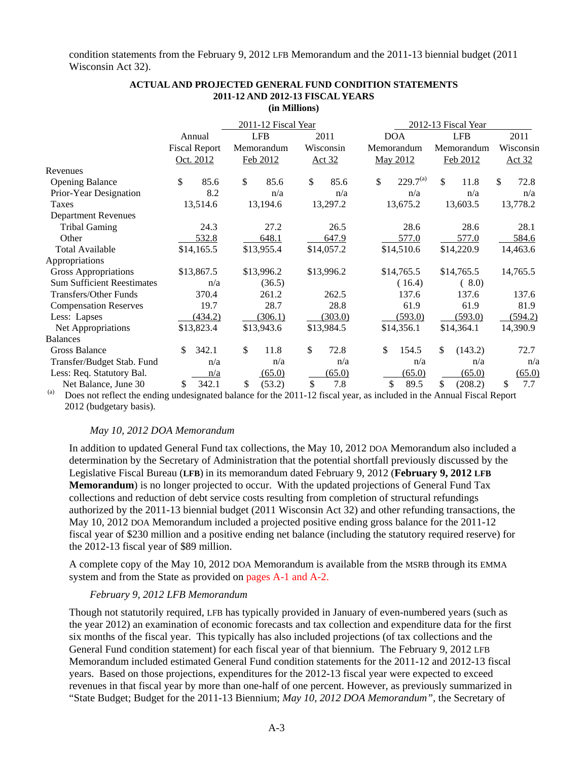condition statements from the February 9, 2012 LFB Memorandum and the 2011-13 biennial budget (2011 Wisconsin Act 32).

|                                   |                      | 2011-12 Fiscal Year |               |                     | 2012-13 Fiscal Year |                      |  |  |  |
|-----------------------------------|----------------------|---------------------|---------------|---------------------|---------------------|----------------------|--|--|--|
|                                   | Annual               | <b>LFB</b>          | 2011          | DOA                 | <b>LFB</b>          | 2011                 |  |  |  |
|                                   | <b>Fiscal Report</b> | Memorandum          | Wisconsin     | Memorandum          | Memorandum          | Wisconsin            |  |  |  |
|                                   | Oct. 2012            | Feb 2012            | <u>Act 32</u> | May 2012            | Feb 2012            | <u>Act 32</u>        |  |  |  |
| Revenues                          |                      |                     |               |                     |                     |                      |  |  |  |
| <b>Opening Balance</b>            | \$<br>85.6           | \$<br>85.6          | \$<br>85.6    | $229.7^{(a)}$<br>\$ | \$<br>11.8          | $\mathbb{S}$<br>72.8 |  |  |  |
| Prior-Year Designation            | 8.2                  | n/a                 | n/a           | n/a                 | n/a                 | n/a                  |  |  |  |
| Taxes                             | 13,514.6             | 13,194.6            | 13,297.2      | 13,675.2            | 13,603.5            | 13,778.2             |  |  |  |
| <b>Department Revenues</b>        |                      |                     |               |                     |                     |                      |  |  |  |
| <b>Tribal Gaming</b>              | 24.3                 | 27.2                | 26.5          | 28.6                | 28.6                | 28.1                 |  |  |  |
| Other                             | 532.8                | 648.1               | 647.9         | 577.0               | 577.0               | 584.6                |  |  |  |
| <b>Total Available</b>            | \$14,165.5           | \$13,955.4          | \$14,057.2    | \$14,510.6          | \$14,220.9          | 14,463.6             |  |  |  |
| Appropriations                    |                      |                     |               |                     |                     |                      |  |  |  |
| Gross Appropriations              | \$13,867.5           | \$13,996.2          | \$13,996.2    | \$14,765.5          | \$14,765.5          | 14,765.5             |  |  |  |
| <b>Sum Sufficient Reestimates</b> | n/a                  | (36.5)              |               | (16.4)              | (8.0)               |                      |  |  |  |
| Transfers/Other Funds             | 370.4                | 261.2               | 262.5         | 137.6               | 137.6               | 137.6                |  |  |  |
| <b>Compensation Reserves</b>      | 19.7                 | 28.7                | 28.8          | 61.9                | 61.9                | 81.9                 |  |  |  |
| Less: Lapses                      | (434.2)              | (306.1)             | (303.0)       | (593.0)             | (593.0)             | (594.2)              |  |  |  |
| Net Appropriations                | \$13,823.4           | \$13,943.6          | \$13,984.5    | \$14,356.1          | \$14,364.1          | 14,390.9             |  |  |  |
| <b>Balances</b>                   |                      |                     |               |                     |                     |                      |  |  |  |
| Gross Balance                     | \$.<br>342.1         | \$<br>11.8          | \$<br>72.8    | \$<br>154.5         | \$<br>(143.2)       | 72.7                 |  |  |  |
| Transfer/Budget Stab. Fund        | n/a                  | n/a                 | n/a           | n/a                 | n/a                 | n/a                  |  |  |  |
| Less: Req. Statutory Bal.         | n/a                  | (65.0)              | (65.0)        | (65.0)              | (65.0)              | (65.0)               |  |  |  |
| Net Balance, June 30              | \$<br>342.1          | \$<br>(53.2)        | \$<br>7.8     | \$<br>89.5          | \$<br>(208.2)       | \$<br>7.7            |  |  |  |

#### **ACTUAL AND PROJECTED GENERAL FUND CONDITION STATEMENTS 2011-12 AND 2012-13 FISCAL YEARS (in Millions)**

Does not reflect the ending undesignated balance for the 2011-12 fiscal year, as included in the Annual Fiscal Report 2012 (budgetary basis).

### *May 10, 2012 DOA Memorandum*

In addition to updated General Fund tax collections, the May 10, 2012 DOA Memorandum also included a determination by the Secretary of Administration that the potential shortfall previously discussed by the Legislative Fiscal Bureau (**LFB**) in its memorandum dated February 9, 2012 (**February 9, 2012 LFB Memorandum**) is no longer projected to occur. With the updated projections of General Fund Tax collections and reduction of debt service costs resulting from completion of structural refundings authorized by the 2011-13 biennial budget (2011 Wisconsin Act 32) and other refunding transactions, the May 10, 2012 DOA Memorandum included a projected positive ending gross balance for the 2011-12 fiscal year of \$230 million and a positive ending net balance (including the statutory required reserve) for the 2012-13 fiscal year of \$89 million.

A complete copy of the May 10, 2012 DOA Memorandum is available from the MSRB through its EMMA system and from the State as provided o[n pages A-1 and A-2.](#page-14-0) 

#### *February 9, 2012 LFB Memorandum*

Though not statutorily required, LFB has typically provided in January of even-numbered years (such as the year 2012) an examination of economic forecasts and tax collection and expenditure data for the first six months of the fiscal year. This typically has also included projections (of tax collections and the General Fund condition statement) for each fiscal year of that biennium. The February 9, 2012 LFB Memorandum included estimated General Fund condition statements for the 2011-12 and 2012-13 fiscal years. Based on those projections, expenditures for the 2012-13 fiscal year were expected to exceed revenues in that fiscal year by more than one-half of one percent. However, as previously summarized in "State Budget; Budget for the 2011-13 Biennium; *May 10, 2012 DOA Memorandum",* the Secretary of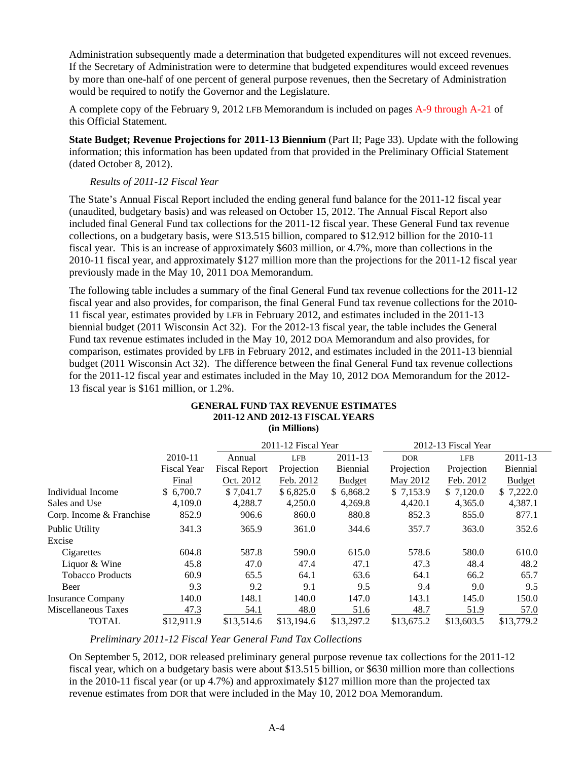Administration subsequently made a determination that budgeted expenditures will not exceed revenues. If the Secretary of Administration were to determine that budgeted expenditures would exceed revenues by more than one-half of one percent of general purpose revenues, then the Secretary of Administration would be required to notify the Governor and the Legislature.

A complete copy of the February 9, 2012 LFB Memorandum is included on pages [A-9 through A-21 o](#page-22-0)f this Official Statement.

**State Budget; Revenue Projections for 2011-13 Biennium** (Part II; Page 33). Update with the following information; this information has been updated from that provided in the Preliminary Official Statement (dated October 8, 2012).

# *Results of 2011-12 Fiscal Year*

The State's Annual Fiscal Report included the ending general fund balance for the 2011-12 fiscal year (unaudited, budgetary basis) and was released on October 15, 2012. The Annual Fiscal Report also included final General Fund tax collections for the 2011-12 fiscal year. These General Fund tax revenue collections, on a budgetary basis, were \$13.515 billion, compared to \$12.912 billion for the 2010-11 fiscal year. This is an increase of approximately \$603 million, or 4.7%, more than collections in the 2010-11 fiscal year, and approximately \$127 million more than the projections for the 2011-12 fiscal year previously made in the May 10, 2011 DOA Memorandum.

The following table includes a summary of the final General Fund tax revenue collections for the 2011-12 fiscal year and also provides, for comparison, the final General Fund tax revenue collections for the 2010- 11 fiscal year, estimates provided by LFB in February 2012, and estimates included in the 2011-13 biennial budget (2011 Wisconsin Act 32). For the 2012-13 fiscal year, the table includes the General Fund tax revenue estimates included in the May 10, 2012 DOA Memorandum and also provides, for comparison, estimates provided by LFB in February 2012, and estimates included in the 2011-13 biennial budget (2011 Wisconsin Act 32). The difference between the final General Fund tax revenue collections for the 2011-12 fiscal year and estimates included in the May 10, 2012 DOA Memorandum for the 2012- 13 fiscal year is \$161 million, or 1.2%.

|                          |                    | 2011-12 AND 2012-13 FISCAL TEANS | (in Millions)       |                 |            |                     |               |  |
|--------------------------|--------------------|----------------------------------|---------------------|-----------------|------------|---------------------|---------------|--|
|                          |                    |                                  | 2011-12 Fiscal Year |                 |            | 2012-13 Fiscal Year |               |  |
|                          | 2010-11            | Annual                           | <b>LFB</b>          | 2011-13         | <b>DOR</b> | <b>LFB</b>          | 2011-13       |  |
|                          | <b>Fiscal Year</b> | <b>Fiscal Report</b>             | Projection          | <b>Biennial</b> | Projection | Projection          | Biennial      |  |
|                          | Final              | Oct. 2012                        | Feb. 2012           | <b>Budget</b>   | May 2012   | Feb. 2012           | <b>Budget</b> |  |
| Individual Income        | \$6,700.7          | \$7,041.7                        | \$6,825.0           | \$6,868.2       | \$7,153.9  | \$7,120.0           | \$7,222.0     |  |
| Sales and Use            | 4,109.0            | 4,288.7                          | 4,250.0             | 4,269.8         | 4,420.1    | 4,365.0             | 4,387.1       |  |
| Corp. Income & Franchise | 852.9              | 906.6                            | 860.0               | 880.8           | 852.3      | 855.0               | 877.1         |  |
| Public Utility           | 341.3              | 365.9                            | 361.0               | 344.6           | 357.7      | 363.0               | 352.6         |  |
| Excise                   |                    |                                  |                     |                 |            |                     |               |  |
| Cigarettes               | 604.8              | 587.8                            | 590.0               | 615.0           | 578.6      | 580.0               | 610.0         |  |
| Liquor & Wine            | 45.8               | 47.0                             | 47.4                | 47.1            | 47.3       | 48.4                | 48.2          |  |
| <b>Tobacco Products</b>  | 60.9               | 65.5                             | 64.1                | 63.6            | 64.1       | 66.2                | 65.7          |  |
| Beer                     | 9.3                | 9.2                              | 9.1                 | 9.5             | 9.4        | 9.0                 | 9.5           |  |
| <b>Insurance Company</b> | 140.0              | 148.1                            | 140.0               | 147.0           | 143.1      | 145.0               | 150.0         |  |
| Miscellaneous Taxes      | 47.3               | 54.1                             | 48.0                | 51.6            | 48.7       | 51.9                | 57.0          |  |
| <b>TOTAL</b>             | \$12,911.9         | \$13,514.6                       | \$13,194.6          | \$13,297.2      | \$13,675.2 | \$13,603.5          | \$13,779.2    |  |

# **GENERAL FUND TAX REVENUE ESTIMATES 2011-12 AND 2012-13 FISCAL YEARS**

*Preliminary 2011-12 Fiscal Year General Fund Tax Collections* 

On September 5, 2012, DOR released preliminary general purpose revenue tax collections for the 2011-12 fiscal year, which on a budgetary basis were about \$13.515 billion, or \$630 million more than collections in the 2010-11 fiscal year (or up 4.7%) and approximately \$127 million more than the projected tax revenue estimates from DOR that were included in the May 10, 2012 DOA Memorandum.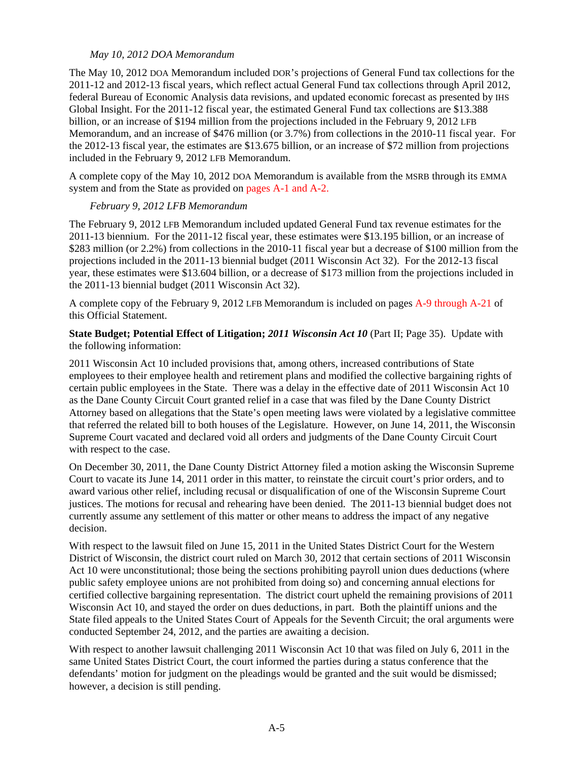# *May 10, 2012 DOA Memorandum*

The May 10, 2012 DOA Memorandum included DOR's projections of General Fund tax collections for the 2011-12 and 2012-13 fiscal years, which reflect actual General Fund tax collections through April 2012, federal Bureau of Economic Analysis data revisions, and updated economic forecast as presented by IHS Global Insight. For the 2011-12 fiscal year, the estimated General Fund tax collections are \$13.388 billion, or an increase of \$194 million from the projections included in the February 9, 2012 LFB Memorandum, and an increase of \$476 million (or 3.7%) from collections in the 2010-11 fiscal year. For the 2012-13 fiscal year, the estimates are \$13.675 billion, or an increase of \$72 million from projections included in the February 9, 2012 LFB Memorandum.

A complete copy of the May 10, 2012 DOA Memorandum is available from the MSRB through its EMMA system and from the State as provided on [pages A-1 and A-2.](#page-14-0)

# *February 9, 2012 LFB Memorandum*

The February 9, 2012 LFB Memorandum included updated General Fund tax revenue estimates for the 2011-13 biennium. For the 2011-12 fiscal year, these estimates were \$13.195 billion, or an increase of \$283 million (or 2.2%) from collections in the 2010-11 fiscal year but a decrease of \$100 million from the projections included in the 2011-13 biennial budget (2011 Wisconsin Act 32). For the 2012-13 fiscal year, these estimates were \$13.604 billion, or a decrease of \$173 million from the projections included in the 2011-13 biennial budget (2011 Wisconsin Act 32).

A complete copy of the February 9, 2012 LFB Memorandum is included on page[s A-9 through A-21](#page-22-0) of this Official Statement.

**State Budget; Potential Effect of Litigation;** *2011 Wisconsin Act 10* (Part II; Page 35). Update with the following information:

2011 Wisconsin Act 10 included provisions that, among others, increased contributions of State employees to their employee health and retirement plans and modified the collective bargaining rights of certain public employees in the State. There was a delay in the effective date of 2011 Wisconsin Act 10 as the Dane County Circuit Court granted relief in a case that was filed by the Dane County District Attorney based on allegations that the State's open meeting laws were violated by a legislative committee that referred the related bill to both houses of the Legislature. However, on June 14, 2011, the Wisconsin Supreme Court vacated and declared void all orders and judgments of the Dane County Circuit Court with respect to the case.

On December 30, 2011, the Dane County District Attorney filed a motion asking the Wisconsin Supreme Court to vacate its June 14, 2011 order in this matter, to reinstate the circuit court's prior orders, and to award various other relief, including recusal or disqualification of one of the Wisconsin Supreme Court justices. The motions for recusal and rehearing have been denied. The 2011-13 biennial budget does not currently assume any settlement of this matter or other means to address the impact of any negative decision.

With respect to the lawsuit filed on June 15, 2011 in the United States District Court for the Western District of Wisconsin, the district court ruled on March 30, 2012 that certain sections of 2011 Wisconsin Act 10 were unconstitutional; those being the sections prohibiting payroll union dues deductions (where public safety employee unions are not prohibited from doing so) and concerning annual elections for certified collective bargaining representation. The district court upheld the remaining provisions of 2011 Wisconsin Act 10, and stayed the order on dues deductions, in part. Both the plaintiff unions and the State filed appeals to the United States Court of Appeals for the Seventh Circuit; the oral arguments were conducted September 24, 2012, and the parties are awaiting a decision.

With respect to another lawsuit challenging 2011 Wisconsin Act 10 that was filed on July 6, 2011 in the same United States District Court, the court informed the parties during a status conference that the defendants' motion for judgment on the pleadings would be granted and the suit would be dismissed; however, a decision is still pending.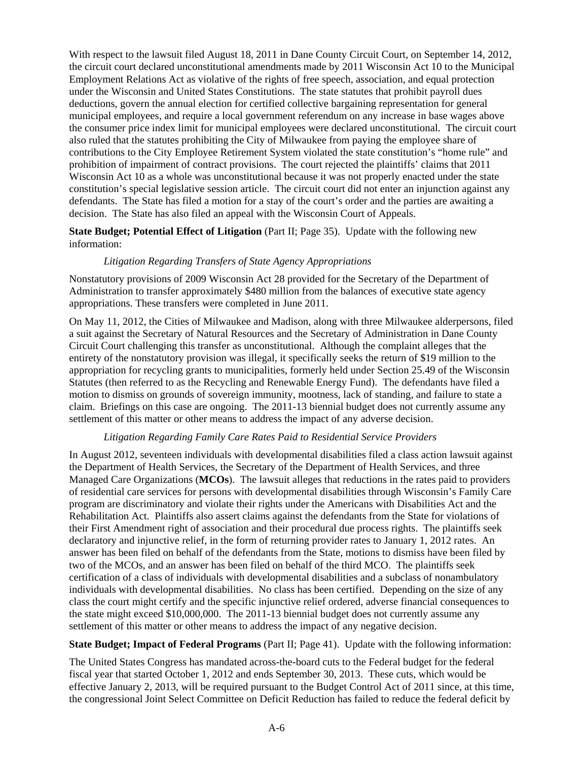With respect to the lawsuit filed August 18, 2011 in Dane County Circuit Court, on September 14, 2012, the circuit court declared unconstitutional amendments made by 2011 Wisconsin Act 10 to the Municipal Employment Relations Act as violative of the rights of free speech, association, and equal protection under the Wisconsin and United States Constitutions. The state statutes that prohibit payroll dues deductions, govern the annual election for certified collective bargaining representation for general municipal employees, and require a local government referendum on any increase in base wages above the consumer price index limit for municipal employees were declared unconstitutional. The circuit court also ruled that the statutes prohibiting the City of Milwaukee from paying the employee share of contributions to the City Employee Retirement System violated the state constitution's "home rule" and prohibition of impairment of contract provisions. The court rejected the plaintiffs' claims that 2011 Wisconsin Act 10 as a whole was unconstitutional because it was not properly enacted under the state constitution's special legislative session article. The circuit court did not enter an injunction against any defendants. The State has filed a motion for a stay of the court's order and the parties are awaiting a decision. The State has also filed an appeal with the Wisconsin Court of Appeals.

# **State Budget; Potential Effect of Litigation** (Part II; Page 35). Update with the following new information:

# *Litigation Regarding Transfers of State Agency Appropriations*

Nonstatutory provisions of 2009 Wisconsin Act 28 provided for the Secretary of the Department of Administration to transfer approximately \$480 million from the balances of executive state agency appropriations. These transfers were completed in June 2011.

On May 11, 2012, the Cities of Milwaukee and Madison, along with three Milwaukee alderpersons, filed a suit against the Secretary of Natural Resources and the Secretary of Administration in Dane County Circuit Court challenging this transfer as unconstitutional. Although the complaint alleges that the entirety of the nonstatutory provision was illegal, it specifically seeks the return of \$19 million to the appropriation for recycling grants to municipalities, formerly held under Section 25.49 of the Wisconsin Statutes (then referred to as the Recycling and Renewable Energy Fund). The defendants have filed a motion to dismiss on grounds of sovereign immunity, mootness, lack of standing, and failure to state a claim. Briefings on this case are ongoing. The 2011-13 biennial budget does not currently assume any settlement of this matter or other means to address the impact of any adverse decision.

# *Litigation Regarding Family Care Rates Paid to Residential Service Providers*

In August 2012, seventeen individuals with developmental disabilities filed a class action lawsuit against the Department of Health Services, the Secretary of the Department of Health Services, and three Managed Care Organizations (**MCOs**). The lawsuit alleges that reductions in the rates paid to providers of residential care services for persons with developmental disabilities through Wisconsin's Family Care program are discriminatory and violate their rights under the Americans with Disabilities Act and the Rehabilitation Act. Plaintiffs also assert claims against the defendants from the State for violations of their First Amendment right of association and their procedural due process rights. The plaintiffs seek declaratory and injunctive relief, in the form of returning provider rates to January 1, 2012 rates. An answer has been filed on behalf of the defendants from the State, motions to dismiss have been filed by two of the MCOs, and an answer has been filed on behalf of the third MCO. The plaintiffs seek certification of a class of individuals with developmental disabilities and a subclass of nonambulatory individuals with developmental disabilities. No class has been certified. Depending on the size of any class the court might certify and the specific injunctive relief ordered, adverse financial consequences to the state might exceed \$10,000,000. The 2011-13 biennial budget does not currently assume any settlement of this matter or other means to address the impact of any negative decision.

# **State Budget; Impact of Federal Programs** (Part II; Page 41). Update with the following information:

The United States Congress has mandated across-the-board cuts to the Federal budget for the federal fiscal year that started October 1, 2012 and ends September 30, 2013. These cuts, which would be effective January 2, 2013, will be required pursuant to the Budget Control Act of 2011 since, at this time, the congressional Joint Select Committee on Deficit Reduction has failed to reduce the federal deficit by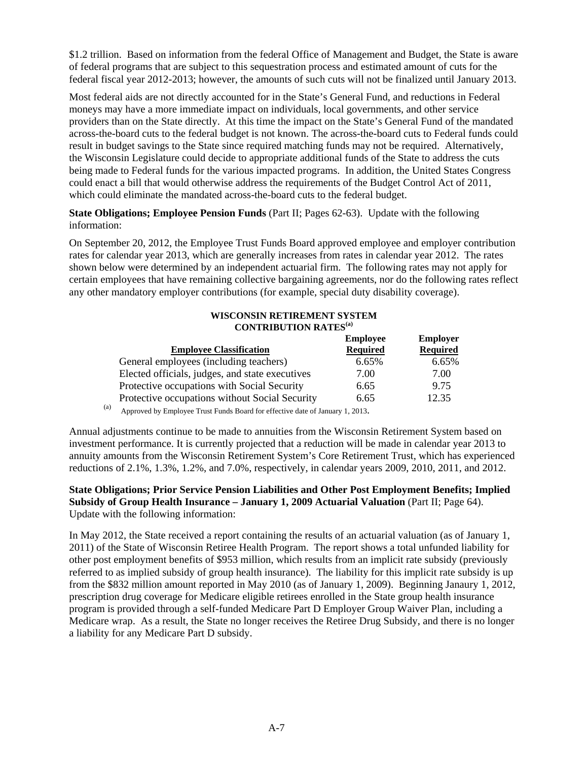\$1.2 trillion. Based on information from the federal Office of Management and Budget, the State is aware of federal programs that are subject to this sequestration process and estimated amount of cuts for the federal fiscal year 2012-2013; however, the amounts of such cuts will not be finalized until January 2013.

Most federal aids are not directly accounted for in the State's General Fund, and reductions in Federal moneys may have a more immediate impact on individuals, local governments, and other service providers than on the State directly. At this time the impact on the State's General Fund of the mandated across-the-board cuts to the federal budget is not known. The across-the-board cuts to Federal funds could result in budget savings to the State since required matching funds may not be required. Alternatively, the Wisconsin Legislature could decide to appropriate additional funds of the State to address the cuts being made to Federal funds for the various impacted programs. In addition, the United States Congress could enact a bill that would otherwise address the requirements of the Budget Control Act of 2011, which could eliminate the mandated across-the-board cuts to the federal budget.

# **State Obligations; Employee Pension Funds** (Part II; Pages 62-63).Update with the following information:

On September 20, 2012, the Employee Trust Funds Board approved employee and employer contribution rates for calendar year 2013, which are generally increases from rates in calendar year 2012. The rates shown below were determined by an independent actuarial firm. The following rates may not apply for certain employees that have remaining collective bargaining agreements, nor do the following rates reflect any other mandatory employer contributions (for example, special duty disability coverage).

## **WISCONSIN RETIREMENT SYSTEM CONTRIBUTION RATES(a)**

|                                                 | <b>Employee</b> | <b>Employer</b> |
|-------------------------------------------------|-----------------|-----------------|
| <b>Employee Classification</b>                  | <b>Required</b> | <b>Required</b> |
| General employees (including teachers)          | 6.65%           | 6.65%           |
| Elected officials, judges, and state executives | 7.00            | 7.00            |
| Protective occupations with Social Security     | 6.65            | 9.75            |
| Protective occupations without Social Security  | 6.65            | 12.35           |

(a) Approved by Employee Trust Funds Board for effective date of January 1, 2013.

Annual adjustments continue to be made to annuities from the Wisconsin Retirement System based on investment performance. It is currently projected that a reduction will be made in calendar year 2013 to annuity amounts from the Wisconsin Retirement System's Core Retirement Trust, which has experienced reductions of 2.1%, 1.3%, 1.2%, and 7.0%, respectively, in calendar years 2009, 2010, 2011, and 2012.

# **State Obligations; Prior Service Pension Liabilities and Other Post Employment Benefits; Implied Subsidy of Group Health Insurance – January 1, 2009 Actuarial Valuation** (Part II; Page 64). Update with the following information:

In May 2012, the State received a report containing the results of an actuarial valuation (as of January 1, 2011) of the State of Wisconsin Retiree Health Program. The report shows a total unfunded liability for other post employment benefits of \$953 million, which results from an implicit rate subsidy (previously referred to as implied subsidy of group health insurance). The liability for this implicit rate subsidy is up from the \$832 million amount reported in May 2010 (as of January 1, 2009). Beginning Janaury 1, 2012, prescription drug coverage for Medicare eligible retirees enrolled in the State group health insurance program is provided through a self-funded Medicare Part D Employer Group Waiver Plan, including a Medicare wrap. As a result, the State no longer receives the Retiree Drug Subsidy, and there is no longer a liability for any Medicare Part D subsidy.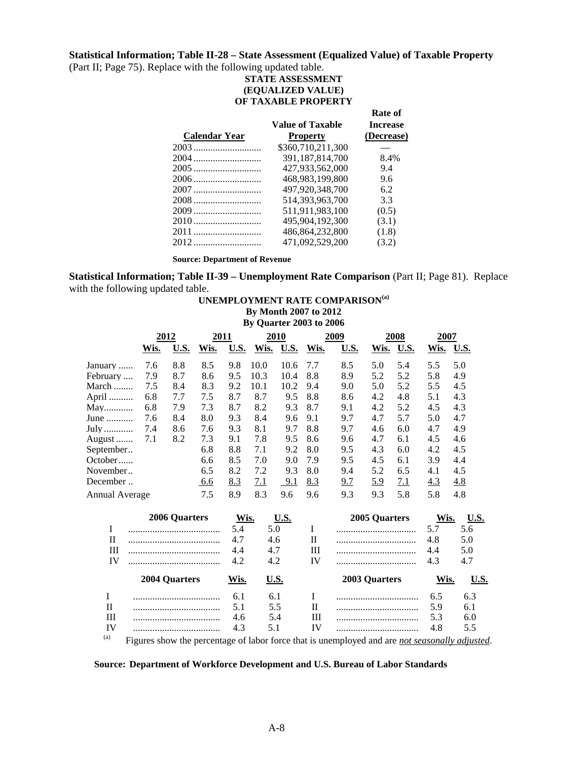### **Statistical Information; Table II-28 – State Assessment (Equalized Value) of Taxable Property**

(Part II; Page 75). Replace with the following updated table.

### **STATE ASSESSMENT (EQUALIZED VALUE) OF TAXABLE PROPERTY**

**Rate of** 

| <b>Value of Taxable</b> | <b>Increase</b> |
|-------------------------|-----------------|
| <b>Property</b>         | (Decrease)      |
| \$360,710,211,300       |                 |
| 391,187,814,700         | 8.4%            |
| 427,933,562,000         | 9.4             |
| 468.983.199.800         | 9.6             |
| 497,920,348,700         | 6.2             |
| 514.393.963.700         | 3.3             |
| 511,911,983,100         | (0.5)           |
| 495.904.192.300         | (3.1)           |
| 486,864,232,800         | (1.8)           |
| 471,092,529,200         | (3.2)           |
|                         |                 |

**Source: Department of Revenue** 

**Statistical Information; Table II-39 – Unemployment Rate Comparison** (Part II; Page 81). Replace with the following updated table.

**UNEMPLOYMENT RATE COMPARISON(a)**

# **By Month 2007 to 2012 By Quarter 2003 to 2006 2012 2011 2010 2009 2008 2007 Wis. U.S. Wis. U.S. Wis. U.S. Wis. U.S. Wis. U.S. Wis. U.S.** January ...... 7.6 8.8 8.5 9.8 10.0 10.6 7.7 8.5 5.0 5.4 5.5 5.0 February .... 7.9 8.7 8.6 9.5 10.3 10.4 8.8 8.9 5.2 5.2 5.8 4.9<br>March ........ 7.5 8.4 8.3 9.2 10.1 10.2 9.4 9.0 5.0 5.2 5.5 4.5 March ........ 7.5 8.4 8.3 9.2 10.1 10.2 9.4 9.0 5.0 5.2 5.5 4.5 April .......... 6.8 7.7 7.5 8.7 8.7 9.5 8.8 8.6 4.2 4.8 5.1 4.3 May............ 6.8 7.9 7.3 8.7 8.2 9.3 8.7 9.1 4.2 5.2 4.5 4.3 June ........... 7.6 8.4 8.0 9.3 8.4 9.6 9.1 9.7 4.7 5.7 5.0 4.7 July ............ 7.4 8.6 7.6 9.3 8.1 9.7 8.8 9.7 4.6 6.0 4.7 4.9 August ... 7.1 8.2 7.3 9.1 7.8 9.5 8.6 9.6 4.7 6.1 4.5 4.6<br>September .. 6.8 8.8 7.1 9.2 8.0 9.5 4.3 6.0 4.2 4.5 September.. 6.8 8.8 7.1 9.2 8.0 9.5 4.3 6.0 4.2 4.5 October ...... 6.6 8.5 7.0 9.0 7.9 9.5 4.5 6.1 3.9 4.4 November .. 6.5 8.2 7.2 9.3 8.0 9.4 5.2 6.5 4.1 4.5<br>December .. 6.6 8.3 7.1 9.1 8.3 9.7 5.9 7.1 4.3 4.8 December .. 6.6 8.3 7.1 9.1 8.3 9.7 5.9 7.1 4.3 4.8 Annual Average 7.5 8.9 8.3 9.6 9.6 9.3 9.3 5.8 5.8 4.8 **2006 Quarters Wis. U.S. 2005 Quarters Wis. U.S.**  I ...................................... 5.4 5.0 I ................................. 5.7 5.6 II ...................................... 4.7 4.6 II ................................. 4.8 5.0 III ...................................... 4.4 4.7 III ................................. 4.4 5.0 IV ...................................... 4.2 4.2 IV ................................. 4.3 4.7  **2004 Quarters Wis. U.S. 2003 Quarters Wis. U.S.**  I .................................... 6.1 6.1 I .................................. 6.5 6.3 II .................................... 5.1 5.5 II .................................. 5.9 6.1 III .................................... 4.6 5.4 III .................................. 5.3 6.0 IV .................................... 4.3 5.1 IV .................................. 4.8 5.5

(a) Figures show the percentage of labor force that is unemployed and are *not seasonally adjusted*.

#### **Source: Department of Workforce Development and U.S. Bureau of Labor Standards**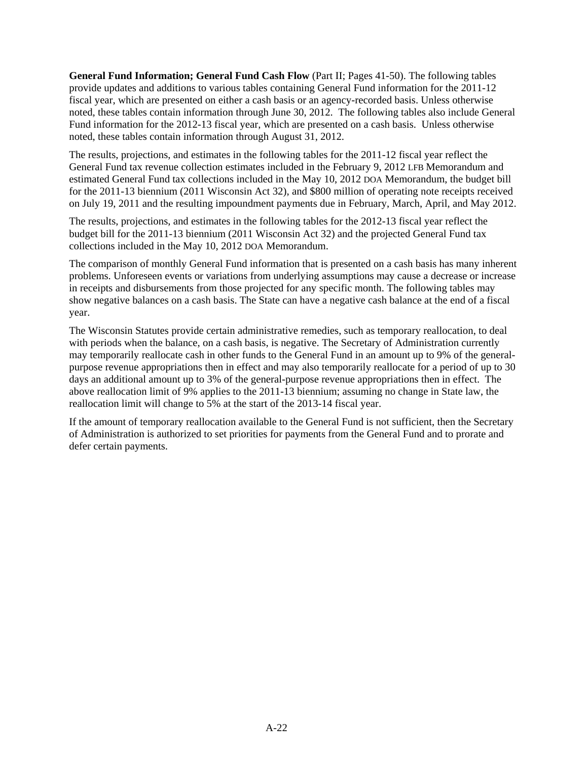<span id="page-22-0"></span>**General Fund Information; General Fund Cash Flow** (Part II; Pages 41-50). The following tables provide updates and additions to various tables containing General Fund information for the 2011-12 fiscal year, which are presented on either a cash basis or an agency-recorded basis. Unless otherwise noted, these tables contain information through June 30, 2012. The following tables also include General Fund information for the 2012-13 fiscal year, which are presented on a cash basis. Unless otherwise noted, these tables contain information through August 31, 2012.

The results, projections, and estimates in the following tables for the 2011-12 fiscal year reflect the General Fund tax revenue collection estimates included in the February 9, 2012 LFB Memorandum and estimated General Fund tax collections included in the May 10, 2012 DOA Memorandum, the budget bill for the 2011-13 biennium (2011 Wisconsin Act 32), and \$800 million of operating note receipts received on July 19, 2011 and the resulting impoundment payments due in February, March, April, and May 2012.

The results, projections, and estimates in the following tables for the 2012-13 fiscal year reflect the budget bill for the 2011-13 biennium (2011 Wisconsin Act 32) and the projected General Fund tax collections included in the May 10, 2012 DOA Memorandum.

The comparison of monthly General Fund information that is presented on a cash basis has many inherent problems. Unforeseen events or variations from underlying assumptions may cause a decrease or increase in receipts and disbursements from those projected for any specific month. The following tables may show negative balances on a cash basis. The State can have a negative cash balance at the end of a fiscal year.

The Wisconsin Statutes provide certain administrative remedies, such as temporary reallocation, to deal with periods when the balance, on a cash basis, is negative. The Secretary of Administration currently may temporarily reallocate cash in other funds to the General Fund in an amount up to 9% of the generalpurpose revenue appropriations then in effect and may also temporarily reallocate for a period of up to 30 days an additional amount up to 3% of the general-purpose revenue appropriations then in effect. The above reallocation limit of 9% applies to the 2011-13 biennium; assuming no change in State law, the reallocation limit will change to 5% at the start of the 2013-14 fiscal year.

If the amount of temporary reallocation available to the General Fund is not sufficient, then the Secretary of Administration is authorized to set priorities for payments from the General Fund and to prorate and defer certain payments.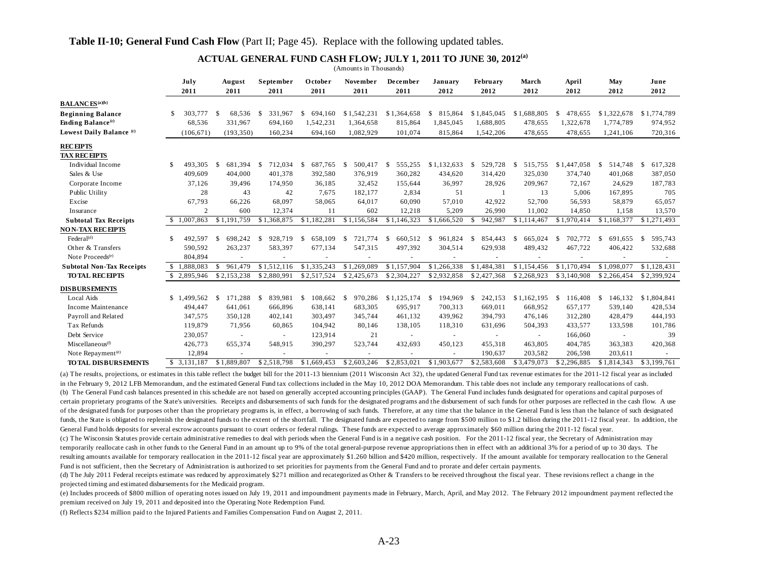#### **ACTUAL GENERAL FUND CASH FLOW; JULY 1, 2011 TO JUNE 30, 2012(a)**

July - August September October November December January February - March - April - May - June **2011 2011 2011 2011 2011 2011 2012 2012 2012 2012 2012 2012**2012 **BALANCES(a)(b) Beginning Balance** \$ 68,536 303,777 \$ 331,967 \$ 694,160 \$ 1,542,231 \$ 1,364,658 \$ 815,864 \$ 1,845,045 \$ 1,688,805 \$ 478,655 \$ 1,322,678 \$ 1,774,789 \$ **Ending Balance(c)** 331,967 68,536 694,160 1,542,231 1,364,658 815,864 1,845,045 1,688,805 478,655 1,322,678 1,774,789 974,952 Lowest Daily Balance <sup>(c)</sup> (106,671) (193,350) 160,234 694,160 1,082,929 101,074 815,864 1,542,206 478,655 478,655 1,241,106 720,316 **RECEIPTS TAX RECEIPTS**Individual Income \$ 493,305 \$ 681,394 \$ 712,034 \$ 687,765 \$ 500,417 \$ 555,255 \$1,132,633 \$ 529,728 \$ 515,755 \$1,447,058 \$ 514,748 \$ 617,328 Sales & Use 409,609 404,000 401,378 392,580 376,919 360,282 434,620 314,420 325,030 374,740 401,068 387,050 Corporate Income 37,126 39,496 174,950 36,185 32,452 155,644 36,997 28,926 209,967 72,167 24,629 187,783 Public Utility 28 43 42 7,675 182,177 2,834 51 1 13 5,006 167,895 705 Excise 67,793 66,226 68,097 58,065 64,017 60,090 57,010 42,922 52,700 56,593 58,879 65,057 Insurance 2 600 12,374 11 602 12,218 5,209 26,990 11,002 14,850 1,158 13,570 **Subtotal Tax Receipts** \$ 1,007,863 \$ 1,191,759 \$ 1,368,875 \$ 1,182,281 \$ 1,156,584 \$ 1,146,323 \$ 1,666,520 \$ 942,987 \$ 1,114,467 \$ 1,970,414 \$ 1,168,377 \$ 1,271,493 **NO N-TAX RECEIPTS**Federal<sup>(d)</sup> \$ 492,597 \$ 698,242 \$ 928,719 \$ 658,109 \$ 721,774 \$ 660,512 \$ 961,824 \$ 854,443 \$ 665,024 \$ 702,772 \$ 691,655 \$ 595,743 Other & Transfers 590,592 263,237 583,397 677,134 547,315 497,392 304,514 629,938 489,432 467,722 406,422 532,688 Note Proceeds(e) 804,894 - - - - - - - - - - - **Subtotal Non-Tax Receipts**  $\overline{\text{1,888,083}}$  \$ 961,479 \$ 1,512,116 \$ 1,335,243 \$ 1,269,089 \$ 1,157,904 \$ 1,266,338 \$ 1,484,381 \$ 1,154,456 \$ 1,170,494 \$ 1,098,077 \$ 1,128,431  **TO TAL RECEIPTS** \$ 2,153,238 2,895,946 \$ 2,880,991 \$ 2,517,524 \$ 2,425,673 \$ 2,304,227 \$ 2,932,858 \$ 2,427,368 \$ 2,268,923 \$ 3,140,908 \$ 2,266,454 \$ 2,399,924 \$ **DISBURSEMENTS**Local Aids \$ 1,499,562 \$ 171,288 \$ 839,981 \$ 108,662 \$ 970,286 \$1,125,174 \$ 194,969 \$ 242,153 \$1,162,195 \$ 116,408 \$ 146,132 \$1,804,841 Income Maintenance 494,447 641,061 666,896 638,141 683,305 695,917 700,313 669,011 668,952 657,177 539,140 428,534 Payroll and Related 347,575 350,128 402,141 303,497 345,744 461,132 439,962 394,793 476,146 312,280 428,479 444,193 Tax Refunds 119,879 71,956 60,865 104,942 80,146 138,105 118,310 631,696 504,393 433,577 133,598 101,786 Debt Service 230,057 - - 123,914 21 - - - - 166,060 - 39 Miscellaneous<sup>(0</sup> 426,773 655,374 548,915 390,297 523,744 432,693 450,123 455,318 463,805 404,785 363,383 420,368 Note Repayment<sup>(e)</sup> 12,894 - - - - - - - - - 190,637 203,582 206,598 203,611 - **TO TAL DISBURSEMENTS** \$ 1,889,807 3,131,187 \$ 2,518,798 \$ 1,669,453 \$ 2,603,246 \$ 2,853,021 \$ 1,903,677 \$ 2,583,608 \$ 3,479,073 \$ 2,296,885 \$ 1,814,343 \$ 3,199,761 \$ (Amounts in Thousands)

(a) The results, projections, or estimates in this table reflect the budget bill for the 2011-13 biennium (2011 Wisconsin Act 32), the updated General Fund tax revenue estimates for the 2011-12 fiscal year as included in the February 9, 2012 LFB Memorandum, and the estimated General Fund tax collections included in the May 10, 2012 DOA Memorandum. This table does not include any temporary reallocations of cash. (b) The General Fund cash balances presented in this schedule are not based on generally accepted accounting principles (GAAP). The General Fund includes funds designated for operations and capital purposes of certain proprietary programs of the State's universities. Receipts and disbursements of such funds for the designated programs and the disbursement of such funds for other purposes are reflected in the cash flow. A use of the designated funds for purposes other than the proprietary programs is, in effect, a borrowing of such funds. Therefore, at any time that the balance in the General Fund is less than the balance of such designated funds, the State is obligated to replenish the designated funds to the extent of the shortfall. The designated funds are expected to range from \$500 million to \$1.2 billion during the 2011-12 fiscal year. In addition, the General Fund holds deposits for several escrow accounts pursuant to court orders or federal rulings. These funds are expected to average approximately \$60 million during the 2011-12 fiscal year.

(c) The Wisconsin Statutes provide certain administrative remedies to deal with periods when the General Fund is in a negative cash position. For the 2011-12 fiscal year, the Secretary of Administration may temporarily reallocate cash in other funds to the General Fund in an amount up to 9% of the total general-purpose revenue appropriations then in effect with an additional 3% for a period of up to 30 days. The resulting amounts available for temporary reallocation in the 2011-12 fiscal year are approximately \$1.260 billion and \$420 million, respectively. If the amount available for temporary reallocation to the General Fund is not sufficient, then the Secretary of Administration is authorized to set priorities for payments from the General Fund and to prorate and defer certain payments.

(d) The July 2011 Federal receipts estimate was reduced by approximately \$271 million and recategorized as Other & Transfers to be received throughout the fiscal year. These revisions reflect a change in the projected timing and estimated disbursements for the Medicaid program.

(e) Includes proceeds of \$800 million of operating notes issued on July 19, 2011 and impoundment payments made in February, March, April, and May 2012. The February 2012 impoundment payment reflected the premium received on July 19, 2011 and deposited into the Operating Note Redemption Fund.

(f) Reflects \$234 million paid to the Injured Patients and Families Compensation Fund on August 2, 2011.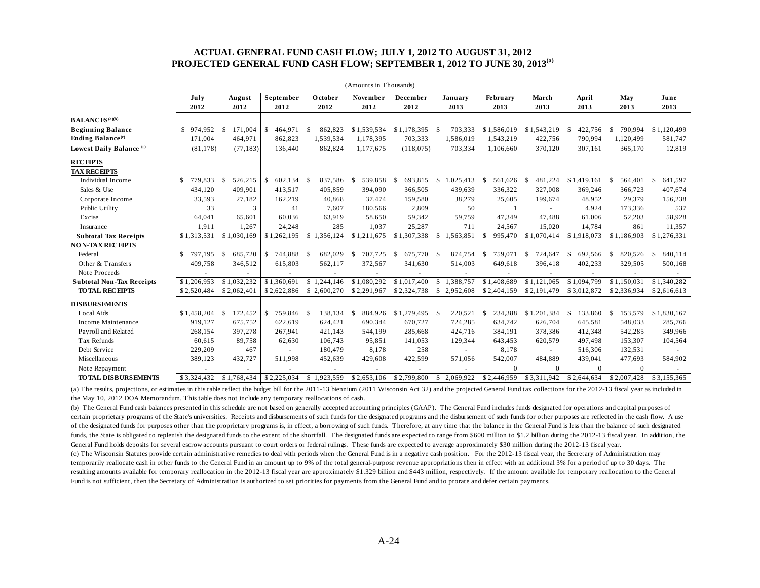#### **ACTUAL GENERAL FUND CASH FLOW; JULY 1, 2012 TO AUGUST 31, 2012 PROJECTED GENERAL FUND CASH FLOW; SEPTEMBER 1, 2012 TO JUNE 30, 2013(a)**

| (Amounts in Thousands)               |               |                 |                             |                 |                         |                          |                  |                         |                          |                          |                          |               |  |
|--------------------------------------|---------------|-----------------|-----------------------------|-----------------|-------------------------|--------------------------|------------------|-------------------------|--------------------------|--------------------------|--------------------------|---------------|--|
|                                      | July<br>2012  | August<br>2012  | September<br>2012           | October<br>2012 | <b>November</b><br>2012 | December<br>2012         | January<br>2013  | <b>February</b><br>2013 | March<br>2013            | April<br>2013            | May<br>2013              | June<br>2013  |  |
| <b>BALANCES</b> <sup>(a)(b)</sup>    |               |                 |                             |                 |                         |                          |                  |                         |                          |                          |                          |               |  |
| <b>Beginning Balance</b>             | 974.952<br>\$ | 171.004<br>\$   | 464,971<br>S                | 862,823<br>-S   | \$1,539,534             | \$1,178,395              | 703,333<br>-S    | \$1,586,019             | \$1,543,219              | 422,756<br>-S            | 790.994<br>-S            | \$1,120,499   |  |
| <b>Ending Balance</b> <sup>(c)</sup> | 171,004       | 464,971         | 862,823                     | 1,539,534       | 1,178,395               | 703,333                  | 1,586,019        | 1,543,219               | 422,756                  | 790,994                  | 1,120,499                | 581,747       |  |
| Lowest Daily Balance <sup>(c)</sup>  | (81, 178)     | (77, 183)       | 136,440                     | 862,824         | 1.177.675               | (118,075)                | 703,334          | 1,106,660               | 370,120                  | 307,161                  | 365,170                  | 12,819        |  |
| <b>RECEIPTS</b>                      |               |                 |                             |                 |                         |                          |                  |                         |                          |                          |                          |               |  |
| <b>TAX RECEIPTS</b>                  |               |                 |                             |                 |                         |                          |                  |                         |                          |                          |                          |               |  |
| Individual Income                    | S.<br>779,833 | 526,215<br>- \$ | <sup>\$</sup><br>602,134 \$ | 837,586         | 539,858<br>-S           | 693,815<br><sup>\$</sup> | 1,025,413<br>-S  | 561,626<br>-S           | 481,224<br>-S            | \$1,419,161              | 564,401<br><sup>\$</sup> | S.<br>641,597 |  |
| Sales & Use                          | 434,120       | 409,901         | 413,517                     | 405,859         | 394,090                 | 366,505                  | 439,639          | 336,322                 | 327,008                  | 369,246                  | 366,723                  | 407,674       |  |
| Corporate Income                     | 33,593        | 27,182          | 162,219                     | 40,868          | 37,474                  | 159,580                  | 38,279           | 25,605                  | 199,674                  | 48,952                   | 29,379                   | 156,238       |  |
| Public Utility                       | 33            | 3               | 41                          | 7,607           | 180,566                 | 2,809                    | 50               |                         |                          | 4,924                    | 173,336                  | 537           |  |
| Excise                               | 64,041        | 65,601          | 60,036                      | 63,919          | 58,650                  | 59,342                   | 59,759           | 47,349                  | 47,488                   | 61,006                   | 52,203                   | 58,928        |  |
| Insurance                            | 1,911         | 1,267           | 24,248                      | 285             | 1,037                   | 25,287                   | 711              | 24,567                  | 15,020                   | 14,784                   | 861                      | 11,357        |  |
| <b>Subtotal Tax Receipts</b>         | \$1,313,531   | \$1,030,169     | \$1,262,195                 | \$1,356,124     | \$1,211,675             | \$1,307,338              | 1,563,851<br>S.  | 995,470<br>-8           | \$1,070,414              | \$1,918,073              | \$1,186,903              | \$1,276,331   |  |
| <b>NON-TAX RECEIPTS</b>              |               |                 |                             |                 |                         |                          |                  |                         |                          |                          |                          |               |  |
| Federal                              | 797.195<br>\$ | 685,720<br>-S   | 744.888<br>s.               | 682,029<br>- \$ | 707,725<br>S.           | \$<br>675,770 \$         | 874,754          | 759.071<br>-S           | 724,647<br><sup>\$</sup> | 692.566<br><sup>S</sup>  | 820,526<br>S.            | 840,114<br>S. |  |
| Other & Transfers                    | 409,758       | 346,512         | 615,803                     | 562,117         | 372,567                 | 341,630                  | 514,003          | 649,618                 | 396,418                  | 402,233                  | 329,505                  | 500,168       |  |
| Note Proceeds                        |               |                 |                             |                 |                         |                          |                  |                         |                          |                          |                          |               |  |
| <b>Subtotal Non-Tax Receipts</b>     | \$1,206,953   | \$1,032,232     | \$1,360,691                 | \$1,244,146     | \$1,080,292             | \$1,017,400              | .388.757         | \$1,408,689             | \$1,121,065              | \$1,094,799              | $\overline{$1,150,031}$  | \$1,340,282   |  |
| <b>TO TAL RECEIPTS</b>               | \$2.520.484   | \$2,062,401     | \$2,622,886                 | \$2,600,270     | \$2,291,967             | \$2,324,738              | 2,952,608<br>\$. | \$2,404,159             | \$2,191,479              | \$3,012,872              | \$2,336,934              | \$2,616,613   |  |
| <b>DISBURSEMENTS</b>                 |               |                 |                             |                 |                         |                          |                  |                         |                          |                          |                          |               |  |
| <b>Local Aids</b>                    | \$1,458,204   | 172,452<br>-S   | S<br>759,846 \$             | 138,134         | 884,926<br>S.           | \$1,279,495              | 220,521<br>- S   | 234,388<br>S.           | \$1,201,384              | 133,860<br><sup>\$</sup> | 153,579<br><sup>\$</sup> | \$1,830,167   |  |
| Income Maintenance                   | 919,127       | 675,752         | 622,619                     | 624,421         | 690,344                 | 670,727                  | 724,285          | 634,742                 | 626,704                  | 645,581                  | 548,033                  | 285,766       |  |
| Payroll and Related                  | 268,154       | 397,278         | 267,941                     | 421,143         | 544,199                 | 285,668                  | 424,716          | 384,191                 | 378,386                  | 412,348                  | 542,285                  | 349,966       |  |
| Tax Refunds                          | 60,615        | 89,758          | 62,630                      | 106,743         | 95,851                  | 141,053                  | 129,344          | 643,453                 | 620,579                  | 497,498                  | 153,307                  | 104,564       |  |
| Debt Service                         | 229,209       | 467             |                             | 180,479         | 8,178                   | 258                      |                  | 8,178                   |                          | 516,306                  | 132,531                  |               |  |
| Miscellaneous                        | 389,123       | 432,727         | 511,998                     | 452,639         | 429,608                 | 422,599                  | 571,056          | 542,007                 | 484,889                  | 439,041                  | 477,693                  | 584,902       |  |
| Note Repayment                       |               |                 |                             |                 |                         |                          |                  | $\Omega$                | $\Omega$                 | $\Omega$                 | $\mathbf{0}$             |               |  |
| TO TAL DISBURSEMENTS                 | \$3,324,432   | \$1,768,434     | \$2.225.034                 | .923.559<br>\$. | \$2,653,106             | \$2,799,800              | 2.069.922        | \$2,446,959             | \$3.311.942              | \$2,644,634              | \$2,007,428              | \$3.155.365   |  |

(a) The results, projections, or estimates in this table reflect the budget bill for the 2011-13 biennium (2011 Wisconsin Act 32) and the projected General Fund tax collections for the 2012-13 fiscal year as included in the May 10, 2012 DOA Memorandum. This table does not include any temporary reallocations of cash.

(b) The General Fund cash balances presented in this schedule are not based on generally accepted accounting principles (GAAP). The General Fund includes funds designated for operations and capital purposes of certain proprietary programs of the State's universities. Receipts and disbursements of such funds for the designated programs and the disbursement of such funds for other purposes are reflected in the cash flow. A use of the designated funds for purposes other than the proprietary programs is, in effect, a borrowing of such funds. Therefore, at any time that the balance in the General Fund is less than the balance of such designated funds, the State is obligated to replenish the designated funds to the extent of the shortfall. The designated funds are expected to range from \$600 million to \$1.2 billion during the 2012-13 fiscal year. In addition, the General Fund holds deposits for several escrow accounts pursuant to court orders or federal rulings. These funds are expected to average approximately \$30 million during the 2012-13 fiscal year. (c) The Wisconsin Statutes provide certain administrative remedies to deal with periods when the General Fund is in a negative cash position. For the 2012-13 fiscal year, the Secretary of Administration may temporarily reallocate cash in other funds to the General Fund in an amount up to 9% of the total general-purpose revenue appropriations then in effect with an additional 3% for a period of up to 30 days. The resulting amounts available for temporary reallocation in the 2012-13 fiscal year are approximately \$1.329 billion and \$443 million, respectively. If the amount available for temporary reallocation to the General Fund is not sufficient, then the Secretary of Administration is authorized to set priorities for payments from the General Fund and to prorate and defer certain payments.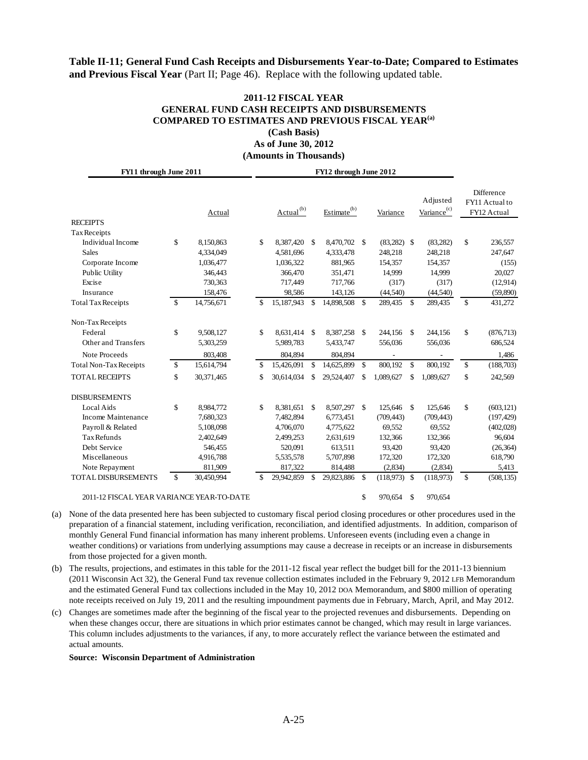### **Table II-11; General Fund Cash Receipts and Disbursements Year-to-Date; Compared to Estimates and Previous Fiscal Year** (Part II; Page 46). Replace with the following updated table.

### **2011-12 FISCAL YEAR GENERAL FUND CASH RECEIPTS AND DISBURSEMENTS COMPARED TO ESTIMATES AND PREVIOUS FISCAL YEAR(a) (Cash Basis) As of June 30, 2012**

**(Amounts in Thousands)** 

| FY11 through June 2011                    |    | FY12 through June 2012 |    |                       |                    |                         |                    |                |              |                                     |                    |                                             |
|-------------------------------------------|----|------------------------|----|-----------------------|--------------------|-------------------------|--------------------|----------------|--------------|-------------------------------------|--------------------|---------------------------------------------|
| <b>RECEIPTS</b>                           |    | Actual                 |    | Actual <sup>(b)</sup> |                    | Estimate <sup>(b)</sup> |                    | Variance       |              | Adjusted<br>Variance <sup>(c)</sup> |                    | Difference<br>FY11 Actual to<br>FY12 Actual |
| <b>Tax Receipts</b>                       |    |                        |    |                       |                    |                         |                    |                |              |                                     |                    |                                             |
| Individual Income                         | \$ | 8,150,863              | \$ | 8,387,420             | $\mathbf{\hat{S}}$ | 8,470,702 \$            |                    | $(83,282)$ \$  |              | (83, 282)                           | \$                 | 236,557                                     |
| <b>Sales</b>                              |    | 4,334,049              |    | 4,581,696             |                    | 4,333,478               |                    | 248,218        |              | 248,218                             |                    | 247,647                                     |
| Corporate Income                          |    | 1,036,477              |    | 1,036,322             |                    | 881,965                 |                    | 154,357        |              | 154,357                             |                    | (155)                                       |
| Public Utility                            |    | 346,443                |    | 366,470               |                    | 351,471                 |                    | 14,999         |              | 14,999                              |                    | 20,027                                      |
| Excise                                    |    | 730,363                |    | 717,449               |                    | 717,766                 |                    | (317)          |              | (317)                               |                    | (12,914)                                    |
| Insurance                                 |    | 158,476                |    | 98,586                |                    | 143,126                 |                    | (44,540)       |              | (44,540)                            |                    | (59,890)                                    |
| <b>Total Tax Receipts</b>                 | \$ | 14,756,671             | \$ | 15,187,943            | \$                 | 14,898,508 \$           |                    | 289,435 \$     |              | 289,435                             | \$                 | 431,272                                     |
| Non-Tax Receipts                          |    |                        |    |                       |                    |                         |                    |                |              |                                     |                    |                                             |
| Federal                                   | \$ | 9,508,127              | \$ | 8.631.414             | $\mathbf{\hat{S}}$ | 8.387.258 \$            |                    | 244,156        | $\mathbb{S}$ | 244,156                             | \$                 | (876, 713)                                  |
| Other and Transfers                       |    | 5,303,259              |    | 5,989,783             |                    | 5,433,747               |                    | 556,036        |              | 556,036                             |                    | 686,524                                     |
| Note Proceeds                             |    | 803,408                |    | 804,894               |                    | 804,894                 |                    |                |              | $\overline{\phantom{a}}$            |                    | 1,486                                       |
| <b>Total Non-Tax Receipts</b>             | \$ | 15,614,794             | \$ | 15,426,091            | \$                 | 14,625,899              | $\mathbf{\hat{S}}$ | 800,192        | $\mathbb{S}$ | 800,192                             | \$                 | (188,703)                                   |
| <b>TOTAL RECEIPTS</b>                     | \$ | 30,371,465             | \$ | 30,614,034            | \$                 | 29,524,407              | \$.                | 1,089,627      | \$           | 1,089,627                           | \$                 | 242,569                                     |
| <b>DISBURSEMENTS</b>                      |    |                        |    |                       |                    |                         |                    |                |              |                                     |                    |                                             |
| Local Aids                                | \$ | 8,984,772              | \$ | 8,381,651             | <sup>\$</sup>      | 8,507,297 \$            |                    | 125,646 \$     |              | 125,646                             | \$                 | (603, 121)                                  |
| Income Maintenance                        |    | 7,680,323              |    | 7,482,894             |                    | 6,773,451               |                    | (709, 443)     |              | (709, 443)                          |                    | (197, 429)                                  |
| Payroll & Related                         |    | 5,108,098              |    | 4,706,070             |                    | 4,775,622               |                    | 69,552         |              | 69,552                              |                    | (402,028)                                   |
| <b>Tax Refunds</b>                        |    | 2,402,649              |    | 2,499,253             |                    | 2,631,619               |                    | 132,366        |              | 132,366                             |                    | 96,604                                      |
| Debt Service                              |    | 546,455                |    | 520,091               |                    | 613,511                 |                    | 93,420         |              | 93,420                              |                    | (26, 364)                                   |
| Miscellaneous                             |    | 4,916,788              |    | 5,535,578             |                    | 5,707,898               |                    | 172,320        |              | 172,320                             |                    | 618,790                                     |
| Note Repayment                            |    | 811,909                |    | 817,322               |                    | 814,488                 |                    | (2,834)        |              | (2,834)                             |                    | 5,413                                       |
| <b>TOTAL DISBURSEMENTS</b>                | \$ | 30,450,994             | \$ | 29,942,859            | \$                 | 29,823,886              | $\mathbf{\hat{S}}$ | $(118,973)$ \$ |              | (118,973)                           | $\mathbf{\hat{S}}$ | (508, 135)                                  |
| 2011-12 FISCAL YEAR VARIANCE YEAR-TO-DATE |    |                        |    |                       |                    |                         | \$                 | 970,654        | \$           | 970,654                             |                    |                                             |

(a) None of the data presented here has been subjected to customary fiscal period closing procedures or other procedures used in the preparation of a financial statement, including verification, reconciliation, and identified adjustments. In addition, comparison of monthly General Fund financial information has many inherent problems. Unforeseen events (including even a change in weather conditions) or variations from underlying assumptions may cause a decrease in receipts or an increase in disbursements from those projected for a given month.

(b) The results, projections, and estimates in this table for the 2011-12 fiscal year reflect the budget bill for the 2011-13 biennium (2011 Wisconsin Act 32), the General Fund tax revenue collection estimates included in the February 9, 2012 LFB Memorandum and the estimated General Fund tax collections included in the May 10, 2012 DOA Memorandum, and \$800 million of operating note receipts received on July 19, 2011 and the resulting impoundment payments due in February, March, April, and May 2012.

(c) Changes are sometimes made after the beginning of the fiscal year to the projected revenues and disbursements. Depending on when these changes occur, there are situations in which prior estimates cannot be changed, which may result in large variances. This column includes adjustments to the variances, if any, to more accurately reflect the variance between the estimated and actual amounts.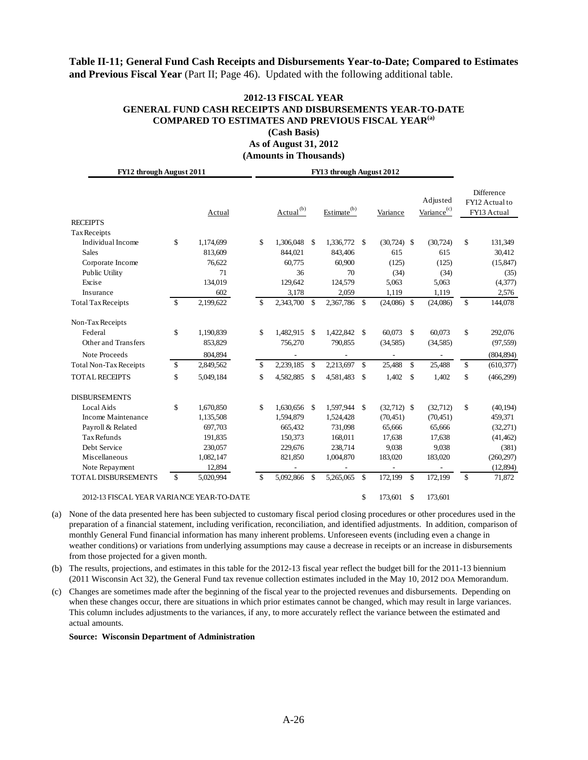# **Table II-11; General Fund Cash Receipts and Disbursements Year-to-Date; Compared to Estimates and Previous Fiscal Year** (Part II; Page 46). Updated with the following additional table.

### **2012-13 FISCAL YEAR GENERAL FUND CASH RECEIPTS AND DISBURSEMENTS YEAR-TO-DATE COMPARED TO ESTIMATES AND PREVIOUS FISCAL YEAR(a) (Cash Basis)**

**As of August 31, 2012 (Amounts in Thousands)** 

| FY12 through August 2011                  |                    |           |    |                |               |                         |              |               |              |                                     |              |                                                    |
|-------------------------------------------|--------------------|-----------|----|----------------|---------------|-------------------------|--------------|---------------|--------------|-------------------------------------|--------------|----------------------------------------------------|
| <b>RECEIPTS</b>                           |                    | Actual    |    | $Actual^{(b)}$ |               | Estimate <sup>(b)</sup> |              | Variance      |              | Adjusted<br>Variance <sup>(c)</sup> |              | <b>Difference</b><br>FY12 Actual to<br>FY13 Actual |
| <b>Tax Receipts</b>                       |                    |           |    |                |               |                         |              |               |              |                                     |              |                                                    |
| Individual Income                         | \$                 | 1,174,699 | \$ | 1.306.048      | \$            | 1,336,772 \$            |              | $(30,724)$ \$ |              | (30, 724)                           | \$           | 131,349                                            |
| <b>Sales</b>                              |                    | 813,609   |    | 844,021        |               | 843,406                 |              | 615           |              | 615                                 |              | 30,412                                             |
| Corporate Income                          |                    | 76,622    |    | 60,775         |               | 60,900                  |              | (125)         |              | (125)                               |              | (15, 847)                                          |
| Public Utility                            |                    | 71        |    | 36             |               | 70                      |              | (34)          |              | (34)                                |              | (35)                                               |
| Excise                                    |                    | 134,019   |    | 129,642        |               | 124,579                 |              | 5,063         |              | 5,063                               |              | (4,377)                                            |
| Insurance                                 |                    | 602       |    | 3,178          |               | 2,059                   |              | 1,119         |              | 1,119                               |              | 2,576                                              |
| <b>Total Tax Receipts</b>                 | \$                 | 2,199,622 | \$ | 2,343,700      | \$            | 2,367,786 \$            |              | $(24,086)$ \$ |              | (24,086)                            | $\mathbf S$  | 144,078                                            |
| Non-Tax Receipts                          |                    |           |    |                |               |                         |              |               |              |                                     |              |                                                    |
| Federal                                   | \$                 | 1,190,839 | \$ | 1,482,915      | $\mathbb{S}$  | 1,422,842 \$            |              | 60,073 \$     |              | 60,073                              | \$           | 292,076                                            |
| Other and Transfers                       |                    | 853,829   |    | 756,270        |               | 790,855                 |              | (34,585)      |              | (34,585)                            |              | (97, 559)                                          |
| Note Proceeds                             |                    | 804,894   |    |                |               |                         |              | ٠             |              | $\overline{\phantom{a}}$            |              | (804, 894)                                         |
| <b>Total Non-Tax Receipts</b>             | \$                 | 2,849,562 | \$ | 2,239,185      | \$            | 2,213,697               | $\mathbb{S}$ | 25,488        | \$           | 25,488                              | $\mathbf S$  | (610, 377)                                         |
| <b>TOTAL RECEIPTS</b>                     | $\mathbf{\hat{S}}$ | 5,049,184 | \$ | 4,582,885      | <sup>\$</sup> | 4,581,483               | -\$          | 1,402         | $\mathbf{s}$ | 1,402                               | \$           | (466, 299)                                         |
| <b>DISBURSEMENTS</b>                      |                    |           |    |                |               |                         |              |               |              |                                     |              |                                                    |
| Local Aids                                | \$                 | 1,670,850 | \$ | 1.630.656      | <sup>\$</sup> | 1,597,944 \$            |              | $(32,712)$ \$ |              | (32,712)                            | \$           | (40, 194)                                          |
| Income Maintenance                        |                    | 1,135,508 |    | 1,594,879      |               | 1,524,428               |              | (70, 451)     |              | (70, 451)                           |              | 459,371                                            |
| Payroll & Related                         |                    | 697,703   |    | 665,432        |               | 731,098                 |              | 65,666        |              | 65,666                              |              | (32,271)                                           |
| <b>Tax Refunds</b>                        |                    | 191,835   |    | 150,373        |               | 168,011                 |              | 17,638        |              | 17,638                              |              | (41, 462)                                          |
| Debt Service                              |                    | 230,057   |    | 229,676        |               | 238,714                 |              | 9,038         |              | 9.038                               |              | (381)                                              |
| Miscellaneous                             |                    | 1,082,147 |    | 821,850        |               | 1,004,870               |              | 183,020       |              | 183,020                             |              | (260, 297)                                         |
| Note Repayment                            |                    | 12,894    |    |                |               |                         |              |               |              |                                     |              | (12,894)                                           |
| <b>TOTAL DISBURSEMENTS</b>                | \$                 | 5,020,994 | \$ | 5,092,866      | \$            | 5,265,065               | \$           | 172,199       | \$           | 172,199                             | $\mathbb{S}$ | 71,872                                             |
| 2012-13 FISCAL YEAR VARIANCE YEAR-TO-DATE |                    |           |    |                |               |                         | \$           | 173,601       | \$           | 173.601                             |              |                                                    |

(a) None of the data presented here has been subjected to customary fiscal period closing procedures or other procedures used in the preparation of a financial statement, including verification, reconciliation, and identified adjustments. In addition, comparison of monthly General Fund financial information has many inherent problems. Unforeseen events (including even a change in weather conditions) or variations from underlying assumptions may cause a decrease in receipts or an increase in disbursements from those projected for a given month.

(b) The results, projections, and estimates in this table for the 2012-13 fiscal year reflect the budget bill for the 2011-13 biennium (2011 Wisconsin Act 32), the General Fund tax revenue collection estimates included in the May 10, 2012 DOA Memorandum.

(c) Changes are sometimes made after the beginning of the fiscal year to the projected revenues and disbursements. Depending on when these changes occur, there are situations in which prior estimates cannot be changed, which may result in large variances. This column includes adjustments to the variances, if any, to more accurately reflect the variance between the estimated and actual amounts.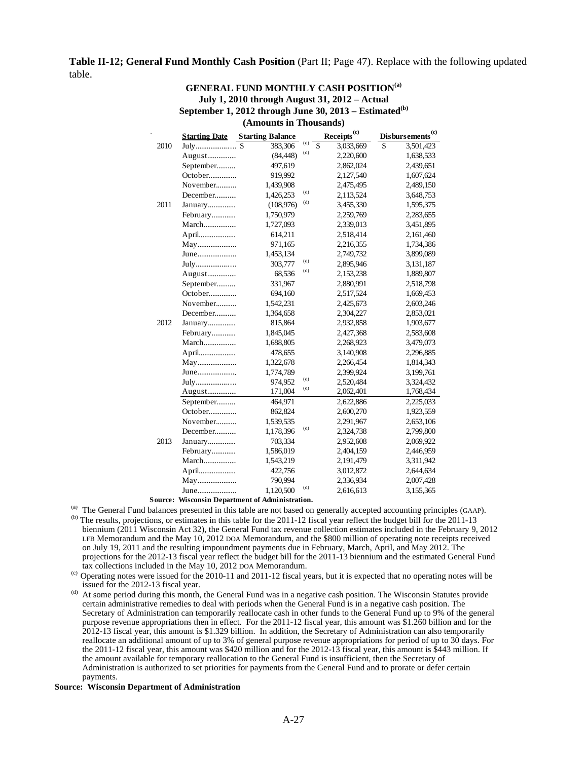### **Table II-12; General Fund Monthly Cash Position** (Part II; Page 47). Replace with the following updated table.

#### **GENERAL FUND MONTHLY CASH POSITION(a) July 1, 2010 through August 31, 2012 – Actual**  September 1, 2012 through June 30, 2013 – Estimated<sup>(b)</sup> **(Amounts in Thousands)**

|      |                      | (Amounts in Thousanus)  |     |                         |                              |
|------|----------------------|-------------------------|-----|-------------------------|------------------------------|
|      | <b>Starting Date</b> | <b>Starting Balance</b> |     | Receipts <sup>(c)</sup> | Disbursements <sup>(c)</sup> |
| 2010 | July \$              | 383,306                 | (d) | \$<br>3,033,669         | \$<br>3,501,423              |
|      | August               | (84, 448)               | (d) | 2,220,600               | 1,638,533                    |
|      | September            | 497,619                 |     | 2,862,024               | 2,439,651                    |
|      | October              | 919,992                 |     | 2,127,540               | 1,607,624                    |
|      | November             | 1,439,908               |     | 2,475,495               | 2,489,150                    |
|      | December             | 1,426,253               | (d) | 2,113,524               | 3,648,753                    |
| 2011 | January              | (108, 976)              | (d) | 3,455,330               | 1,595,375                    |
|      | February             | 1,750,979               |     | 2,259,769               | 2,283,655                    |
|      | March                | 1,727,093               |     | 2,339,013               | 3,451,895                    |
|      | April                | 614,211                 |     | 2,518,414               | 2,161,460                    |
|      | May                  | 971,165                 |     | 2,216,355               | 1,734,386                    |
|      | June                 | 1,453,134               |     | 2,749,732               | 3,899,089                    |
|      | July                 | 303,777                 | (d) | 2,895,946               | 3,131,187                    |
|      | August               | 68,536                  | (d) | 2,153,238               | 1,889,807                    |
|      | September            | 331,967                 |     | 2,880,991               | 2,518,798                    |
|      | October              | 694,160                 |     | 2,517,524               | 1,669,453                    |
|      | November             | 1,542,231               |     | 2,425,673               | 2,603,246                    |
|      | December             | 1,364,658               |     | 2,304,227               | 2,853,021                    |
| 2012 | January              | 815,864                 |     | 2,932,858               | 1,903,677                    |
|      | February             | 1,845,045               |     | 2,427,368               | 2,583,608                    |
|      | March                | 1,688,805               |     | 2,268,923               | 3,479,073                    |
|      | April                | 478,655                 |     | 3,140,908               | 2,296,885                    |
|      | May                  | 1,322,678               |     | 2,266,454               | 1,814,343                    |
|      | June                 | 1,774,789               |     | 2,399,924               | 3,199,761                    |
|      | July                 | 974,952                 | (d) | 2,520,484               | 3,324,432                    |
|      | August               | 171,004                 | (d) | 2,062,401               | 1,768,434                    |
|      | September            | 464,971                 |     | 2,622,886               | 2,225,033                    |
|      | October              | 862,824                 |     | 2,600,270               | 1,923,559                    |
|      | November             | 1,539,535               |     | 2,291,967               | 2,653,106                    |
|      | December             | 1,178,396               | (d) | 2,324,738               | 2,799,800                    |
| 2013 | January              | 703,334                 |     | 2,952,608               | 2,069,922                    |
|      | February             | 1,586,019               |     | 2,404,159               | 2,446,959                    |
|      | March                | 1,543,219               |     | 2,191,479               | 3,311,942                    |
|      | April                | 422,756                 |     | 3,012,872               | 2,644,634                    |
|      | May                  | 790,994                 |     | 2,336,934               | 2,007,428                    |
|      | June                 | 1,120,500               | (d) | 2,616,613               | 3,155,365                    |
|      |                      |                         |     |                         |                              |

#### **Source: Wisconsin Department of Administration.**

(a) The General Fund balances presented in this table are not based on generally accepted accounting principles (GAAP).

<sup>(b)</sup> The results, projections, or estimates in this table for the 2011-12 fiscal year reflect the budget bill for the 2011-13 biennium (2011 Wisconsin Act 32), the General Fund tax revenue collection estimates included in the February 9, 2012 LFB Memorandum and the May 10, 2012 DOA Memorandum, and the \$800 million of operating note receipts received on July 19, 2011 and the resulting impoundment payments due in February, March, April, and May 2012. The projections for the 2012-13 fiscal year reflect the budget bill for the 2011-13 biennium and the estimated General Fund tax collections included in the May 10, 2012 DOA Memorandum.

<sup>(c)</sup> Operating notes were issued for the 2010-11 and 2011-12 fiscal years, but it is expected that no operating notes will be issued for the 2012-13 fiscal year.

(d) At some period during this month, the General Fund was in a negative cash position. The Wisconsin Statutes provide certain administrative remedies to deal with periods when the General Fund is in a negative cash position. The Secretary of Administration can temporarily reallocate cash in other funds to the General Fund up to 9% of the general purpose revenue appropriations then in effect. For the 2011-12 fiscal year, this amount was \$1.260 billion and for the 2012-13 fiscal year, this amount is \$1.329 billion. In addition, the Secretary of Administration can also temporarily reallocate an additional amount of up to 3% of general purpose revenue appropriations for period of up to 30 days. For the 2011-12 fiscal year, this amount was \$420 million and for the 2012-13 fiscal year, this amount is \$443 million. If the amount available for temporary reallocation to the General Fund is insufficient, then the Secretary of Administration is authorized to set priorities for payments from the General Fund and to prorate or defer certain payments.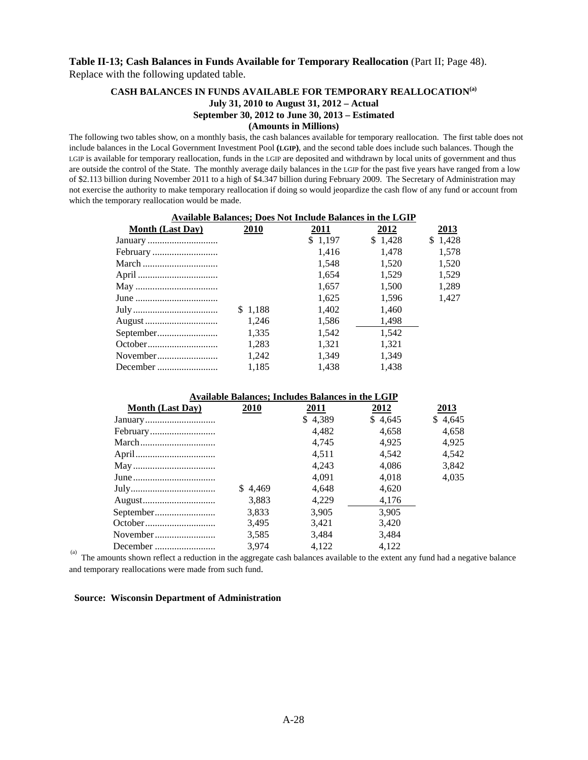# **Table II-13; Cash Balances in Funds Available for Temporary Reallocation** (Part II; Page 48). Replace with the following updated table.

### **CASH BALANCES IN FUNDS AVAILABLE FOR TEMPORARY REALLOCATION(a) July 31, 2010 to August 31, 2012 – Actual September 30, 2012 to June 30, 2013 – Estimated (Amounts in Millions)**

The following two tables show, on a monthly basis, the cash balances available for temporary reallocation. The first table does not include balances in the Local Government Investment Pool **(LGIP)**, and the second table does include such balances. Though the LGIP is available for temporary reallocation, funds in the LGIP are deposited and withdrawn by local units of government and thus are outside the control of the State. The monthly average daily balances in the LGIP for the past five years have ranged from a low of \$2.113 billion during November 2011 to a high of \$4.347 billion during February 2009. The Secretary of Administration may not exercise the authority to make temporary reallocation if doing so would jeopardize the cash flow of any fund or account from which the temporary reallocation would be made.

| <b>Available Balances; Does Not Include Balances in the LGIP</b> |         |         |         |         |  |  |  |  |  |  |  |  |  |
|------------------------------------------------------------------|---------|---------|---------|---------|--|--|--|--|--|--|--|--|--|
| <b>Month (Last Day)</b>                                          | 2010    | 2011    | 2012    | 2013    |  |  |  |  |  |  |  |  |  |
| January                                                          |         | \$1,197 | \$1,428 | \$1,428 |  |  |  |  |  |  |  |  |  |
| February                                                         |         | 1.416   | 1.478   | 1.578   |  |  |  |  |  |  |  |  |  |
| March                                                            |         | 1.548   | 1.520   | 1,520   |  |  |  |  |  |  |  |  |  |
|                                                                  |         | 1.654   | 1,529   | 1,529   |  |  |  |  |  |  |  |  |  |
|                                                                  |         | 1.657   | 1.500   | 1.289   |  |  |  |  |  |  |  |  |  |
|                                                                  |         | 1,625   | 1.596   | 1,427   |  |  |  |  |  |  |  |  |  |
|                                                                  | \$1,188 | 1,402   | 1,460   |         |  |  |  |  |  |  |  |  |  |
| August                                                           | 1.246   | 1.586   | 1,498   |         |  |  |  |  |  |  |  |  |  |
| September                                                        | 1,335   | 1.542   | 1.542   |         |  |  |  |  |  |  |  |  |  |
| October                                                          | 1,283   | 1,321   | 1,321   |         |  |  |  |  |  |  |  |  |  |
| November                                                         | 1,242   | 1,349   | 1.349   |         |  |  |  |  |  |  |  |  |  |
| December                                                         | 1.185   | 1.438   | 1.438   |         |  |  |  |  |  |  |  |  |  |
|                                                                  |         |         |         |         |  |  |  |  |  |  |  |  |  |

| <b>Available Balances; Includes Balances in the LGIP</b> |         |         |         |         |  |  |  |  |  |  |  |  |
|----------------------------------------------------------|---------|---------|---------|---------|--|--|--|--|--|--|--|--|
| <b>Month (Last Day)</b>                                  | 2010    | 2011    | 2012    | 2013    |  |  |  |  |  |  |  |  |
|                                                          |         | \$4,389 | \$4,645 | \$4.645 |  |  |  |  |  |  |  |  |
|                                                          |         | 4.482   | 4.658   | 4,658   |  |  |  |  |  |  |  |  |
|                                                          |         | 4.745   | 4.925   | 4,925   |  |  |  |  |  |  |  |  |
|                                                          |         | 4.511   | 4.542   | 4.542   |  |  |  |  |  |  |  |  |
|                                                          |         | 4.243   | 4.086   | 3,842   |  |  |  |  |  |  |  |  |
|                                                          |         | 4.091   | 4.018   | 4.035   |  |  |  |  |  |  |  |  |
|                                                          | \$4.469 | 4.648   | 4,620   |         |  |  |  |  |  |  |  |  |
|                                                          | 3.883   | 4.229   | 4,176   |         |  |  |  |  |  |  |  |  |
|                                                          | 3.833   | 3.905   | 3.905   |         |  |  |  |  |  |  |  |  |
|                                                          | 3,495   | 3,421   | 3,420   |         |  |  |  |  |  |  |  |  |
|                                                          | 3,585   | 3.484   | 3.484   |         |  |  |  |  |  |  |  |  |
|                                                          | 3.974   | 4.122   | 4.122   |         |  |  |  |  |  |  |  |  |

December ......................... 3,974 4,122 4,122 (a) The amounts shown reflect a reduction in the aggregate cash balances available to the extent any fund had a negative balance and temporary reallocations were made from such fund.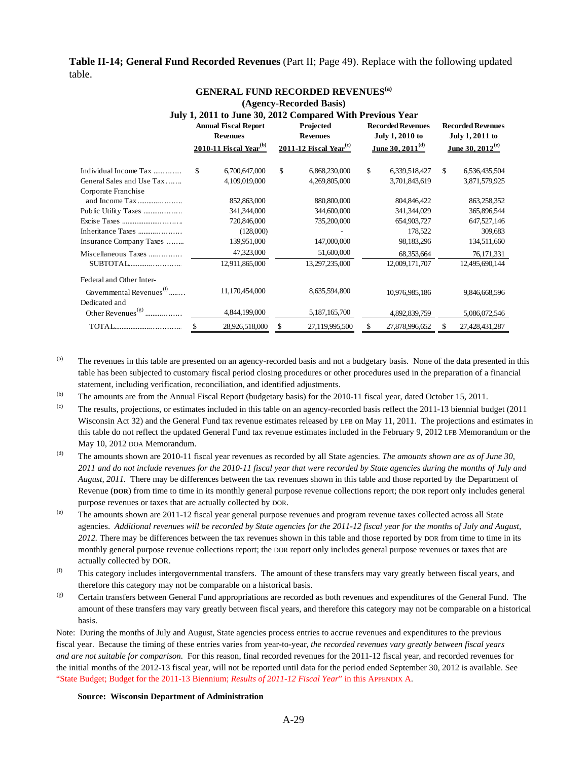**Table II-14; General Fund Recorded Revenues** (Part II; Page 49). Replace with the following updated table.

|                                                       |                                                | (Agency-Recorded Basis)                                   |                                             |                                             |
|-------------------------------------------------------|------------------------------------------------|-----------------------------------------------------------|---------------------------------------------|---------------------------------------------|
|                                                       |                                                | July 1, 2011 to June 30, 2012 Compared With Previous Year |                                             |                                             |
|                                                       | <b>Annual Fiscal Report</b><br><b>Revenues</b> | Projected<br><b>Revenues</b>                              | <b>Recorded Revenues</b><br>July 1, 2010 to | <b>Recorded Revenues</b><br>July 1, 2011 to |
|                                                       | 2010-11 Fiscal Year <sup>(b)</sup>             | 2011-12 Fiscal Year <sup>(c)</sup>                        | June 30, 2011 $^{\rm (d)}$                  | June 30, 2012 <sup>(e)</sup>                |
| Individual Income Tax                                 | \$<br>6,700,647,000                            | \$<br>6,868,230,000                                       | \$<br>6,339,518,427                         | \$<br>6,536,435,504                         |
| General Sales and Use Tax<br>Corporate Franchise      | 4,109,019,000                                  | 4,269,805,000                                             | 3,701,843,619                               | 3,871,579,925                               |
|                                                       | 852,863,000                                    | 880,800,000                                               | 804, 846, 422                               | 863,258,352                                 |
| Public Utility Taxes                                  | 341,344,000                                    | 344,600,000                                               | 341, 344, 029                               | 365,896,544                                 |
| Excise Taxes                                          | 720,846,000                                    | 735,200,000                                               | 654,903,727                                 | 647,527,146                                 |
| Inheritance Taxes                                     | (128,000)                                      |                                                           | 178,522                                     | 309,683                                     |
| Insurance Company Taxes                               | 139,951,000                                    | 147,000,000                                               | 98,183,296                                  | 134,511,660                                 |
| Miscellaneous Taxes                                   | 47,323,000                                     | 51,600,000                                                | 68,353,664                                  | 76,171,331                                  |
| SUBTOTAL                                              | 12,911,865,000                                 | 13,297,235,000                                            | 12,009,171,707                              | 12,495,690,144                              |
| Federal and Other Inter-                              |                                                |                                                           |                                             |                                             |
| Governmental Revenues <sup>(1)</sup><br>Dedicated and | 11,170,454,000                                 | 8,635,594,800                                             | 10,976,985,186                              | 9,846,668,596                               |
| Other Revenues <sup>(g)</sup>                         | 4,844,199,000                                  | 5,187,165,700                                             | 4,892,839,759                               | 5,086,072,546                               |
|                                                       | \$<br>28,926,518,000                           | \$<br>27,119,995,500                                      | \$<br>27,878,996,652                        | \$<br>27,428,431,287                        |

#### **GENERAL FUND RECORDED REVENUES(a)**

(a) The revenues in this table are presented on an agency-recorded basis and not a budgetary basis. None of the data presented in this table has been subjected to customary fiscal period closing procedures or other procedures used in the preparation of a financial statement, including verification, reconciliation, and identified adjustments.

### (b) The amounts are from the Annual Fiscal Report (budgetary basis) for the 2010-11 fiscal year, dated October 15, 2011.

- (c) The results, projections, or estimates included in this table on an agency-recorded basis reflect the 2011-13 biennial budget (2011 Wisconsin Act 32) and the General Fund tax revenue estimates released by LFB on May 11, 2011. The projections and estimates in this table do not reflect the updated General Fund tax revenue estimates included in the February 9, 2012 LFB Memorandum or the May 10, 2012 DOA Memorandum.
- (d) The amounts shown are 2010-11 fiscal year revenues as recorded by all State agencies. *The amounts shown are as of June 30, 2011 and do not include revenues for the 2010-11 fiscal year that were recorded by State agencies during the months of July and August, 2011.* There may be differences between the tax revenues shown in this table and those reported by the Department of Revenue (**DOR**) from time to time in its monthly general purpose revenue collections report; the DOR report only includes general purpose revenues or taxes that are actually collected by DOR.
- (e) The amounts shown are 2011-12 fiscal year general purpose revenues and program revenue taxes collected across all State agencies. *Additional revenues will be recorded by State agencies for the 2011-12 fiscal year for the months of July and August, 2012.* There may be differences between the tax revenues shown in this table and those reported by DOR from time to time in its monthly general purpose revenue collections report; the DOR report only includes general purpose revenues or taxes that are actually collected by DOR.
- $<sup>(f)</sup>$  This category includes intergovernmental transfers. The amount of these transfers may vary greatly between fiscal years, and</sup> therefore this category may not be comparable on a historical basis.
- (g) Certain transfers between General Fund appropriations are recorded as both revenues and expenditures of the General Fund. The amount of these transfers may vary greatly between fiscal years, and therefore this category may not be comparable on a historical basis.

Note: During the months of July and August, State agencies process entries to accrue revenues and expenditures to the previous fiscal year. Because the timing of these entries varies from year-to-year, *the recorded revenues vary greatly between fiscal years and are not suitable for comparison.* For this reason, final recorded revenues for the 2011-12 fiscal year, and recorded revenues for the initial months of the 2012-13 fiscal year, will not be reported until data for the period ended September 30, 2012 is available. See ["State Budget; Budget for the 2011-13 Biennium;](#page-15-0) *Results of 2011-12 Fiscal Year*" in this APPENDIX A.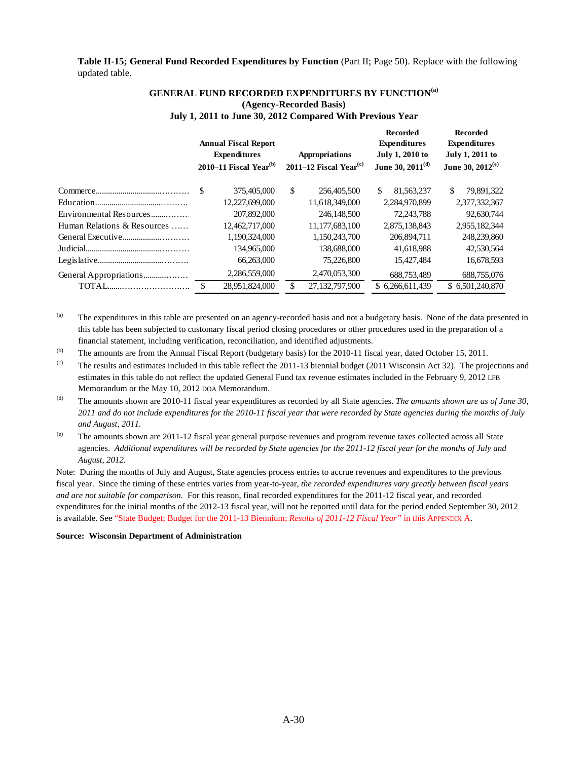**Table II-15; General Fund Recorded Expenditures by Function** (Part II; Page 50). Replace with the following updated table.

|                             |      | <b>Annual Fiscal Report</b><br><b>Expenditures</b><br>2010–11 Fiscal Year <sup>(b)</sup> |               | Appropriations<br>2011–12 Fiscal Year <sup>(c)</sup> | <b>Recorded</b><br><b>Expenditures</b><br><b>July 1, 2010 to</b><br>June 30, $2011^{(d)}$ | <b>Recorded</b><br><b>Expenditures</b><br><b>July 1, 2011 to</b><br>June 30, $2012^{(e)}$ |
|-----------------------------|------|------------------------------------------------------------------------------------------|---------------|------------------------------------------------------|-------------------------------------------------------------------------------------------|-------------------------------------------------------------------------------------------|
|                             | \$   | 375,405,000                                                                              | <sup>\$</sup> | 256,405,500                                          | \$<br>81,563,237                                                                          | \$<br>79,891,322                                                                          |
|                             |      | 12,227,699,000                                                                           |               | 11,618,349,000                                       | 2.284,970,899                                                                             | 2,377,332,367                                                                             |
| Environmental Resources     |      | 207,892,000                                                                              |               | 246,148,500                                          | 72,243,788                                                                                | 92,630,744                                                                                |
| Human Relations & Resources |      | 12,462,717,000                                                                           |               | 11,177,683,100                                       | 2,875,138,843                                                                             | 2,955,182,344                                                                             |
| General Executive           |      | 1,190,324,000                                                                            |               | 1,150,243,700                                        | 206,894,711                                                                               | 248,239,860                                                                               |
|                             |      | 134,965,000                                                                              |               | 138,688,000                                          | 41,618,988                                                                                | 42,530,564                                                                                |
|                             |      | 66,263,000                                                                               |               | 75,226,800                                           | 15.427.484                                                                                | 16,678,593                                                                                |
| General Appropriations      |      | 2,286,559,000                                                                            |               | 2,470,053,300                                        | 688,753,489                                                                               | 688,755,076                                                                               |
| TOTAL                       | - \$ | 28.951.824.000                                                                           |               | 27,132,797,900                                       | \$ 6.266,611,439                                                                          | \$ 6.501,240,870                                                                          |

## **GENERAL FUND RECORDED EXPENDITURES BY FUNCTION(a) (Agency-Recorded Basis) July 1, 2011 to June 30, 2012 Compared With Previous Year**

(a) The expenditures in this table are presented on an agency-recorded basis and not a budgetary basis. None of the data presented in this table has been subjected to customary fiscal period closing procedures or other procedures used in the preparation of a financial statement, including verification, reconciliation, and identified adjustments.

(b) The amounts are from the Annual Fiscal Report (budgetary basis) for the 2010-11 fiscal year, dated October 15, 2011.

(c) The results and estimates included in this table reflect the 2011-13 biennial budget (2011 Wisconsin Act 32). The projections and estimates in this table do not reflect the updated General Fund tax revenue estimates included in the February 9, 2012 LFB Memorandum or the May 10, 2012 DOA Memorandum.

(d) The amounts shown are 2010-11 fiscal year expenditures as recorded by all State agencies. *The amounts shown are as of June 30, 2011 and do not include expenditures for the 2010-11 fiscal year that were recorded by State agencies during the months of July and August, 2011.*

(e) The amounts shown are 2011-12 fiscal year general purpose revenues and program revenue taxes collected across all State agencies. *Additional expenditures will be recorded by State agencies for the 2011-12 fiscal year for the months of July and August, 2012.*

Note: During the months of July and August, State agencies process entries to accrue revenues and expenditures to the previous fiscal year. Since the timing of these entries varies from year-to-year, *the recorded expenditures vary greatly between fiscal years and are not suitable for comparison.* For this reason, final recorded expenditures for the 2011-12 fiscal year, and recorded expenditures for the initial months of the 2012-13 fiscal year, will not be reported until data for the period ended September 30, 2012 is available. See ["State Budget; Budget for the 2011-13 Biennium;](#page-15-0) *Results of 2011-12 Fiscal Year"* in this APPENDIX A.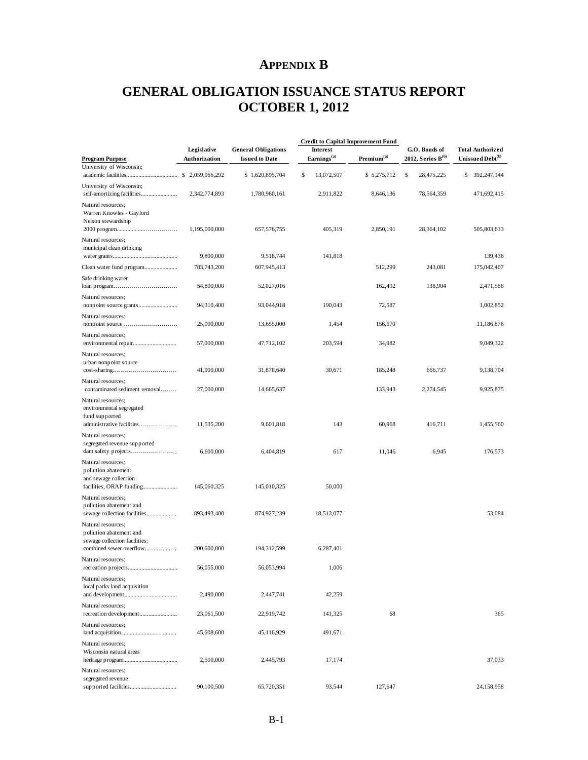# **APPENDIX B**

# <span id="page-31-0"></span>**GENERAL OBLIGATION ISSUANCE STATUS REPORT OCTOBER 1, 2012**

|                                                                                                                | Legislative<br>Authorization | <b>General Obligations</b><br><b>Issued to Date</b> |                                            | <b>Credit to Capital Improvement Fund</b> |                                         |                                                         |
|----------------------------------------------------------------------------------------------------------------|------------------------------|-----------------------------------------------------|--------------------------------------------|-------------------------------------------|-----------------------------------------|---------------------------------------------------------|
| <b>Program Purpose</b>                                                                                         |                              |                                                     | <b>Interest</b><br>Earnings <sup>(a)</sup> | Premium <sup>(a)</sup>                    | G.O. Bonds of<br>2012, Series $B^{(b)}$ | <b>Total Authorized</b><br>Unissued Debt <sup>(b)</sup> |
| University of Wisconsin;                                                                                       |                              | \$1,620,895,704                                     | \$<br>13,072,507                           | \$5,275,712                               | \$<br>28,475,225                        | \$<br>392,247,144                                       |
| University of Wisconsin;                                                                                       | 2,342,774,893                | 1,780,960,161                                       | 2,911,822                                  | 8,646,136                                 | 78,564,359                              | 471,692,415                                             |
| Natural resources;<br>Warren Knowles - Gaylord<br>Nelson stewardship                                           | 1,195,000,000                | 657, 576, 755                                       | 405,319                                    | 2,850,191                                 | 28, 364, 102                            | 505,803,633                                             |
| Natural resources;<br>municipal clean drinking                                                                 | 9,800,000                    | 9,518,744                                           | 141,818                                    |                                           |                                         | 139,438                                                 |
|                                                                                                                | 783,743,200                  | 607,945,413                                         |                                            | 512,299                                   | 243,081                                 | 175,042,407                                             |
| Safe drinking water                                                                                            | 54,800,000                   | 52,027,016                                          |                                            | 162,492                                   | 138,904                                 | 2,471,588                                               |
| Natural resources;                                                                                             | 94,310,400                   | 93,044,918                                          | 190,043                                    | 72,587                                    |                                         | 1,002,852                                               |
| Natural resources;                                                                                             | 25,000,000                   | 13,655,000                                          | 1,454                                      | 156,670                                   |                                         | 11,186,876                                              |
| Natural resources;                                                                                             | 57,000,000                   | 47,712,102                                          | 203,594                                    | 34,982                                    |                                         | 9,049,322                                               |
| Natural resources;<br>urban nonpoint source                                                                    | 41,900,000                   | 31,878,640                                          | 30,671                                     | 185,248                                   | 666,737                                 | 9,138,704                                               |
| Natural resources;<br>contaminated sediment removal                                                            | 27,000,000                   | 14,665,637                                          |                                            | 133,943                                   | 2,274,545                               | 9,925,875                                               |
| Natural resources;<br>environmental segregated<br>fund supported<br>administrative facilities                  | 11,535,200                   | 9,601,818                                           | 143                                        | 60,968                                    | 416,711                                 | 1,455,560                                               |
| Natural resources;<br>segregated revenue supported                                                             | 6,600,000                    | 6,404,819                                           | 617                                        | 11,046                                    | 6,945                                   | 176,573                                                 |
| Natural resources;<br>pollution abatement<br>and sewage collection                                             | 145,060,325                  | 145,010,325                                         | 50,000                                     |                                           |                                         |                                                         |
| Natural resources;<br>pollution abatement and                                                                  |                              |                                                     |                                            |                                           |                                         |                                                         |
| sewage collection facilities<br>Natural resources:<br>pollution abatement and<br>sewage collection facilities; | 893,493,400                  | 874,927,239                                         | 18,513,077                                 |                                           |                                         | 53,084                                                  |
| combined sewer overflow                                                                                        | 200,600,000                  | 194,312,599                                         | 6,287,401                                  |                                           |                                         |                                                         |
| Natural resources:                                                                                             | 56,055,000                   | 56,053,994                                          | 1,006                                      |                                           |                                         |                                                         |
| Natural resources;<br>local parks land acquisition                                                             | 2,490,000                    | 2,447,741                                           | 42,259                                     |                                           |                                         |                                                         |
| Natural resources;                                                                                             | 23,061,500                   | 22,919,742                                          | 141,325                                    | 68                                        |                                         | 365                                                     |
| Natural resources;                                                                                             | 45,608,600                   | 45,116,929                                          | 491,671                                    |                                           |                                         |                                                         |
| Natural resources:<br>Wisconsin natural areas                                                                  | 2,500,000                    | 2,445,793                                           | 17,174                                     |                                           |                                         | 37,033                                                  |
| Natural resources;<br>segregated revenue                                                                       | 90,100,500                   | 65,720,351                                          | 93,544                                     | 127,647                                   |                                         | 24,158,958                                              |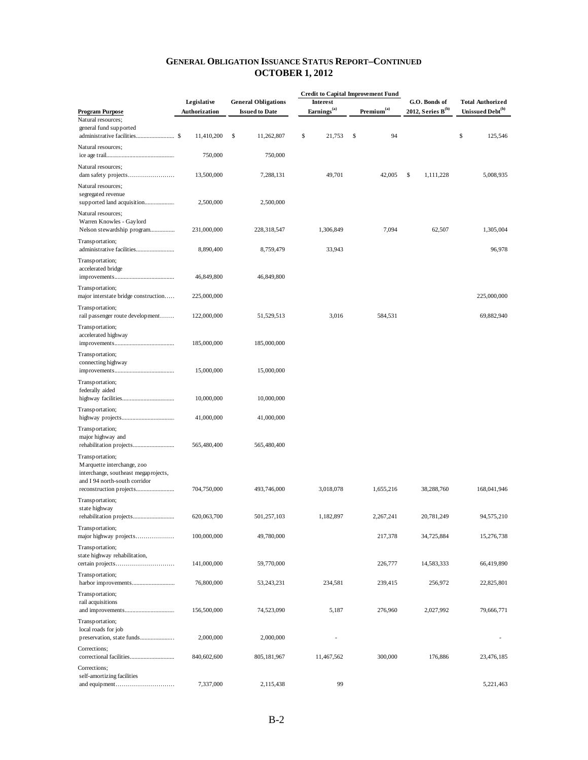|                                                                       |               |                            |                         | <b>Credit to Capital Improvement Fund</b> |                        |                              |  |
|-----------------------------------------------------------------------|---------------|----------------------------|-------------------------|-------------------------------------------|------------------------|------------------------------|--|
|                                                                       | Legislative   | <b>General Obligations</b> | <b>Interest</b>         |                                           | G.O. Bonds of          | <b>Total Authorized</b>      |  |
| <b>Program Purpose</b><br>Natural resources;                          | Authorization | <b>Issued to Date</b>      | Earnings <sup>(a)</sup> | Premium <sup>(a)</sup>                    | 2012, Series $B^{(b)}$ | Unissued Debt <sup>(b)</sup> |  |
| general fund supported                                                |               |                            |                         |                                           |                        |                              |  |
|                                                                       | 11,410,200    | \$<br>11,262,807           | \$<br>21,753            | \$<br>94                                  |                        | \$<br>125,546                |  |
| Natural resources;                                                    | 750,000       | 750,000                    |                         |                                           |                        |                              |  |
| Natural resources;                                                    | 13,500,000    | 7,288,131                  | 49,701                  | 42,005                                    | \$<br>1,111,228        | 5,008,935                    |  |
| Natural resources;                                                    |               |                            |                         |                                           |                        |                              |  |
| segregated revenue                                                    | 2,500,000     | 2,500,000                  |                         |                                           |                        |                              |  |
| Natural resources;                                                    |               |                            |                         |                                           |                        |                              |  |
| Warren Knowles - Gaylord<br>Nelson stewardship program                | 231,000,000   | 228,318,547                | 1,306,849               | 7,094                                     | 62,507                 | 1,305,004                    |  |
| Transportation;<br>administrative facilities                          | 8,890,400     | 8,759,479                  | 33,943                  |                                           |                        | 96,978                       |  |
| Transportation;                                                       |               |                            |                         |                                           |                        |                              |  |
| accelerated bridge                                                    | 46,849,800    | 46,849,800                 |                         |                                           |                        |                              |  |
| Transportation;                                                       |               |                            |                         |                                           |                        |                              |  |
| major interstate bridge construction                                  | 225,000,000   |                            |                         |                                           |                        | 225,000,000                  |  |
| Transportation;<br>rail passenger route development                   | 122,000,000   | 51,529,513                 | 3,016                   | 584,531                                   |                        | 69,882,940                   |  |
| Transportation;                                                       |               |                            |                         |                                           |                        |                              |  |
| accelerated highway                                                   | 185,000,000   | 185,000,000                |                         |                                           |                        |                              |  |
| Transportation;                                                       |               |                            |                         |                                           |                        |                              |  |
| connecting highway                                                    | 15,000,000    | 15,000,000                 |                         |                                           |                        |                              |  |
| Transportation;                                                       |               |                            |                         |                                           |                        |                              |  |
| federally aided                                                       |               |                            |                         |                                           |                        |                              |  |
|                                                                       | 10,000,000    | 10,000,000                 |                         |                                           |                        |                              |  |
| Transportation;                                                       | 41,000,000    | 41,000,000                 |                         |                                           |                        |                              |  |
| Transportation;                                                       |               |                            |                         |                                           |                        |                              |  |
| major highway and                                                     | 565,480,400   | 565,480,400                |                         |                                           |                        |                              |  |
| Transportation;                                                       |               |                            |                         |                                           |                        |                              |  |
| M arquette interchange, zoo                                           |               |                            |                         |                                           |                        |                              |  |
| interchange, southeast megaprojects,<br>and I 94 north-south corridor |               |                            |                         |                                           |                        |                              |  |
|                                                                       | 704,750,000   | 493,746,000                | 3,018,078               | 1,655,216                                 | 38,288,760             | 168,041,946                  |  |
| Transportation;                                                       |               |                            |                         |                                           |                        |                              |  |
| state highway                                                         | 620,063,700   | 501,257,103                | 1,182,897               | 2,267,241                                 | 20,781,249             | 94,575,210                   |  |
| Transportation;<br>major highway projects                             | 100,000,000   | 49,780,000                 |                         | 217,378                                   | 34,725,884             | 15,276,738                   |  |
| Transportation;                                                       |               |                            |                         |                                           |                        |                              |  |
| state highway rehabilitation,                                         | 141,000,000   | 59,770,000                 |                         | 226,777                                   | 14,583,333             | 66,419,890                   |  |
| Transportation;                                                       |               |                            |                         |                                           |                        |                              |  |
|                                                                       | 76,800,000    | 53,243,231                 | 234,581                 | 239,415                                   | 256,972                | 22,825,801                   |  |
| Transportation;<br>rail acquisitions                                  |               |                            |                         |                                           |                        |                              |  |
|                                                                       | 156,500,000   | 74,523,090                 | 5,187                   | 276,960                                   | 2,027,992              | 79,666,771                   |  |
| Transportation;                                                       |               |                            |                         |                                           |                        |                              |  |
| local roads for job<br>preservation, state funds                      | 2,000,000     | 2,000,000                  |                         |                                           |                        |                              |  |
| Corrections;                                                          |               |                            |                         |                                           |                        |                              |  |
|                                                                       | 840,602,600   | 805, 181, 967              | 11,467,562              | 300,000                                   | 176,886                | 23,476,185                   |  |
| Corrections;                                                          |               |                            |                         |                                           |                        |                              |  |
| self-amortizing facilities                                            | 7,337,000     | 2,115,438                  | 99                      |                                           |                        | 5,221,463                    |  |
|                                                                       |               |                            |                         |                                           |                        |                              |  |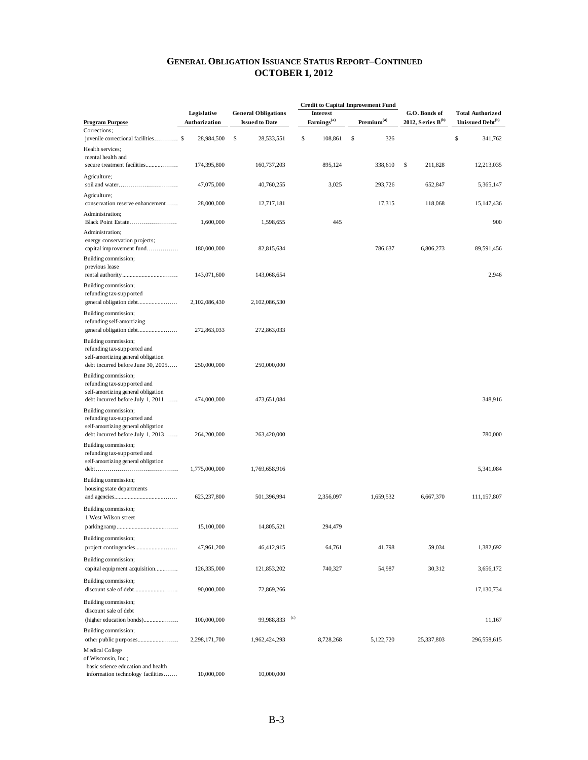| <b>Interest</b><br>Legislative<br><b>General Obligations</b><br>G.O. Bonds of<br><b>Total Authorized</b><br>Earnings <sup>(a)</sup><br>$\mathbf{Premium}^{(\mathrm{a})}$<br>2012, Series $B^{(b)}$<br>Unissued Debt <sup>(b)</sup><br><b>Program Purpose</b><br>Authorization<br><b>Issued to Date</b><br>Corrections;<br>\$<br>\$<br>\$<br>juvenile correctional facilities \$<br>28,984,500<br>\$<br>108,861<br>326<br>341,762<br>28,533,551<br>Health services;<br>mental health and<br>secure treatment facilities<br>895,124<br>\$<br>174,395,800<br>160,737,203<br>338,610<br>211,828<br>Agriculture;<br>3,025<br>293,726<br>47,075,000<br>40,760,255<br>652,847<br>Agriculture;<br>conservation reserve enhancement<br>17,315<br>118,068<br>28,000,000<br>12,717,181<br>Administration;<br>Black Point Estate<br>1,600,000<br>445<br>1,598,655<br>Administration;<br>energy conservation projects;<br>capital improvement fund<br>6,806,273<br>180,000,000<br>82,815,634<br>786,637<br>Building commission;<br>previous lease<br>2,946<br>143,071,600<br>143,068,654<br>Building commission;<br>refunding tax-supported<br>2,102,086,430<br>2,102,086,530<br>Building commission;<br>refunding self-amortizing<br>272,863,033<br>272,863,033<br>Building commission;<br>refunding tax-supported and<br>self-amortizing general obligation<br>debt incurred before June 30, 2005<br>250,000,000<br>250,000,000<br>Building commission;<br>refunding tax-supported and<br>self-amortizing general obligation<br>debt incurred before July 1, 2011<br>474,000,000<br>473,651,084<br>Building commission;<br>refunding tax-supported and<br>self-amortizing general obligation<br>debt incurred before July 1, 2013<br>264,200,000<br>263,420,000<br>Building commission;<br>refunding tax-supported and<br>self-amortizing general obligation<br>5,341,084<br>1,775,000,000<br>1,769,658,916<br>$debt \ldots \ldots \ldots \ldots \ldots \ldots \ldots \ldots \ldots \ldots \ldots \ldots$<br>Building commission;<br>housing state departments<br>2,356,097<br>1,659,532<br>6,667,370<br>623,237,800<br>501,396,994<br>Building commission;<br>1 West Wilson street<br>294,479<br>15,100,000<br>14,805,521<br>Building commission;<br>47,961,200<br>64,761<br>41,798<br>59,034<br>1,382,692<br>46,412,915<br>Building commission;<br>capital equipment acquisition<br>740,327<br>54,987<br>30,312<br>126,335,000<br>121,853,202<br>3,656,172<br>Building commission;<br>17,130,734<br>90,000,000<br>72,869,266<br>Building commission;<br>discount sale of debt<br>(c)<br>99,988,833<br>(higher education bonds)<br>100,000,000<br>Building commission;<br>8,728,268<br>2,298,171,700<br>1,962,424,293<br>5,122,720<br>25,337,803<br>Medical College |  |  | <b>Credit to Capital Improvement Fund</b> |  |             |  |
|-----------------------------------------------------------------------------------------------------------------------------------------------------------------------------------------------------------------------------------------------------------------------------------------------------------------------------------------------------------------------------------------------------------------------------------------------------------------------------------------------------------------------------------------------------------------------------------------------------------------------------------------------------------------------------------------------------------------------------------------------------------------------------------------------------------------------------------------------------------------------------------------------------------------------------------------------------------------------------------------------------------------------------------------------------------------------------------------------------------------------------------------------------------------------------------------------------------------------------------------------------------------------------------------------------------------------------------------------------------------------------------------------------------------------------------------------------------------------------------------------------------------------------------------------------------------------------------------------------------------------------------------------------------------------------------------------------------------------------------------------------------------------------------------------------------------------------------------------------------------------------------------------------------------------------------------------------------------------------------------------------------------------------------------------------------------------------------------------------------------------------------------------------------------------------------------------------------------------------------------------------------------------------------------------------------------------------------------------------------------------------------------------------------------------------------------------------------------------------------------------------------------------------------------------------------------------------------------------------------------------------------------------------------------------------------------------------------------------------------------------------------|--|--|-------------------------------------------|--|-------------|--|
|                                                                                                                                                                                                                                                                                                                                                                                                                                                                                                                                                                                                                                                                                                                                                                                                                                                                                                                                                                                                                                                                                                                                                                                                                                                                                                                                                                                                                                                                                                                                                                                                                                                                                                                                                                                                                                                                                                                                                                                                                                                                                                                                                                                                                                                                                                                                                                                                                                                                                                                                                                                                                                                                                                                                                           |  |  |                                           |  |             |  |
|                                                                                                                                                                                                                                                                                                                                                                                                                                                                                                                                                                                                                                                                                                                                                                                                                                                                                                                                                                                                                                                                                                                                                                                                                                                                                                                                                                                                                                                                                                                                                                                                                                                                                                                                                                                                                                                                                                                                                                                                                                                                                                                                                                                                                                                                                                                                                                                                                                                                                                                                                                                                                                                                                                                                                           |  |  |                                           |  |             |  |
|                                                                                                                                                                                                                                                                                                                                                                                                                                                                                                                                                                                                                                                                                                                                                                                                                                                                                                                                                                                                                                                                                                                                                                                                                                                                                                                                                                                                                                                                                                                                                                                                                                                                                                                                                                                                                                                                                                                                                                                                                                                                                                                                                                                                                                                                                                                                                                                                                                                                                                                                                                                                                                                                                                                                                           |  |  |                                           |  |             |  |
|                                                                                                                                                                                                                                                                                                                                                                                                                                                                                                                                                                                                                                                                                                                                                                                                                                                                                                                                                                                                                                                                                                                                                                                                                                                                                                                                                                                                                                                                                                                                                                                                                                                                                                                                                                                                                                                                                                                                                                                                                                                                                                                                                                                                                                                                                                                                                                                                                                                                                                                                                                                                                                                                                                                                                           |  |  |                                           |  | 12,213,035  |  |
|                                                                                                                                                                                                                                                                                                                                                                                                                                                                                                                                                                                                                                                                                                                                                                                                                                                                                                                                                                                                                                                                                                                                                                                                                                                                                                                                                                                                                                                                                                                                                                                                                                                                                                                                                                                                                                                                                                                                                                                                                                                                                                                                                                                                                                                                                                                                                                                                                                                                                                                                                                                                                                                                                                                                                           |  |  |                                           |  | 5,365,147   |  |
|                                                                                                                                                                                                                                                                                                                                                                                                                                                                                                                                                                                                                                                                                                                                                                                                                                                                                                                                                                                                                                                                                                                                                                                                                                                                                                                                                                                                                                                                                                                                                                                                                                                                                                                                                                                                                                                                                                                                                                                                                                                                                                                                                                                                                                                                                                                                                                                                                                                                                                                                                                                                                                                                                                                                                           |  |  |                                           |  | 15,147,436  |  |
|                                                                                                                                                                                                                                                                                                                                                                                                                                                                                                                                                                                                                                                                                                                                                                                                                                                                                                                                                                                                                                                                                                                                                                                                                                                                                                                                                                                                                                                                                                                                                                                                                                                                                                                                                                                                                                                                                                                                                                                                                                                                                                                                                                                                                                                                                                                                                                                                                                                                                                                                                                                                                                                                                                                                                           |  |  |                                           |  | 900         |  |
|                                                                                                                                                                                                                                                                                                                                                                                                                                                                                                                                                                                                                                                                                                                                                                                                                                                                                                                                                                                                                                                                                                                                                                                                                                                                                                                                                                                                                                                                                                                                                                                                                                                                                                                                                                                                                                                                                                                                                                                                                                                                                                                                                                                                                                                                                                                                                                                                                                                                                                                                                                                                                                                                                                                                                           |  |  |                                           |  | 89,591,456  |  |
|                                                                                                                                                                                                                                                                                                                                                                                                                                                                                                                                                                                                                                                                                                                                                                                                                                                                                                                                                                                                                                                                                                                                                                                                                                                                                                                                                                                                                                                                                                                                                                                                                                                                                                                                                                                                                                                                                                                                                                                                                                                                                                                                                                                                                                                                                                                                                                                                                                                                                                                                                                                                                                                                                                                                                           |  |  |                                           |  |             |  |
|                                                                                                                                                                                                                                                                                                                                                                                                                                                                                                                                                                                                                                                                                                                                                                                                                                                                                                                                                                                                                                                                                                                                                                                                                                                                                                                                                                                                                                                                                                                                                                                                                                                                                                                                                                                                                                                                                                                                                                                                                                                                                                                                                                                                                                                                                                                                                                                                                                                                                                                                                                                                                                                                                                                                                           |  |  |                                           |  |             |  |
|                                                                                                                                                                                                                                                                                                                                                                                                                                                                                                                                                                                                                                                                                                                                                                                                                                                                                                                                                                                                                                                                                                                                                                                                                                                                                                                                                                                                                                                                                                                                                                                                                                                                                                                                                                                                                                                                                                                                                                                                                                                                                                                                                                                                                                                                                                                                                                                                                                                                                                                                                                                                                                                                                                                                                           |  |  |                                           |  |             |  |
|                                                                                                                                                                                                                                                                                                                                                                                                                                                                                                                                                                                                                                                                                                                                                                                                                                                                                                                                                                                                                                                                                                                                                                                                                                                                                                                                                                                                                                                                                                                                                                                                                                                                                                                                                                                                                                                                                                                                                                                                                                                                                                                                                                                                                                                                                                                                                                                                                                                                                                                                                                                                                                                                                                                                                           |  |  |                                           |  |             |  |
|                                                                                                                                                                                                                                                                                                                                                                                                                                                                                                                                                                                                                                                                                                                                                                                                                                                                                                                                                                                                                                                                                                                                                                                                                                                                                                                                                                                                                                                                                                                                                                                                                                                                                                                                                                                                                                                                                                                                                                                                                                                                                                                                                                                                                                                                                                                                                                                                                                                                                                                                                                                                                                                                                                                                                           |  |  |                                           |  |             |  |
|                                                                                                                                                                                                                                                                                                                                                                                                                                                                                                                                                                                                                                                                                                                                                                                                                                                                                                                                                                                                                                                                                                                                                                                                                                                                                                                                                                                                                                                                                                                                                                                                                                                                                                                                                                                                                                                                                                                                                                                                                                                                                                                                                                                                                                                                                                                                                                                                                                                                                                                                                                                                                                                                                                                                                           |  |  |                                           |  | 348,916     |  |
|                                                                                                                                                                                                                                                                                                                                                                                                                                                                                                                                                                                                                                                                                                                                                                                                                                                                                                                                                                                                                                                                                                                                                                                                                                                                                                                                                                                                                                                                                                                                                                                                                                                                                                                                                                                                                                                                                                                                                                                                                                                                                                                                                                                                                                                                                                                                                                                                                                                                                                                                                                                                                                                                                                                                                           |  |  |                                           |  | 780,000     |  |
|                                                                                                                                                                                                                                                                                                                                                                                                                                                                                                                                                                                                                                                                                                                                                                                                                                                                                                                                                                                                                                                                                                                                                                                                                                                                                                                                                                                                                                                                                                                                                                                                                                                                                                                                                                                                                                                                                                                                                                                                                                                                                                                                                                                                                                                                                                                                                                                                                                                                                                                                                                                                                                                                                                                                                           |  |  |                                           |  |             |  |
|                                                                                                                                                                                                                                                                                                                                                                                                                                                                                                                                                                                                                                                                                                                                                                                                                                                                                                                                                                                                                                                                                                                                                                                                                                                                                                                                                                                                                                                                                                                                                                                                                                                                                                                                                                                                                                                                                                                                                                                                                                                                                                                                                                                                                                                                                                                                                                                                                                                                                                                                                                                                                                                                                                                                                           |  |  |                                           |  | 111,157,807 |  |
|                                                                                                                                                                                                                                                                                                                                                                                                                                                                                                                                                                                                                                                                                                                                                                                                                                                                                                                                                                                                                                                                                                                                                                                                                                                                                                                                                                                                                                                                                                                                                                                                                                                                                                                                                                                                                                                                                                                                                                                                                                                                                                                                                                                                                                                                                                                                                                                                                                                                                                                                                                                                                                                                                                                                                           |  |  |                                           |  |             |  |
|                                                                                                                                                                                                                                                                                                                                                                                                                                                                                                                                                                                                                                                                                                                                                                                                                                                                                                                                                                                                                                                                                                                                                                                                                                                                                                                                                                                                                                                                                                                                                                                                                                                                                                                                                                                                                                                                                                                                                                                                                                                                                                                                                                                                                                                                                                                                                                                                                                                                                                                                                                                                                                                                                                                                                           |  |  |                                           |  |             |  |
|                                                                                                                                                                                                                                                                                                                                                                                                                                                                                                                                                                                                                                                                                                                                                                                                                                                                                                                                                                                                                                                                                                                                                                                                                                                                                                                                                                                                                                                                                                                                                                                                                                                                                                                                                                                                                                                                                                                                                                                                                                                                                                                                                                                                                                                                                                                                                                                                                                                                                                                                                                                                                                                                                                                                                           |  |  |                                           |  |             |  |
|                                                                                                                                                                                                                                                                                                                                                                                                                                                                                                                                                                                                                                                                                                                                                                                                                                                                                                                                                                                                                                                                                                                                                                                                                                                                                                                                                                                                                                                                                                                                                                                                                                                                                                                                                                                                                                                                                                                                                                                                                                                                                                                                                                                                                                                                                                                                                                                                                                                                                                                                                                                                                                                                                                                                                           |  |  |                                           |  |             |  |
|                                                                                                                                                                                                                                                                                                                                                                                                                                                                                                                                                                                                                                                                                                                                                                                                                                                                                                                                                                                                                                                                                                                                                                                                                                                                                                                                                                                                                                                                                                                                                                                                                                                                                                                                                                                                                                                                                                                                                                                                                                                                                                                                                                                                                                                                                                                                                                                                                                                                                                                                                                                                                                                                                                                                                           |  |  |                                           |  |             |  |
|                                                                                                                                                                                                                                                                                                                                                                                                                                                                                                                                                                                                                                                                                                                                                                                                                                                                                                                                                                                                                                                                                                                                                                                                                                                                                                                                                                                                                                                                                                                                                                                                                                                                                                                                                                                                                                                                                                                                                                                                                                                                                                                                                                                                                                                                                                                                                                                                                                                                                                                                                                                                                                                                                                                                                           |  |  |                                           |  | 11,167      |  |
|                                                                                                                                                                                                                                                                                                                                                                                                                                                                                                                                                                                                                                                                                                                                                                                                                                                                                                                                                                                                                                                                                                                                                                                                                                                                                                                                                                                                                                                                                                                                                                                                                                                                                                                                                                                                                                                                                                                                                                                                                                                                                                                                                                                                                                                                                                                                                                                                                                                                                                                                                                                                                                                                                                                                                           |  |  |                                           |  | 296,558,615 |  |
| of Wisconsin, Inc.;<br>basic science education and health<br>information technology facilities<br>10,000,000<br>10,000,000                                                                                                                                                                                                                                                                                                                                                                                                                                                                                                                                                                                                                                                                                                                                                                                                                                                                                                                                                                                                                                                                                                                                                                                                                                                                                                                                                                                                                                                                                                                                                                                                                                                                                                                                                                                                                                                                                                                                                                                                                                                                                                                                                                                                                                                                                                                                                                                                                                                                                                                                                                                                                                |  |  |                                           |  |             |  |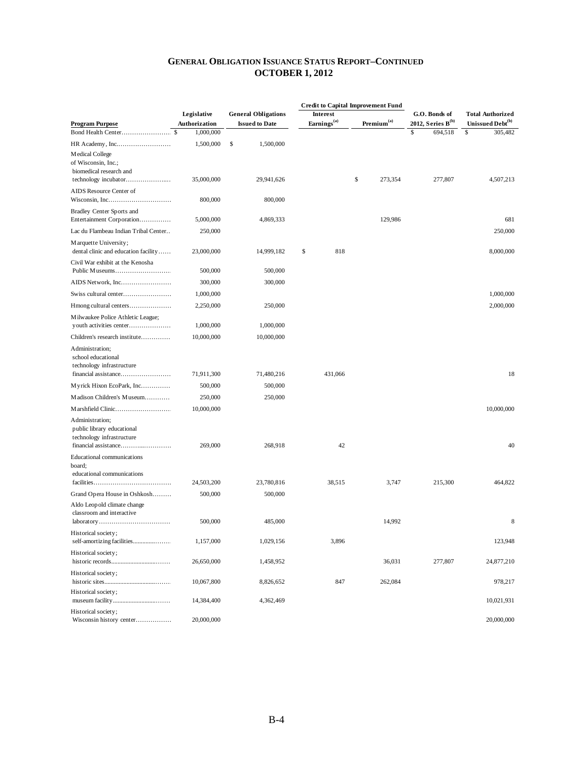|                                                                                                          |               |                            |                         | <b>Credit to Capital Improvement Fund</b> |                        | <b>Total Authorized</b><br>Unissued Debt <sup>(b)</sup> |  |
|----------------------------------------------------------------------------------------------------------|---------------|----------------------------|-------------------------|-------------------------------------------|------------------------|---------------------------------------------------------|--|
|                                                                                                          | Legislative   | <b>General Obligations</b> | <b>Interest</b>         |                                           | G.O. Bonds of          |                                                         |  |
| <b>Program Purpose</b>                                                                                   | Authorization | <b>Issued to Date</b>      | Earnings <sup>(a)</sup> | Premium <sup>(a)</sup>                    | 2012, Series $B^{(b)}$ |                                                         |  |
|                                                                                                          | 1,000,000     |                            |                         |                                           | \$<br>694,518          | \$<br>305,482                                           |  |
|                                                                                                          | 1,500,000     | \$<br>1,500,000            |                         |                                           |                        |                                                         |  |
| Medical College<br>of Wisconsin, Inc.;<br>biomedical research and                                        |               |                            |                         |                                           |                        |                                                         |  |
| technology incubator                                                                                     | 35,000,000    | 29,941,626                 |                         | \$<br>273,354                             | 277,807                | 4,507,213                                               |  |
| AIDS Resource Center of                                                                                  | 800,000       | 800,000                    |                         |                                           |                        |                                                         |  |
| Bradley Center Sports and<br>Entertainment Corporation                                                   | 5,000,000     | 4,869,333                  |                         | 129,986                                   |                        | 681                                                     |  |
| Lac du Flambeau Indian Tribal Center                                                                     | 250,000       |                            |                         |                                           |                        | 250,000                                                 |  |
| Marquette University;<br>dental clinic and education facility                                            | 23,000,000    | 14,999,182                 | \$<br>818               |                                           |                        | 8,000,000                                               |  |
| Civil War exhibit at the Kenosha                                                                         |               |                            |                         |                                           |                        |                                                         |  |
|                                                                                                          | 500,000       | 500,000                    |                         |                                           |                        |                                                         |  |
| AIDS Network, Inc                                                                                        | 300,000       | 300,000                    |                         |                                           |                        |                                                         |  |
| Swiss cultural center                                                                                    | 1,000,000     |                            |                         |                                           |                        | 1,000,000                                               |  |
| Hmong cultural centers                                                                                   | 2,250,000     | 250,000                    |                         |                                           |                        | 2,000,000                                               |  |
| Milwaukee Police Athletic League;                                                                        |               |                            |                         |                                           |                        |                                                         |  |
| youth activities center                                                                                  | 1,000,000     | 1,000,000                  |                         |                                           |                        |                                                         |  |
| Children's research institute                                                                            | 10,000,000    | 10,000,000                 |                         |                                           |                        |                                                         |  |
| Administration;<br>school educational                                                                    |               |                            |                         |                                           |                        |                                                         |  |
| technology infrastructure                                                                                |               |                            |                         |                                           |                        | 18                                                      |  |
| financial assistance                                                                                     | 71,911,300    | 71,480,216                 | 431,066                 |                                           |                        |                                                         |  |
| Myrick Hixon EcoPark, Inc                                                                                | 500,000       | 500,000                    |                         |                                           |                        |                                                         |  |
| Madison Children's Museum                                                                                | 250,000       | 250,000                    |                         |                                           |                        |                                                         |  |
| Marshfield Clinic                                                                                        | 10,000,000    |                            |                         |                                           |                        | 10,000,000                                              |  |
| Administration;<br>public library educational<br>technology infrastructure                               | 269,000       | 268,918                    | 42                      |                                           |                        | 40                                                      |  |
| Educational communications<br>board;                                                                     |               |                            |                         |                                           |                        |                                                         |  |
| educational communications                                                                               | 24,503,200    | 23,780,816                 | 38,515                  | 3,747                                     | 215,300                | 464,822                                                 |  |
|                                                                                                          |               | 500,000                    |                         |                                           |                        |                                                         |  |
| Grand Opera House in Oshkosh<br>Aldo Leopold climate change                                              | 500,000       |                            |                         |                                           |                        |                                                         |  |
| classroom and interactive<br>$laboratory \ldots \ldots \ldots \ldots \ldots \ldots \ldots \ldots \ldots$ | 500,000       | 485,000                    |                         | 14,992                                    |                        | 8                                                       |  |
| Historical society;                                                                                      |               |                            |                         |                                           |                        |                                                         |  |
| self-amortizing facilities                                                                               | 1,157,000     | 1,029,156                  | 3,896                   |                                           |                        | 123,948                                                 |  |
| Historical society;                                                                                      | 26,650,000    | 1,458,952                  |                         | 36,031                                    | 277,807                | 24,877,210                                              |  |
| Historical society;                                                                                      | 10,067,800    | 8,826,652                  | 847                     | 262,084                                   |                        | 978,217                                                 |  |
| Historical society;                                                                                      | 14,384,400    | 4,362,469                  |                         |                                           |                        | 10,021,931                                              |  |
| Historical society;<br>Wisconsin history center                                                          | 20,000,000    |                            |                         |                                           |                        | 20,000,000                                              |  |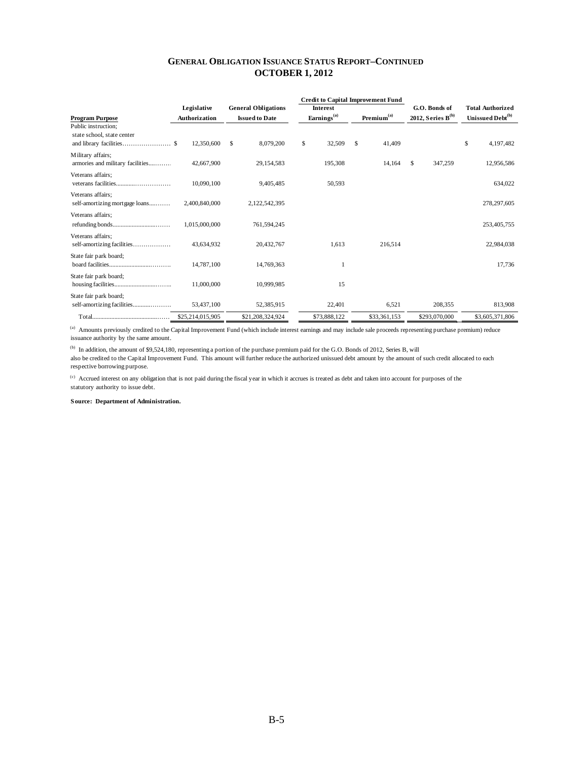|                                                                             |                                                                          |                            |                  |                        |              |                        | <b>Credit to Capital Improvement Fund</b> |                              |               |    |                         |  |
|-----------------------------------------------------------------------------|--------------------------------------------------------------------------|----------------------------|------------------|------------------------|--------------|------------------------|-------------------------------------------|------------------------------|---------------|----|-------------------------|--|
|                                                                             | Legislative                                                              | <b>General Obligations</b> |                  | <b>Interest</b>        |              |                        |                                           |                              | G.O. Bonds of |    | <b>Total Authorized</b> |  |
| <b>Program Purpose</b>                                                      | Earnings <sup>(a)</sup><br><b>Authorization</b><br><b>Issued to Date</b> |                            |                  | Premium <sup>(a)</sup> |              | 2012, Series $B^{(b)}$ |                                           | Unissued Debt <sup>(b)</sup> |               |    |                         |  |
| Public instruction;<br>state school, state center<br>and library facilities | 12,350,600<br>-8                                                         | <sup>\$</sup>              | 8,079,200        | \$                     | 32,509       | \$                     | 41,409                                    |                              |               | \$ | 4,197,482               |  |
| Military affairs;<br>armories and military facilities                       | 42,667,900                                                               |                            | 29,154,583       |                        | 195,308      |                        | 14,164                                    | \$                           | 347,259       |    | 12,956,586              |  |
| Veterans affairs;                                                           | 10,090,100                                                               |                            | 9,405,485        |                        | 50,593       |                        |                                           |                              |               |    | 634,022                 |  |
| Veterans affairs:<br>self-amortizing mortgage loans                         | 2,400,840,000                                                            |                            | 2,122,542,395    |                        |              |                        |                                           |                              |               |    | 278,297,605             |  |
| Veterans affairs:                                                           | 1,015,000,000                                                            |                            | 761,594,245      |                        |              |                        |                                           |                              |               |    | 253,405,755             |  |
|                                                                             |                                                                          |                            |                  |                        |              |                        |                                           |                              |               |    |                         |  |
| Veterans affairs:<br>self-amortizing facilities                             | 43,634,932                                                               |                            | 20,432,767       |                        | 1,613        |                        | 216,514                                   |                              |               |    | 22,984,038              |  |
| State fair park board;                                                      | 14,787,100                                                               |                            | 14,769,363       |                        |              |                        |                                           |                              |               |    | 17,736                  |  |
| State fair park board;                                                      | 11,000,000                                                               |                            | 10,999,985       |                        | 15           |                        |                                           |                              |               |    |                         |  |
| State fair park board;<br>self-amortizing facilities                        | 53,437,100                                                               |                            | 52,385,915       |                        | 22,401       |                        | 6,521                                     |                              | 208,355       |    | 813,908                 |  |
|                                                                             | \$25,214,015,905                                                         |                            | \$21,208,324,924 |                        | \$73,888,122 |                        | \$33,361,153                              |                              | \$293,070,000 |    | \$3,605,371,806         |  |

(a) Amounts previously credited to the Capital Improvement Fund (which include interest earnings and may include sale proceeds representing purchase premium) reduce issuance authority by the same amount.

(b) In addition, the amount of \$9,524,180, representing a portion of the purchase premium paid for the G.O. Bonds of 2012, Series B, will

also be credited to the Capital Improvement Fund. This amount will further reduce the authorized unissued debt amount by the amount of such credit allocated to each respective borrowing purpose.

(c) Accrued interest on any obligation that is not paid during the fiscal year in which it accrues is treated as debt and taken into account for purposes of the statutory authority to issue debt.

#### **Source: Department of Administration.**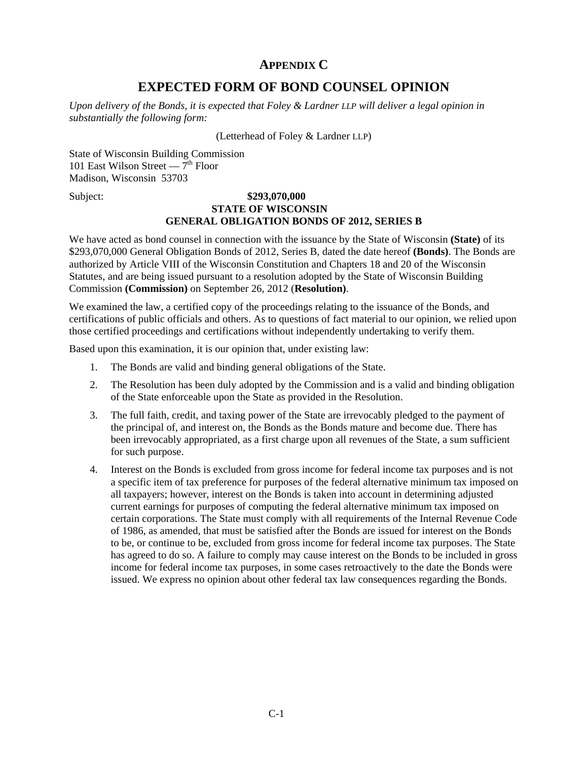# **APPENDIX C**

# **EXPECTED FORM OF BOND COUNSEL OPINION**

<span id="page-36-0"></span>*Upon delivery of the Bonds, it is expected that Foley & Lardner LLP will deliver a legal opinion in substantially the following form:* 

(Letterhead of Foley & Lardner LLP)

State of Wisconsin Building Commission 101 East Wilson Street —  $7<sup>th</sup>$  Floor Madison, Wisconsin 53703

# Subject: **\$293,070,000 STATE OF WISCONSIN GENERAL OBLIGATION BONDS OF 2012, SERIES B**

We have acted as bond counsel in connection with the issuance by the State of Wisconsin **(State)** of its \$293,070,000 General Obligation Bonds of 2012, Series B, dated the date hereof **(Bonds)**. The Bonds are authorized by Article VIII of the Wisconsin Constitution and Chapters 18 and 20 of the Wisconsin Statutes, and are being issued pursuant to a resolution adopted by the State of Wisconsin Building Commission **(Commission)** on September 26, 2012 (**Resolution)**.

We examined the law, a certified copy of the proceedings relating to the issuance of the Bonds, and certifications of public officials and others. As to questions of fact material to our opinion, we relied upon those certified proceedings and certifications without independently undertaking to verify them.

Based upon this examination, it is our opinion that, under existing law:

- 1. The Bonds are valid and binding general obligations of the State.
- 2. The Resolution has been duly adopted by the Commission and is a valid and binding obligation of the State enforceable upon the State as provided in the Resolution.
- 3. The full faith, credit, and taxing power of the State are irrevocably pledged to the payment of the principal of, and interest on, the Bonds as the Bonds mature and become due. There has been irrevocably appropriated, as a first charge upon all revenues of the State, a sum sufficient for such purpose.
- 4. Interest on the Bonds is excluded from gross income for federal income tax purposes and is not a specific item of tax preference for purposes of the federal alternative minimum tax imposed on all taxpayers; however, interest on the Bonds is taken into account in determining adjusted current earnings for purposes of computing the federal alternative minimum tax imposed on certain corporations. The State must comply with all requirements of the Internal Revenue Code of 1986, as amended, that must be satisfied after the Bonds are issued for interest on the Bonds to be, or continue to be, excluded from gross income for federal income tax purposes. The State has agreed to do so. A failure to comply may cause interest on the Bonds to be included in gross income for federal income tax purposes, in some cases retroactively to the date the Bonds were issued. We express no opinion about other federal tax law consequences regarding the Bonds.